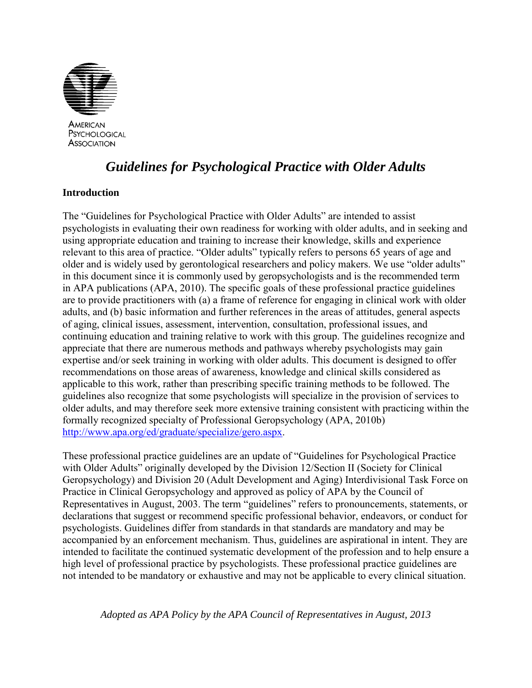

AMERICAN PSYCHOLOGICAL **ASSOCIATION** 

# *Guidelines for Psychological Practice with Older Adults*

# **Introduction**

The "Guidelines for Psychological Practice with Older Adults" are intended to assist psychologists in evaluating their own readiness for working with older adults, and in seeking and using appropriate education and training to increase their knowledge, skills and experience relevant to this area of practice. "Older adults" typically refers to persons 65 years of age and older and is widely used by gerontological researchers and policy makers. We use "older adults" in this document since it is commonly used by geropsychologists and is the recommended term in APA publications (APA, 2010). The specific goals of these professional practice guidelines are to provide practitioners with (a) a frame of reference for engaging in clinical work with older adults, and (b) basic information and further references in the areas of attitudes, general aspects of aging, clinical issues, assessment, intervention, consultation, professional issues, and continuing education and training relative to work with this group. The guidelines recognize and appreciate that there are numerous methods and pathways whereby psychologists may gain expertise and/or seek training in working with older adults. This document is designed to offer recommendations on those areas of awareness, knowledge and clinical skills considered as applicable to this work, rather than prescribing specific training methods to be followed. The guidelines also recognize that some psychologists will specialize in the provision of services to older adults, and may therefore seek more extensive training consistent with practicing within the formally recognized specialty of Professional Geropsychology (APA, 2010b) [http://www.apa.org/ed/graduate/specialize/gero.aspx.](http://www.apa.org/ed/graduate/specialize/gero.aspx)

These professional practice guidelines are an update of "Guidelines for Psychological Practice with Older Adults" originally developed by the Division 12/Section II (Society for Clinical Geropsychology) and Division 20 (Adult Development and Aging) Interdivisional Task Force on Practice in Clinical Geropsychology and approved as policy of APA by the Council of Representatives in August, 2003. The term "guidelines" refers to pronouncements, statements, or declarations that suggest or recommend specific professional behavior, endeavors, or conduct for psychologists. Guidelines differ from standards in that standards are mandatory and may be accompanied by an enforcement mechanism. Thus, guidelines are aspirational in intent. They are intended to facilitate the continued systematic development of the profession and to help ensure a high level of professional practice by psychologists. These professional practice guidelines are not intended to be mandatory or exhaustive and may not be applicable to every clinical situation.

*Adopted as APA Policy by the APA Council of Representatives in August, 2013*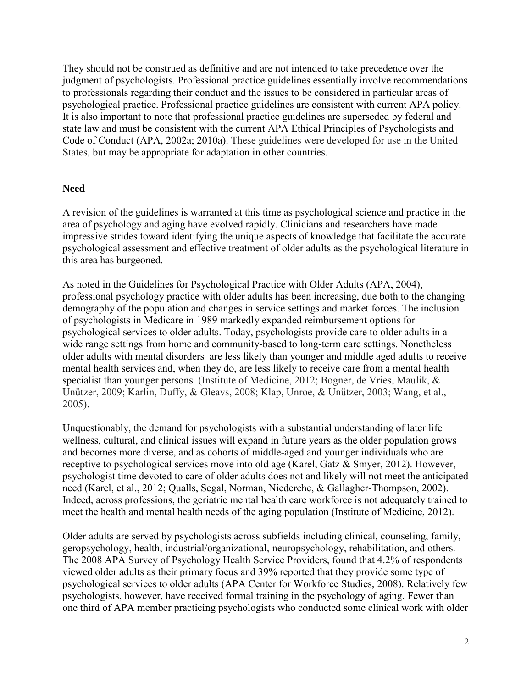They should not be construed as definitive and are not intended to take precedence over the judgment of psychologists. Professional practice guidelines essentially involve recommendations to professionals regarding their conduct and the issues to be considered in particular areas of psychological practice. Professional practice guidelines are consistent with current APA policy. It is also important to note that professional practice guidelines are superseded by federal and state law and must be consistent with the current APA Ethical Principles of Psychologists and Code of Conduct (APA, 2002a; 2010a). These guidelines were developed for use in the United States, but may be appropriate for adaptation in other countries.

### **Need**

A revision of the guidelines is warranted at this time as psychological science and practice in the area of psychology and aging have evolved rapidly. Clinicians and researchers have made impressive strides toward identifying the unique aspects of knowledge that facilitate the accurate psychological assessment and effective treatment of older adults as the psychological literature in this area has burgeoned.

As noted in the Guidelines for Psychological Practice with Older Adults (APA, 2004), professional psychology practice with older adults has been increasing, due both to the changing demography of the population and changes in service settings and market forces. The inclusion of psychologists in Medicare in 1989 markedly expanded reimbursement options for psychological services to older adults. Today, psychologists provide care to older adults in a wide range settings from home and community-based to long-term care settings. Nonetheless older adults with mental disorders are less likely than younger and middle aged adults to receive mental health services and, when they do, are less likely to receive care from a mental health specialist than younger persons (Institute of Medicine, 2012; Bogner, de Vries, Maulik, & Unützer, 2009; Karlin, Duffy, & Gleavs, 2008; Klap, Unroe, & Unützer, 2003; Wang, et al., 2005).

Unquestionably, the demand for psychologists with a substantial understanding of later life wellness, cultural, and clinical issues will expand in future years as the older population grows and becomes more diverse, and as cohorts of middle-aged and younger individuals who are receptive to psychological services move into old age (Karel, Gatz & Smyer, 2012). However, psychologist time devoted to care of older adults does not and likely will not meet the anticipated need (Karel, et al., 2012; Qualls, Segal, Norman, Niederehe, & Gallagher-Thompson, 2002). Indeed, across professions, the geriatric mental health care workforce is not adequately trained to meet the health and mental health needs of the aging population (Institute of Medicine, 2012).

Older adults are served by psychologists across subfields including clinical, counseling, family, geropsychology, health, industrial/organizational, neuropsychology, rehabilitation, and others. The 2008 APA Survey of Psychology Health Service Providers, found that 4.2% of respondents viewed older adults as their primary focus and 39% reported that they provide some type of psychological services to older adults (APA Center for Workforce Studies, 2008). Relatively few psychologists, however, have received formal training in the psychology of aging. Fewer than one third of APA member practicing psychologists who conducted some clinical work with older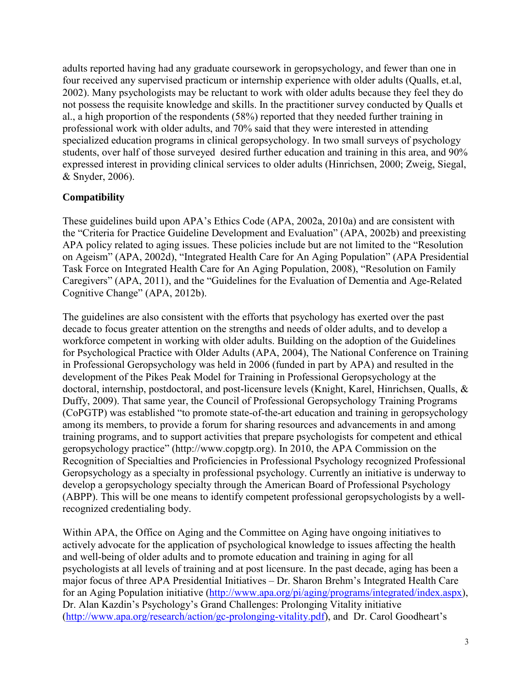adults reported having had any graduate coursework in geropsychology, and fewer than one in four received any supervised practicum or internship experience with older adults (Qualls, et.al, 2002). Many psychologists may be reluctant to work with older adults because they feel they do not possess the requisite knowledge and skills. In the practitioner survey conducted by Qualls et al., a high proportion of the respondents (58%) reported that they needed further training in professional work with older adults, and 70% said that they were interested in attending specialized education programs in clinical geropsychology. In two small surveys of psychology students, over half of those surveyed desired further education and training in this area, and 90% expressed interest in providing clinical services to older adults (Hinrichsen, 2000; Zweig, Siegal, & Snyder, 2006).

# **Compatibility**

These guidelines build upon APA's Ethics Code (APA, 2002a, 2010a) and are consistent with the "Criteria for Practice Guideline Development and Evaluation" (APA, 2002b) and preexisting APA policy related to aging issues. These policies include but are not limited to the "Resolution on Ageism" (APA, 2002d), "Integrated Health Care for An Aging Population" (APA Presidential Task Force on Integrated Health Care for An Aging Population, 2008), "Resolution on Family Caregivers" (APA, 2011), and the "Guidelines for the Evaluation of Dementia and Age-Related Cognitive Change" (APA, 2012b).

The guidelines are also consistent with the efforts that psychology has exerted over the past decade to focus greater attention on the strengths and needs of older adults, and to develop a workforce competent in working with older adults. Building on the adoption of the Guidelines for Psychological Practice with Older Adults (APA, 2004), The National Conference on Training in Professional Geropsychology was held in 2006 (funded in part by APA) and resulted in the development of the Pikes Peak Model for Training in Professional Geropsychology at the doctoral, internship, postdoctoral, and post-licensure levels (Knight, Karel, Hinrichsen, Qualls, & Duffy, 2009). That same year, the Council of Professional Geropsychology Training Programs (CoPGTP) was established "to promote state-of-the-art education and training in geropsychology among its members, to provide a forum for sharing resources and advancements in and among training programs, and to support activities that prepare psychologists for competent and ethical geropsychology practice" (http://www.copgtp.org). In 2010, the APA Commission on the Recognition of Specialties and Proficiencies in Professional Psychology recognized Professional Geropsychology as a specialty in professional psychology. Currently an initiative is underway to develop a geropsychology specialty through the American Board of Professional Psychology (ABPP). This will be one means to identify competent professional geropsychologists by a wellrecognized credentialing body.

Within APA, the Office on Aging and the Committee on Aging have ongoing initiatives to actively advocate for the application of psychological knowledge to issues affecting the health and well-being of older adults and to promote education and training in aging for all psychologists at all levels of training and at post licensure. In the past decade, aging has been a major focus of three APA Presidential Initiatives – Dr. Sharon Brehm's Integrated Health Care for an Aging Population initiative [\(http://www.apa.org/pi/aging/programs/integrated/index.aspx\)](http://www.apa.org/pi/aging/programs/integrated/index.aspx), Dr. Alan Kazdin's Psychology's Grand Challenges: Prolonging Vitality initiative [\(http://www.apa.org/research/action/gc-prolonging-vitality.pdf\)](http://www.apa.org/research/action/gc-prolonging-vitality.pdf0), and Dr. Carol Goodheart's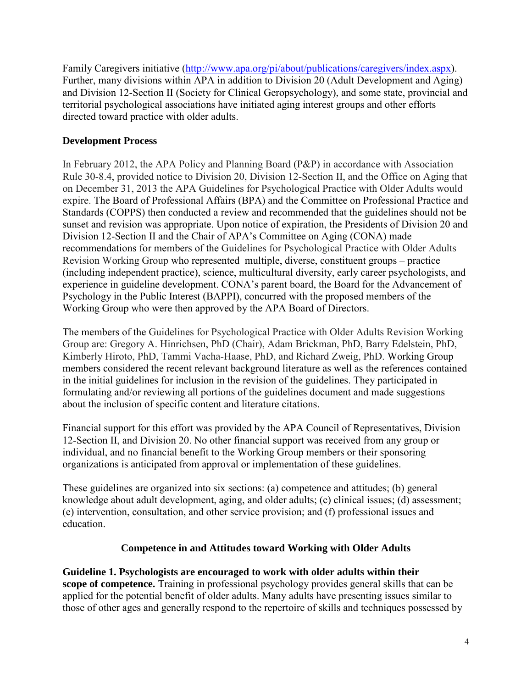Family Caregivers initiative [\(http://www.apa.org/pi/about/publications/caregivers/index.aspx\)](http://www.apa.org/pi/about/publications/caregivers/index.aspx). Further, many divisions within APA in addition to Division 20 (Adult Development and Aging) and Division 12-Section II (Society for Clinical Geropsychology), and some state, provincial and territorial psychological associations have initiated aging interest groups and other efforts directed toward practice with older adults.

# **Development Process**

In February 2012, the APA Policy and Planning Board (P&P) in accordance with Association Rule 30-8.4, provided notice to Division 20, Division 12-Section II, and the Office on Aging that on December 31, 2013 the APA Guidelines for Psychological Practice with Older Adults would expire. The Board of Professional Affairs (BPA) and the Committee on Professional Practice and Standards (COPPS) then conducted a review and recommended that the guidelines should not be sunset and revision was appropriate. Upon notice of expiration, the Presidents of Division 20 and Division 12-Section II and the Chair of APA's Committee on Aging (CONA) made recommendations for members of the Guidelines for Psychological Practice with Older Adults Revision Working Group who represented multiple, diverse, constituent groups – practice (including independent practice), science, multicultural diversity, early career psychologists, and experience in guideline development. CONA's parent board, the Board for the Advancement of Psychology in the Public Interest (BAPPI), concurred with the proposed members of the Working Group who were then approved by the APA Board of Directors.

The members of the Guidelines for Psychological Practice with Older Adults Revision Working Group are: Gregory A. Hinrichsen, PhD (Chair), Adam Brickman, PhD, Barry Edelstein, PhD, Kimberly Hiroto, PhD, Tammi Vacha-Haase, PhD, and Richard Zweig, PhD. Working Group members considered the recent relevant background literature as well as the references contained in the initial guidelines for inclusion in the revision of the guidelines. They participated in formulating and/or reviewing all portions of the guidelines document and made suggestions about the inclusion of specific content and literature citations.

Financial support for this effort was provided by the APA Council of Representatives, Division 12-Section II, and Division 20. No other financial support was received from any group or individual, and no financial benefit to the Working Group members or their sponsoring organizations is anticipated from approval or implementation of these guidelines.

These guidelines are organized into six sections: (a) competence and attitudes; (b) general knowledge about adult development, aging, and older adults; (c) clinical issues; (d) assessment; (e) intervention, consultation, and other service provision; and (f) professional issues and education.

# **Competence in and Attitudes toward Working with Older Adults**

# **Guideline 1. Psychologists are encouraged to work with older adults within their**

**scope of competence.** Training in professional psychology provides general skills that can be applied for the potential benefit of older adults. Many adults have presenting issues similar to those of other ages and generally respond to the repertoire of skills and techniques possessed by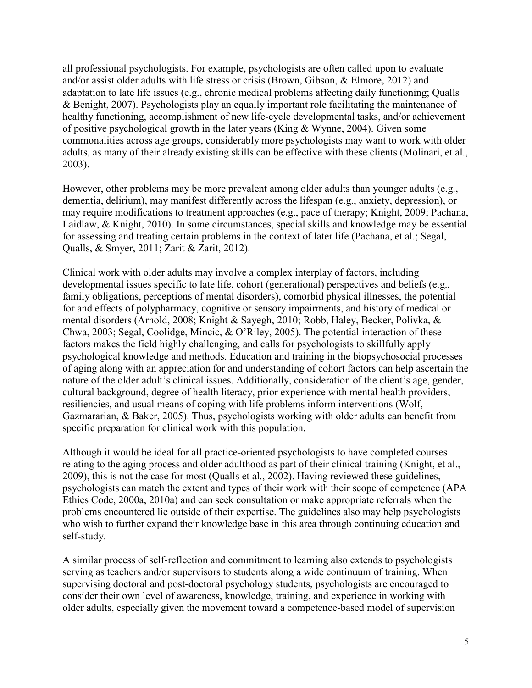all professional psychologists. For example, psychologists are often called upon to evaluate and/or assist older adults with life stress or crisis (Brown, Gibson, & Elmore, 2012) and adaptation to late life issues (e.g., chronic medical problems affecting daily functioning; Qualls & Benight, 2007). Psychologists play an equally important role facilitating the maintenance of healthy functioning, accomplishment of new life-cycle developmental tasks, and/or achievement of positive psychological growth in the later years (King & Wynne, 2004). Given some commonalities across age groups, considerably more psychologists may want to work with older adults, as many of their already existing skills can be effective with these clients (Molinari, et al., 2003).

However, other problems may be more prevalent among older adults than younger adults (e.g., dementia, delirium), may manifest differently across the lifespan (e.g., anxiety, depression), or may require modifications to treatment approaches (e.g., pace of therapy; Knight, 2009; Pachana, Laidlaw, & Knight, 2010). In some circumstances, special skills and knowledge may be essential for assessing and treating certain problems in the context of later life (Pachana, et al.; Segal, Qualls, & Smyer, 2011; Zarit & Zarit, 2012).

Clinical work with older adults may involve a complex interplay of factors, including developmental issues specific to late life, cohort (generational) perspectives and beliefs (e.g., family obligations, perceptions of mental disorders), comorbid physical illnesses, the potential for and effects of polypharmacy, cognitive or sensory impairments, and history of medical or mental disorders (Arnold, 2008; Knight & Sayegh, 2010; Robb, Haley, Becker, Polivka, & Chwa, 2003; Segal, Coolidge, Mincic, & O'Riley, 2005). The potential interaction of these factors makes the field highly challenging, and calls for psychologists to skillfully apply psychological knowledge and methods. Education and training in the biopsychosocial processes of aging along with an appreciation for and understanding of cohort factors can help ascertain the nature of the older adult's clinical issues. Additionally, consideration of the client's age, gender, cultural background, degree of health literacy, prior experience with mental health providers, resiliencies, and usual means of coping with life problems inform interventions (Wolf, Gazmararian, & Baker, 2005). Thus, psychologists working with older adults can benefit from specific preparation for clinical work with this population.

Although it would be ideal for all practice-oriented psychologists to have completed courses relating to the aging process and older adulthood as part of their clinical training (Knight, et al., 2009), this is not the case for most (Qualls et al., 2002). Having reviewed these guidelines, psychologists can match the extent and types of their work with their scope of competence (APA Ethics Code, 2000a, 2010a) and can seek consultation or make appropriate referrals when the problems encountered lie outside of their expertise. The guidelines also may help psychologists who wish to further expand their knowledge base in this area through continuing education and self-study.

A similar process of self-reflection and commitment to learning also extends to psychologists serving as teachers and/or supervisors to students along a wide continuum of training. When supervising doctoral and post-doctoral psychology students, psychologists are encouraged to consider their own level of awareness, knowledge, training, and experience in working with older adults, especially given the movement toward a competence-based model of supervision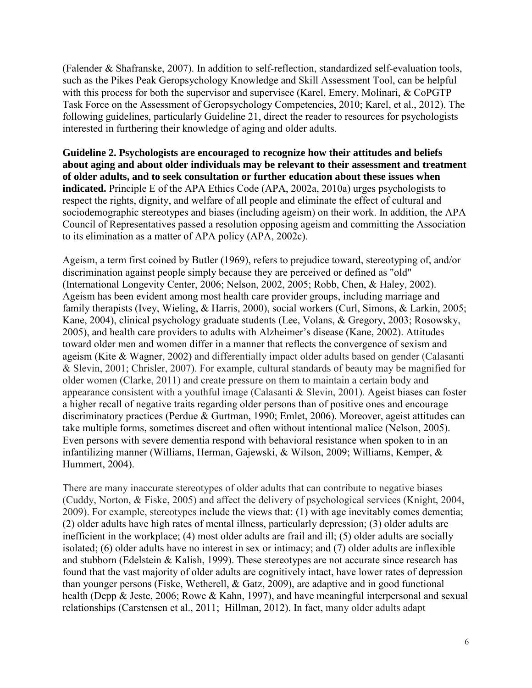(Falender & Shafranske, 2007). In addition to self-reflection, standardized self-evaluation tools, such as the Pikes Peak Geropsychology Knowledge and Skill Assessment Tool, can be helpful with this process for both the supervisor and supervisee (Karel, Emery, Molinari, & CoPGTP Task Force on the Assessment of Geropsychology Competencies, 2010; Karel, et al., 2012). The following guidelines, particularly Guideline 21, direct the reader to resources for psychologists interested in furthering their knowledge of aging and older adults.

**Guideline 2. Psychologists are encouraged to recognize how their attitudes and beliefs about aging and about older individuals may be relevant to their assessment and treatment of older adults, and to seek consultation or further education about these issues when indicated.** Principle E of the APA Ethics Code (APA, 2002a, 2010a) urges psychologists to respect the rights, dignity, and welfare of all people and eliminate the effect of cultural and sociodemographic stereotypes and biases (including ageism) on their work. In addition, the APA Council of Representatives passed a resolution opposing ageism and committing the Association to its elimination as a matter of APA policy (APA, 2002c).

Ageism, a term first coined by Butler (1969), refers to prejudice toward, stereotyping of, and/or discrimination against people simply because they are perceived or defined as "old" (International Longevity Center, 2006; Nelson, 2002, 2005; Robb, Chen, & Haley, 2002). Ageism has been evident among most health care provider groups, including marriage and family therapists (Ivey, Wieling, & Harris, 2000), social workers (Curl, Simons, & Larkin, 2005; Kane, 2004), clinical psychology graduate students (Lee, Volans, & Gregory, 2003; Rosowsky, 2005), and health care providers to adults with Alzheimer's disease (Kane, 2002). Attitudes toward older men and women differ in a manner that reflects the convergence of sexism and ageism (Kite & Wagner, 2002) and differentially impact older adults based on gender (Calasanti & Slevin, 2001; Chrisler, 2007). For example, cultural standards of beauty may be magnified for older women (Clarke, 2011) and create pressure on them to maintain a certain body and appearance consistent with a youthful image (Calasanti & Slevin, 2001). Ageist biases can foster a higher recall of negative traits regarding older persons than of positive ones and encourage discriminatory practices (Perdue & Gurtman, 1990; Emlet, 2006). Moreover, ageist attitudes can take multiple forms, sometimes discreet and often without intentional malice (Nelson, 2005). Even persons with severe dementia respond with behavioral resistance when spoken to in an infantilizing manner (Williams, Herman, Gajewski, & Wilson, 2009; Williams, Kemper, & Hummert, 2004).

There are many inaccurate stereotypes of older adults that can contribute to negative biases (Cuddy, Norton, & Fiske, 2005) and affect the delivery of psychological services (Knight, 2004, 2009). For example, stereotypes include the views that: (1) with age inevitably comes dementia; (2) older adults have high rates of mental illness, particularly depression; (3) older adults are inefficient in the workplace; (4) most older adults are frail and ill; (5) older adults are socially isolated; (6) older adults have no interest in sex or intimacy; and (7) older adults are inflexible and stubborn (Edelstein  $&$  Kalish, 1999). These stereotypes are not accurate since research has found that the vast majority of older adults are cognitively intact, have lower rates of depression than younger persons (Fiske, Wetherell, & Gatz, 2009), are adaptive and in good functional health (Depp & Jeste, 2006; Rowe & Kahn, 1997), and have meaningful interpersonal and sexual relationships (Carstensen et al., 2011; Hillman, 2012). In fact, many older adults adapt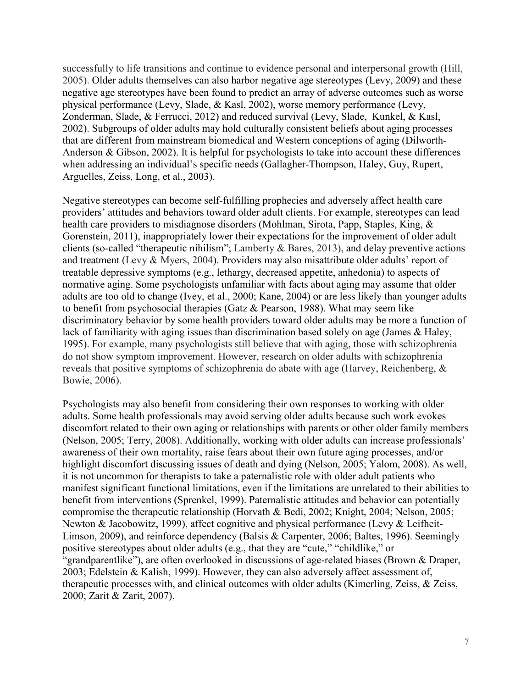successfully to life transitions and continue to evidence personal and interpersonal growth (Hill, 2005). Older adults themselves can also harbor negative age stereotypes (Levy, 2009) and these negative age stereotypes have been found to predict an array of adverse outcomes such as worse physical performance (Levy, Slade, & Kasl, 2002), worse memory performance (Levy, Zonderman, Slade, & Ferrucci, 2012) and reduced survival (Levy, Slade, Kunkel, & Kasl, 2002). Subgroups of older adults may hold culturally consistent beliefs about aging processes that are different from mainstream biomedical and Western conceptions of aging (Dilworth-Anderson & Gibson, 2002). It is helpful for psychologists to take into account these differences when addressing an individual's specific needs (Gallagher-Thompson, Haley, Guy, Rupert, Arguelles, Zeiss, Long, et al., 2003).

Negative stereotypes can become self-fulfilling prophecies and adversely affect health care providers' attitudes and behaviors toward older adult clients. For example, stereotypes can lead health care providers to misdiagnose disorders (Mohlman, Sirota, Papp, Staples, King, & Gorenstein, 2011), inappropriately lower their expectations for the improvement of older adult clients (so-called "therapeutic nihilism"; Lamberty & Bares, 2013), and delay preventive actions and treatment (Levy & Myers, 2004). Providers may also misattribute older adults' report of treatable depressive symptoms (e.g., lethargy, decreased appetite, anhedonia) to aspects of normative aging. Some psychologists unfamiliar with facts about aging may assume that older adults are too old to change (Ivey, et al., 2000; Kane, 2004) or are less likely than younger adults to benefit from psychosocial therapies (Gatz & Pearson, 1988). What may seem like discriminatory behavior by some health providers toward older adults may be more a function of lack of familiarity with aging issues than discrimination based solely on age (James & Haley, 1995). For example, many psychologists still believe that with aging, those with schizophrenia do not show symptom improvement. However, research on older adults with schizophrenia reveals that positive symptoms of schizophrenia do abate with age (Harvey, Reichenberg, & Bowie, 2006).

Psychologists may also benefit from considering their own responses to working with older adults. Some health professionals may avoid serving older adults because such work evokes discomfort related to their own aging or relationships with parents or other older family members (Nelson, 2005; Terry, 2008). Additionally, working with older adults can increase professionals' awareness of their own mortality, raise fears about their own future aging processes, and/or highlight discomfort discussing issues of death and dying (Nelson, 2005; Yalom, 2008). As well, it is not uncommon for therapists to take a paternalistic role with older adult patients who manifest significant functional limitations, even if the limitations are unrelated to their abilities to benefit from interventions (Sprenkel, 1999). Paternalistic attitudes and behavior can potentially compromise the therapeutic relationship (Horvath & Bedi, 2002; Knight, 2004; Nelson, 2005; Newton & Jacobowitz, 1999), affect cognitive and physical performance (Levy & Leifheit-Limson, 2009), and reinforce dependency (Balsis & Carpenter, 2006; Baltes, 1996). Seemingly positive stereotypes about older adults (e.g., that they are "cute," "childlike," or "grandparentlike"), are often overlooked in discussions of age-related biases (Brown & Draper, 2003; Edelstein & Kalish, 1999). However, they can also adversely affect assessment of, therapeutic processes with, and clinical outcomes with older adults (Kimerling, Zeiss, & Zeiss, 2000; Zarit & Zarit, 2007).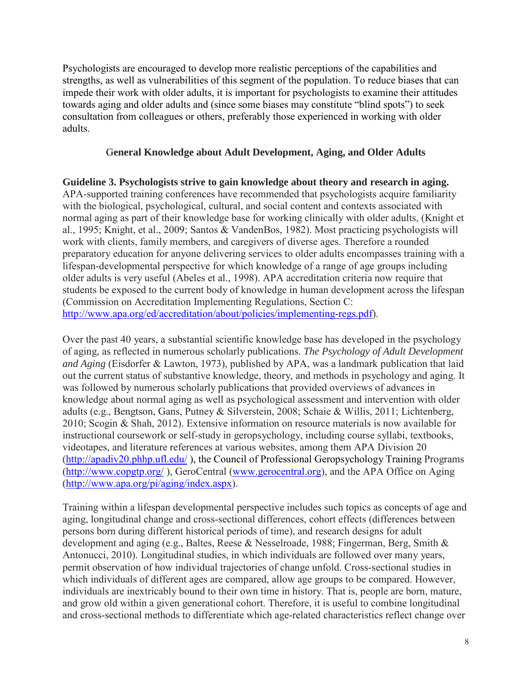Psychologists are encouraged to develop more realistic perceptions of the capabilities and strengths, as well as vulnerabilities of this segment of the population. To reduce biases that can impede their work with older adults, it is important for psychologists to examine their attitudes towards aging and older adults and (since some biases may constitute "blind spots") to seek consultation from colleagues or others, preferably those experienced in working with older adults.

### G**eneral Knowledge about Adult Development, Aging, and Older Adults**

**Guideline 3. Psychologists strive to gain knowledge about theory and research in aging.**  APA-supported training conferences have recommended that psychologists acquire familiarity with the biological, psychological, cultural, and social content and contexts associated with normal aging as part of their knowledge base for working clinically with older adults, (Knight et al., 1995; Knight, et al., 2009; Santos & VandenBos, 1982). Most practicing psychologists will work with clients, family members, and caregivers of diverse ages. Therefore a rounded preparatory education for anyone delivering services to older adults encompasses training with a lifespan-developmental perspective for which knowledge of a range of age groups including older adults is very useful (Abeles et al., 1998). APA accreditation criteria now require that students be exposed to the current body of knowledge in human development across the lifespan (Commission on Accreditation Implementing Regulations, Section C: [http://www.apa.org/ed/accreditation/about/policies/implementing-regs.pdf\)](http://www.apa.org/ed/accreditation/about/policies/implementing-regs.pdf).

Over the past 40 years, a substantial scientific knowledge base has developed in the psychology of aging, as reflected in numerous scholarly publications. *The Psychology of Adult Development and Aging* (Eisdorfer & Lawton, 1973), published by APA, was a landmark publication that laid out the current status of substantive knowledge, theory, and methods in psychology and aging. It was followed by numerous scholarly publications that provided overviews of advances in knowledge about normal aging as well as psychological assessment and intervention with older adults (e.g., Bengtson, Gans, Putney & Silverstein, 2008; Schaie & Willis, 2011; Lichtenberg, 2010; Scogin & Shah, 2012). Extensive information on resource materials is now available for instructional coursework or self-study in geropsychology, including course syllabi, textbooks, videotapes, and literature references at various websites, among them APA Division 20 [\(http://apadiv20.phhp.ufl.edu/](http://apadiv20.phhp.ufl.edu/) ), the Council of Professional Geropsychology Training Programs [\(http://www.copgtp.org/](http://www.copgtp.org/) ), GeroCentral [\(www.gerocentral.org\)](http://www.gerocentral.org/), and the APA Office on Aging [\(http://www.apa.org/pi/aging/index.aspx\)](http://www.apa.org/pi/aging/index.aspx).

Training within a lifespan developmental perspective includes such topics as concepts of age and aging, longitudinal change and cross-sectional differences, cohort effects (differences between persons born during different historical periods of time), and research designs for adult development and aging (e.g., Baltes, Reese & Nesselroade, 1988; Fingerman, Berg, Smith & Antonucci, 2010). Longitudinal studies, in which individuals are followed over many years, permit observation of how individual trajectories of change unfold. Cross-sectional studies in which individuals of different ages are compared, allow age groups to be compared. However, individuals are inextricably bound to their own time in history. That is, people are born, mature, and grow old within a given generational cohort. Therefore, it is useful to combine longitudinal and cross-sectional methods to differentiate which age-related characteristics reflect change over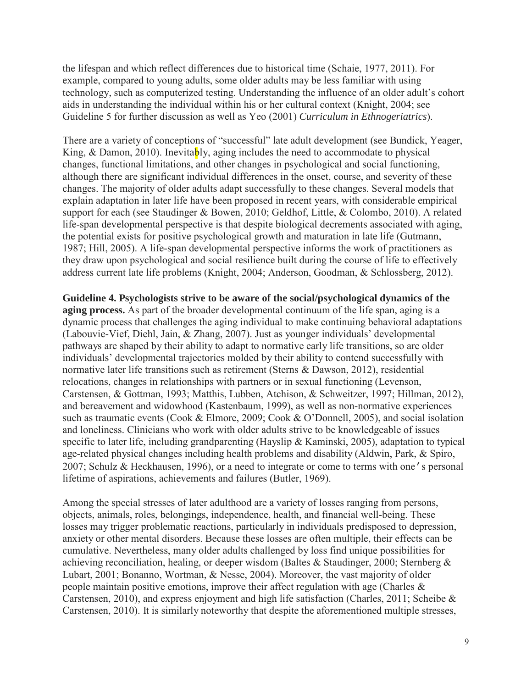the lifespan and which reflect differences due to historical time (Schaie, 1977, 2011). For example, compared to young adults, some older adults may be less familiar with using technology, such as computerized testing. Understanding the influence of an older adult's cohort aids in understanding the individual within his or her cultural context (Knight, 2004; see Guideline 5 for further discussion as well as Yeo (2001) *Curriculum in Ethnogeriatrics*).

There are a variety of conceptions of "successful" late adult development (see Bundick, Yeager, King, & Damon, 2010). Inevitably, aging includes the need to accommodate to physical changes, functional limitations, and other changes in psychological and social functioning, although there are significant individual differences in the onset, course, and severity of these changes. The majority of older adults adapt successfully to these changes. Several models that explain adaptation in later life have been proposed in recent years, with considerable empirical support for each (see Staudinger & Bowen, 2010; Geldhof, Little, & Colombo, 2010). A related life-span developmental perspective is that despite biological decrements associated with aging, the potential exists for positive psychological growth and maturation in late life (Gutmann, 1987; Hill, 2005). A life-span developmental perspective informs the work of practitioners as they draw upon psychological and social resilience built during the course of life to effectively address current late life problems (Knight, 2004; Anderson, Goodman, & Schlossberg, 2012).

**Guideline 4. Psychologists strive to be aware of the social/psychological dynamics of the aging process.** As part of the broader developmental continuum of the life span, aging is a dynamic process that challenges the aging individual to make continuing behavioral adaptations (Labouvie-Vief, Diehl, Jain, & Zhang, 2007). Just as younger individuals' developmental pathways are shaped by their ability to adapt to normative early life transitions, so are older individuals' developmental trajectories molded by their ability to contend successfully with normative later life transitions such as retirement (Sterns & Dawson, 2012), residential relocations, changes in relationships with partners or in sexual functioning (Levenson, Carstensen, & Gottman, 1993; Matthis, Lubben, Atchison, & Schweitzer, 1997; Hillman, 2012), and bereavement and widowhood (Kastenbaum, 1999), as well as non-normative experiences such as traumatic events (Cook & Elmore, 2009; Cook & O'Donnell, 2005), and social isolation and loneliness. Clinicians who work with older adults strive to be knowledgeable of issues specific to later life, including grandparenting (Hayslip & Kaminski, 2005), adaptation to typical age-related physical changes including health problems and disability (Aldwin, Park, & Spiro, 2007; Schulz & Heckhausen, 1996), or a need to integrate or come to terms with one's personal lifetime of aspirations, achievements and failures (Butler, 1969).

Among the special stresses of later adulthood are a variety of losses ranging from persons, objects, animals, roles, belongings, independence, health, and financial well-being. These losses may trigger problematic reactions, particularly in individuals predisposed to depression, anxiety or other mental disorders. Because these losses are often multiple, their effects can be cumulative. Nevertheless, many older adults challenged by loss find unique possibilities for achieving reconciliation, healing, or deeper wisdom (Baltes & Staudinger, 2000; Sternberg & Lubart, 2001; Bonanno, Wortman, & Nesse, 2004). Moreover, the vast majority of older people maintain positive emotions, improve their affect regulation with age (Charles & Carstensen, 2010), and express enjoyment and high life satisfaction (Charles, 2011; Scheibe & Carstensen, 2010). It is similarly noteworthy that despite the aforementioned multiple stresses,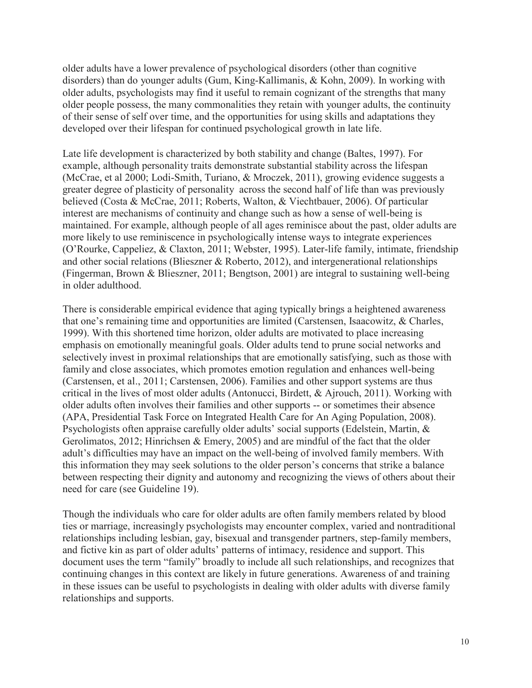older adults have a lower prevalence of psychological disorders (other than cognitive disorders) than do younger adults (Gum, King-Kallimanis, & Kohn, 2009). In working with older adults, psychologists may find it useful to remain cognizant of the strengths that many older people possess, the many commonalities they retain with younger adults, the continuity of their sense of self over time, and the opportunities for using skills and adaptations they developed over their lifespan for continued psychological growth in late life.

Late life development is characterized by both stability and change (Baltes, 1997). For example, although personality traits demonstrate substantial stability across the lifespan (McCrae, et al 2000; Lodi-Smith, Turiano, & Mroczek, 2011), growing evidence suggests a greater degree of plasticity of personality across the second half of life than was previously believed (Costa & McCrae, 2011; Roberts, Walton, & Viechtbauer, 2006). Of particular interest are mechanisms of continuity and change such as how a sense of well-being is maintained. For example, although people of all ages reminisce about the past, older adults are more likely to use reminiscence in psychologically intense ways to integrate experiences (O'Rourke, Cappeliez, & Claxton, 2011; Webster, 1995). Later-life family, intimate, friendship and other social relations (Blieszner & Roberto, 2012), and intergenerational relationships (Fingerman, Brown & Blieszner, 2011; Bengtson, 2001) are integral to sustaining well-being in older adulthood.

There is considerable empirical evidence that aging typically brings a heightened awareness that one's remaining time and opportunities are limited (Carstensen, Isaacowitz, & Charles, 1999). With this shortened time horizon, older adults are motivated to place increasing emphasis on emotionally meaningful goals. Older adults tend to prune social networks and selectively invest in proximal relationships that are emotionally satisfying, such as those with family and close associates, which promotes emotion regulation and enhances well-being (Carstensen, et al., 2011; Carstensen, 2006). Families and other support systems are thus critical in the lives of most older adults (Antonucci, Birdett, & Ajrouch, 2011). Working with older adults often involves their families and other supports -- or sometimes their absence (APA, Presidential Task Force on Integrated Health Care for An Aging Population, 2008). Psychologists often appraise carefully older adults' social supports (Edelstein, Martin, & Gerolimatos, 2012; Hinrichsen & Emery, 2005) and are mindful of the fact that the older adult's difficulties may have an impact on the well-being of involved family members. With this information they may seek solutions to the older person's concerns that strike a balance between respecting their dignity and autonomy and recognizing the views of others about their need for care (see Guideline 19).

Though the individuals who care for older adults are often family members related by blood ties or marriage, increasingly psychologists may encounter complex, varied and nontraditional relationships including lesbian, gay, bisexual and transgender partners, step-family members, and fictive kin as part of older adults' patterns of intimacy, residence and support. This document uses the term "family" broadly to include all such relationships, and recognizes that continuing changes in this context are likely in future generations. Awareness of and training in these issues can be useful to psychologists in dealing with older adults with diverse family relationships and supports.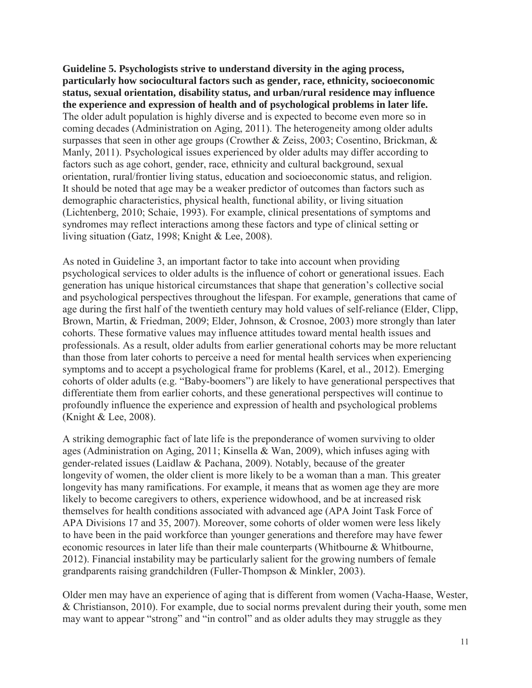**Guideline 5. Psychologists strive to understand diversity in the aging process, particularly how sociocultural factors such as gender, race, ethnicity, socioeconomic status, sexual orientation, disability status, and urban/rural residence may influence the experience and expression of health and of psychological problems in later life.** The older adult population is highly diverse and is expected to become even more so in coming decades (Administration on Aging, 2011). The heterogeneity among older adults surpasses that seen in other age groups (Crowther & Zeiss, 2003; Cosentino, Brickman, & Manly, 2011). Psychological issues experienced by older adults may differ according to factors such as age cohort, gender, race, ethnicity and cultural background, sexual orientation, rural/frontier living status, education and socioeconomic status, and religion. It should be noted that age may be a weaker predictor of outcomes than factors such as demographic characteristics, physical health, functional ability, or living situation (Lichtenberg, 2010; Schaie, 1993). For example, clinical presentations of symptoms and syndromes may reflect interactions among these factors and type of clinical setting or living situation (Gatz, 1998; Knight & Lee, 2008).

As noted in Guideline 3, an important factor to take into account when providing psychological services to older adults is the influence of cohort or generational issues. Each generation has unique historical circumstances that shape that generation's collective social and psychological perspectives throughout the lifespan. For example, generations that came of age during the first half of the twentieth century may hold values of self-reliance (Elder, Clipp, Brown, Martin, & Friedman, 2009; Elder, Johnson, & Crosnoe, 2003) more strongly than later cohorts. These formative values may influence attitudes toward mental health issues and professionals. As a result, older adults from earlier generational cohorts may be more reluctant than those from later cohorts to perceive a need for mental health services when experiencing symptoms and to accept a psychological frame for problems (Karel, et al., 2012). Emerging cohorts of older adults (e.g. "Baby-boomers") are likely to have generational perspectives that differentiate them from earlier cohorts, and these generational perspectives will continue to profoundly influence the experience and expression of health and psychological problems (Knight & Lee, 2008).

A striking demographic fact of late life is the preponderance of women surviving to older ages (Administration on Aging, 2011; Kinsella & Wan, 2009), which infuses aging with gender-related issues (Laidlaw & Pachana, 2009). Notably, because of the greater longevity of women, the older client is more likely to be a woman than a man. This greater longevity has many ramifications. For example, it means that as women age they are more likely to become caregivers to others, experience widowhood, and be at increased risk themselves for health conditions associated with advanced age (APA Joint Task Force of APA Divisions 17 and 35, 2007). Moreover, some cohorts of older women were less likely to have been in the paid workforce than younger generations and therefore may have fewer economic resources in later life than their male counterparts (Whitbourne & Whitbourne, 2012). Financial instability may be particularly salient for the growing numbers of female grandparents raising grandchildren (Fuller-Thompson & Minkler, 2003).

Older men may have an experience of aging that is different from women (Vacha-Haase, Wester, & Christianson, 2010). For example, due to social norms prevalent during their youth, some men may want to appear "strong" and "in control" and as older adults they may struggle as they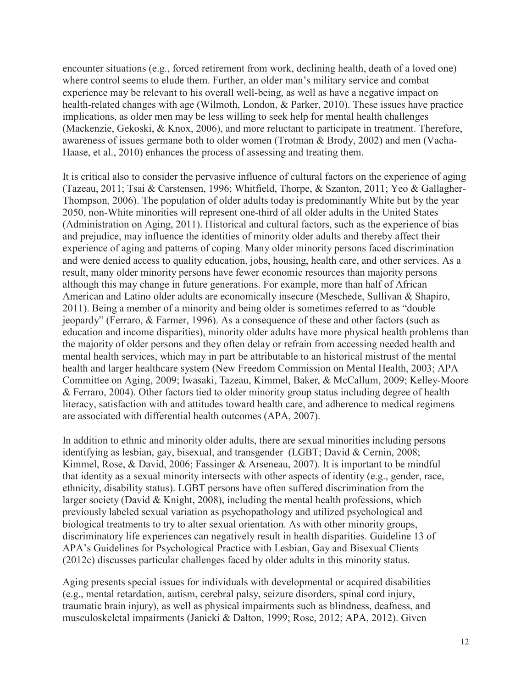encounter situations (e.g., forced retirement from work, declining health, death of a loved one) where control seems to elude them. Further, an older man's military service and combat experience may be relevant to his overall well-being, as well as have a negative impact on health-related changes with age (Wilmoth, London, & Parker, 2010). These issues have practice implications, as older men may be less willing to seek help for mental health challenges (Mackenzie, Gekoski, & Knox, 2006), and more reluctant to participate in treatment. Therefore, awareness of issues germane both to older women (Trotman & Brody, 2002) and men (Vacha-Haase, et al., 2010) enhances the process of assessing and treating them.

It is critical also to consider the pervasive influence of cultural factors on the experience of aging (Tazeau, 2011; Tsai & Carstensen, 1996; Whitfield, Thorpe, & Szanton, 2011; Yeo & Gallagher-Thompson, 2006). The population of older adults today is predominantly White but by the year 2050, non-White minorities will represent one-third of all older adults in the United States (Administration on Aging, 2011). Historical and cultural factors, such as the experience of bias and prejudice, may influence the identities of minority older adults and thereby affect their experience of aging and patterns of coping. Many older minority persons faced discrimination and were denied access to quality education, jobs, housing, health care, and other services. As a result, many older minority persons have fewer economic resources than majority persons although this may change in future generations. For example, more than half of African American and Latino older adults are economically insecure (Meschede, Sullivan & Shapiro, 2011). Being a member of a minority and being older is sometimes referred to as "double jeopardy" (Ferraro, & Farmer, 1996). As a consequence of these and other factors (such as education and income disparities), minority older adults have more physical health problems than the majority of older persons and they often delay or refrain from accessing needed health and mental health services, which may in part be attributable to an historical mistrust of the mental health and larger healthcare system (New Freedom Commission on Mental Health, 2003; APA Committee on Aging, 2009; Iwasaki, Tazeau, Kimmel, Baker, & McCallum, 2009; Kelley-Moore & Ferraro, 2004). Other factors tied to older minority group status including degree of health literacy, satisfaction with and attitudes toward health care, and adherence to medical regimens are associated with differential health outcomes (APA, 2007).

In addition to ethnic and minority older adults, there are sexual minorities including persons identifying as lesbian, gay, bisexual, and transgender (LGBT; David & Cernin, 2008; Kimmel, Rose, & David, 2006; Fassinger & Arseneau, 2007). It is important to be mindful that identity as a sexual minority intersects with other aspects of identity (e.g., gender, race, ethnicity, disability status). LGBT persons have often suffered discrimination from the larger society (David & Knight, 2008), including the mental health professions, which previously labeled sexual variation as psychopathology and utilized psychological and biological treatments to try to alter sexual orientation. As with other minority groups, discriminatory life experiences can negatively result in health disparities. Guideline 13 of APA's Guidelines for Psychological Practice with Lesbian, Gay and Bisexual Clients (2012c) discusses particular challenges faced by older adults in this minority status.

Aging presents special issues for individuals with developmental or acquired disabilities (e.g., mental retardation, autism, cerebral palsy, seizure disorders, spinal cord injury, traumatic brain injury), as well as physical impairments such as blindness, deafness, and musculoskeletal impairments (Janicki & Dalton, 1999; Rose, 2012; APA, 2012). Given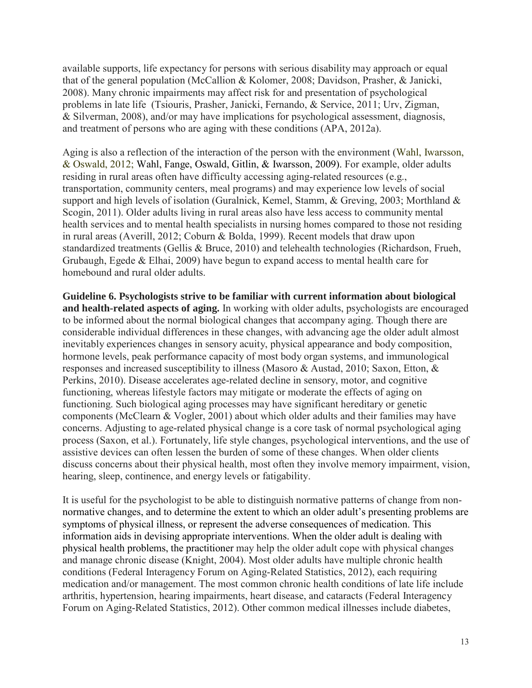available supports, life expectancy for persons with serious disability may approach or equal that of the general population (McCallion & Kolomer, 2008; Davidson, Prasher, & Janicki, 2008). Many chronic impairments may affect risk for and presentation of psychological problems in late life (Tsiouris, Prasher, Janicki, Fernando, & Service, 2011; Urv, Zigman, & Silverman, 2008), and/or may have implications for psychological assessment, diagnosis, and treatment of persons who are aging with these conditions (APA, 2012a).

Aging is also a reflection of the interaction of the person with the environment (Wahl, Iwarsson, & Oswald, 2012; Wahl, Fange, Oswald, Gitlin, & Iwarsson, 2009). For example, older adults residing in rural areas often have difficulty accessing aging-related resources (e.g., transportation, community centers, meal programs) and may experience low levels of social support and high levels of isolation (Guralnick, Kemel, Stamm, & Greving, 2003; Morthland & Scogin, 2011). Older adults living in rural areas also have less access to community mental health services and to mental health specialists in nursing homes compared to those not residing in rural areas (Averill, 2012; Coburn & Bolda, 1999). Recent models that draw upon standardized treatments (Gellis & Bruce, 2010) and telehealth technologies (Richardson, Frueh, Grubaugh, Egede & Elhai, 2009) have begun to expand access to mental health care for homebound and rural older adults.

**Guideline 6. Psychologists strive to be familiar with current information about biological and health-related aspects of aging.** In working with older adults, psychologists are encouraged to be informed about the normal biological changes that accompany aging. Though there are considerable individual differences in these changes, with advancing age the older adult almost inevitably experiences changes in sensory acuity, physical appearance and body composition, hormone levels, peak performance capacity of most body organ systems, and immunological responses and increased susceptibility to illness (Masoro & Austad, 2010; Saxon, Etton, & Perkins, 2010). Disease accelerates age-related decline in sensory, motor, and cognitive functioning, whereas lifestyle factors may mitigate or moderate the effects of aging on functioning. Such biological aging processes may have significant hereditary or genetic components (McClearn & Vogler, 2001) about which older adults and their families may have concerns. Adjusting to age-related physical change is a core task of normal psychological aging process (Saxon, et al.). Fortunately, life style changes, psychological interventions, and the use of assistive devices can often lessen the burden of some of these changes. When older clients discuss concerns about their physical health, most often they involve memory impairment, vision, hearing, sleep, continence, and energy levels or fatigability.

It is useful for the psychologist to be able to distinguish normative patterns of change from nonnormative changes, and to determine the extent to which an older adult's presenting problems are symptoms of physical illness, or represent the adverse consequences of medication. This information aids in devising appropriate interventions. When the older adult is dealing with physical health problems, the practitioner may help the older adult cope with physical changes and manage chronic disease (Knight, 2004). Most older adults have multiple chronic health conditions (Federal Interagency Forum on Aging-Related Statistics, 2012), each requiring medication and/or management. The most common chronic health conditions of late life include arthritis, hypertension, hearing impairments, heart disease, and cataracts (Federal Interagency Forum on Aging-Related Statistics, 2012). Other common medical illnesses include diabetes,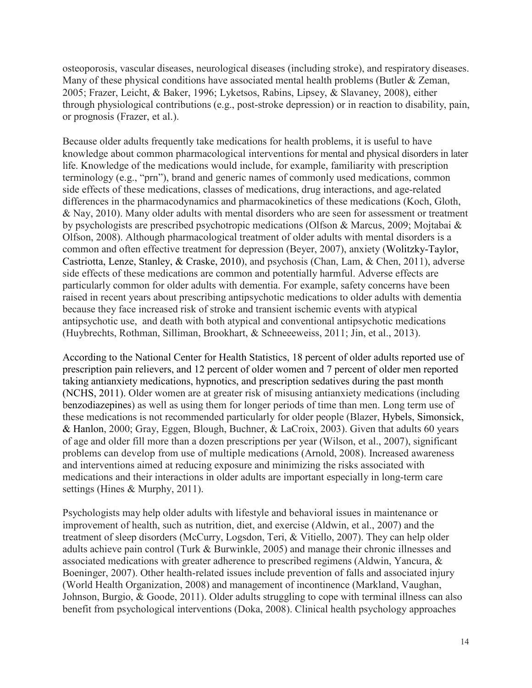osteoporosis, vascular diseases, neurological diseases (including stroke), and respiratory diseases. Many of these physical conditions have associated mental health problems (Butler & Zeman, 2005; Frazer, Leicht, & Baker, 1996; Lyketsos, Rabins, Lipsey, & Slavaney, 2008), either through physiological contributions (e.g., post-stroke depression) or in reaction to disability, pain, or prognosis (Frazer, et al.).

Because older adults frequently take medications for health problems, it is useful to have knowledge about common pharmacological interventions for mental and physical disorders in later life. Knowledge of the medications would include, for example, familiarity with prescription terminology (e.g., "prn"), brand and generic names of commonly used medications, common side effects of these medications, classes of medications, drug interactions, and age-related differences in the pharmacodynamics and pharmacokinetics of these medications (Koch, Gloth, & Nay, 2010). Many older adults with mental disorders who are seen for assessment or treatment by psychologists are prescribed psychotropic medications (Olfson & Marcus, 2009; Mojtabai & Olfson, 2008). Although pharmacological treatment of older adults with mental disorders is a common and often effective treatment for depression (Beyer, 2007), anxiety (Wolitzky-Taylor, Castriotta, Lenze, Stanley, & Craske, 2010), and psychosis (Chan, Lam, & Chen, 2011), adverse side effects of these medications are common and potentially harmful. Adverse effects are particularly common for older adults with dementia. For example, safety concerns have been raised in recent years about prescribing antipsychotic medications to older adults with dementia because they face increased risk of stroke and transient ischemic events with atypical antipsychotic use, and death with both atypical and conventional antipsychotic medications (Huybrechts, Rothman, Silliman, Brookhart, & Schneeeweiss, 2011; Jin, et al., 2013).

According to the National Center for Health Statistics, 18 percent of older adults reported use of prescription pain relievers, and 12 percent of older women and 7 percent of older men reported taking antianxiety medications, hypnotics, and prescription sedatives during the past month (NCHS, 2011). Older women are at greater risk of misusing antianxiety medications (including benzodiazepines) as well as using them for longer periods of time than men. Long term use of these medications is not recommended particularly for older people (Blazer, Hybels, Simonsick, & Hanlon, 2000; Gray, Eggen, Blough, Buchner, & LaCroix, 2003). Given that adults 60 years of age and older fill more than a dozen prescriptions per year (Wilson, et al., 2007), significant problems can develop from use of multiple medications (Arnold, 2008). Increased awareness and interventions aimed at reducing exposure and minimizing the risks associated with medications and their interactions in older adults are important especially in long-term care settings (Hines & Murphy, 2011).

Psychologists may help older adults with lifestyle and behavioral issues in maintenance or improvement of health, such as nutrition, diet, and exercise (Aldwin, et al., 2007) and the treatment of sleep disorders (McCurry, Logsdon, Teri, & Vitiello, 2007). They can help older adults achieve pain control (Turk & Burwinkle, 2005) and manage their chronic illnesses and associated medications with greater adherence to prescribed regimens (Aldwin, Yancura, & Boeninger, 2007). Other health-related issues include prevention of falls and associated injury (World Health Organization, 2008) and management of incontinence (Markland, Vaughan, Johnson, Burgio, & Goode, 2011). Older adults struggling to cope with terminal illness can also benefit from psychological interventions (Doka, 2008). Clinical health psychology approaches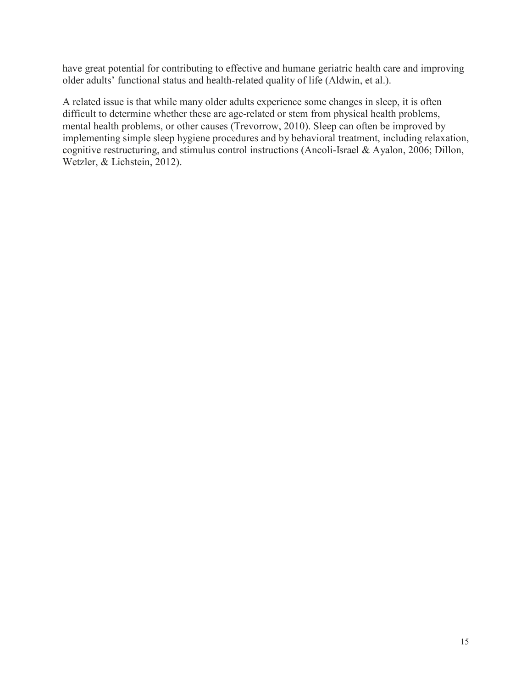have great potential for contributing to effective and humane geriatric health care and improving older adults' functional status and health-related quality of life (Aldwin, et al.).

A related issue is that while many older adults experience some changes in sleep, it is often difficult to determine whether these are age-related or stem from physical health problems, mental health problems, or other causes (Trevorrow, 2010). Sleep can often be improved by implementing simple sleep hygiene procedures and by behavioral treatment, including relaxation, cognitive restructuring, and stimulus control instructions (Ancoli-Israel & Ayalon, 2006; Dillon, Wetzler, & Lichstein, 2012).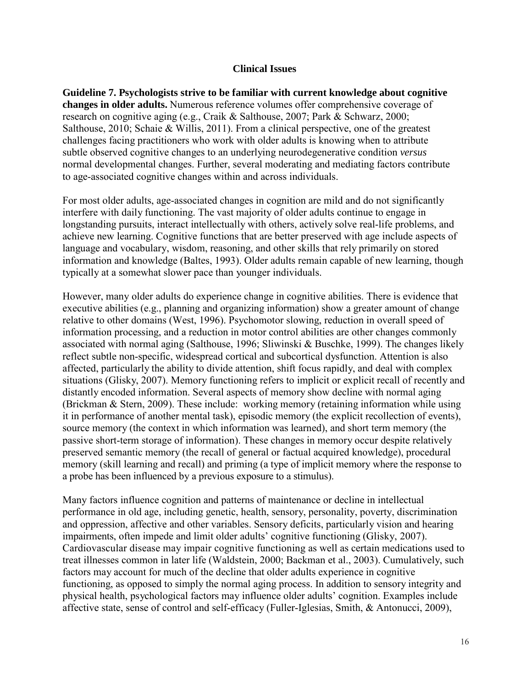#### **Clinical Issues**

**Guideline 7. Psychologists strive to be familiar with current knowledge about cognitive changes in older adults.** Numerous reference volumes offer comprehensive coverage of research on cognitive aging (e.g., Craik & Salthouse, 2007; Park & Schwarz, 2000; Salthouse, 2010; Schaie & Willis, 2011). From a clinical perspective, one of the greatest challenges facing practitioners who work with older adults is knowing when to attribute subtle observed cognitive changes to an underlying neurodegenerative condition *versus*  normal developmental changes. Further, several moderating and mediating factors contribute to age-associated cognitive changes within and across individuals.

For most older adults, age-associated changes in cognition are mild and do not significantly interfere with daily functioning. The vast majority of older adults continue to engage in longstanding pursuits, interact intellectually with others, actively solve real-life problems, and achieve new learning. Cognitive functions that are better preserved with age include aspects of language and vocabulary, wisdom, reasoning, and other skills that rely primarily on stored information and knowledge (Baltes, 1993). Older adults remain capable of new learning, though typically at a somewhat slower pace than younger individuals.

However, many older adults do experience change in cognitive abilities. There is evidence that executive abilities (e.g., planning and organizing information) show a greater amount of change relative to other domains (West, 1996). Psychomotor slowing, reduction in overall speed of information processing, and a reduction in motor control abilities are other changes commonly associated with normal aging (Salthouse, 1996; Sliwinski & Buschke, 1999). The changes likely reflect subtle non-specific, widespread cortical and subcortical dysfunction. Attention is also affected, particularly the ability to divide attention, shift focus rapidly, and deal with complex situations (Glisky, 2007). Memory functioning refers to implicit or explicit recall of recently and distantly encoded information. Several aspects of memory show decline with normal aging (Brickman & Stern, 2009). These include: working memory (retaining information while using it in performance of another mental task), episodic memory (the explicit recollection of events), source memory (the context in which information was learned), and short term memory (the passive short-term storage of information). These changes in memory occur despite relatively preserved semantic memory (the recall of general or factual acquired knowledge), procedural memory (skill learning and recall) and priming (a type of implicit memory where the response to a probe has been influenced by a previous exposure to a stimulus).

Many factors influence cognition and patterns of maintenance or decline in intellectual performance in old age, including genetic, health, sensory, personality, poverty, discrimination and oppression, affective and other variables. Sensory deficits, particularly vision and hearing impairments, often impede and limit older adults' cognitive functioning (Glisky, 2007). Cardiovascular disease may impair cognitive functioning as well as certain medications used to treat illnesses common in later life (Waldstein, 2000; Backman et al., 2003). Cumulatively, such factors may account for much of the decline that older adults experience in cognitive functioning, as opposed to simply the normal aging process. In addition to sensory integrity and physical health, psychological factors may influence older adults' cognition. Examples include affective state, sense of control and self-efficacy (Fuller-Iglesias, Smith, & Antonucci, 2009),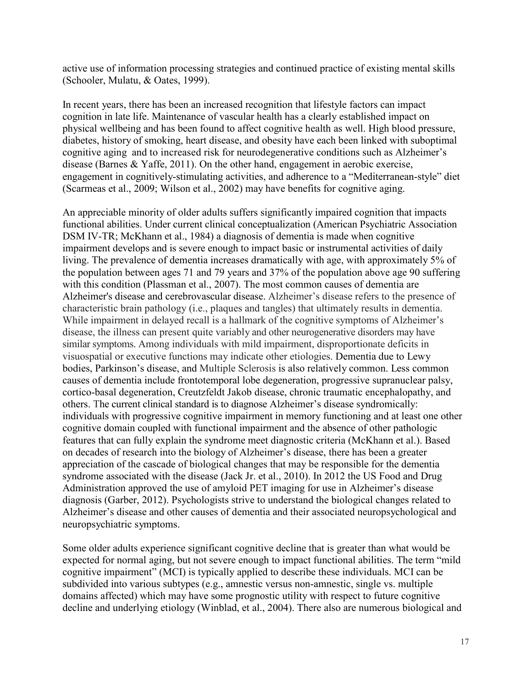active use of information processing strategies and continued practice of existing mental skills (Schooler, Mulatu, & Oates, 1999).

In recent years, there has been an increased recognition that lifestyle factors can impact cognition in late life. Maintenance of vascular health has a clearly established impact on physical wellbeing and has been found to affect cognitive health as well. High blood pressure, diabetes, history of smoking, heart disease, and obesity have each been linked with suboptimal cognitive aging and to increased risk for neurodegenerative conditions such as Alzheimer's disease (Barnes & Yaffe, 2011). On the other hand, engagement in aerobic exercise, engagement in cognitively-stimulating activities, and adherence to a "Mediterranean-style" diet (Scarmeas et al., 2009; Wilson et al., 2002) may have benefits for cognitive aging.

An appreciable minority of older adults suffers significantly impaired cognition that impacts functional abilities. Under current clinical conceptualization (American Psychiatric Association DSM IV-TR; McKhann et al., 1984) a diagnosis of dementia is made when cognitive impairment develops and is severe enough to impact basic or instrumental activities of daily living. The prevalence of dementia increases dramatically with age, with approximately 5% of the population between ages 71 and 79 years and 37% of the population above age 90 suffering with this condition (Plassman et al., 2007). The most common causes of dementia are Alzheimer's disease and cerebrovascular disease. Alzheimer's disease refers to the presence of characteristic brain pathology (i.e., plaques and tangles) that ultimately results in dementia. While impairment in delayed recall is a hallmark of the cognitive symptoms of Alzheimer's disease, the illness can present quite variably and other neurogenerative disorders may have similar symptoms. Among individuals with mild impairment, disproportionate deficits in visuospatial or executive functions may indicate other etiologies. Dementia due to Lewy bodies, Parkinson's disease, and Multiple Sclerosis is also relatively common. Less common causes of dementia include frontotemporal lobe degeneration, progressive supranuclear palsy, cortico-basal degeneration, Creutzfeldt Jakob disease, chronic traumatic encephalopathy, and others. The current clinical standard is to diagnose Alzheimer's disease syndromically: individuals with progressive cognitive impairment in memory functioning and at least one other cognitive domain coupled with functional impairment and the absence of other pathologic features that can fully explain the syndrome meet diagnostic criteria (McKhann et al.). Based on decades of research into the biology of Alzheimer's disease, there has been a greater appreciation of the cascade of biological changes that may be responsible for the dementia syndrome associated with the disease (Jack Jr. et al., 2010). In 2012 the US Food and Drug Administration approved the use of amyloid PET imaging for use in Alzheimer's disease diagnosis (Garber, 2012). Psychologists strive to understand the biological changes related to Alzheimer's disease and other causes of dementia and their associated neuropsychological and neuropsychiatric symptoms.

Some older adults experience significant cognitive decline that is greater than what would be expected for normal aging, but not severe enough to impact functional abilities. The term "mild cognitive impairment" (MCI) is typically applied to describe these individuals. MCI can be subdivided into various subtypes (e.g., amnestic versus non-amnestic, single vs. multiple domains affected) which may have some prognostic utility with respect to future cognitive decline and underlying etiology (Winblad, et al., 2004). There also are numerous biological and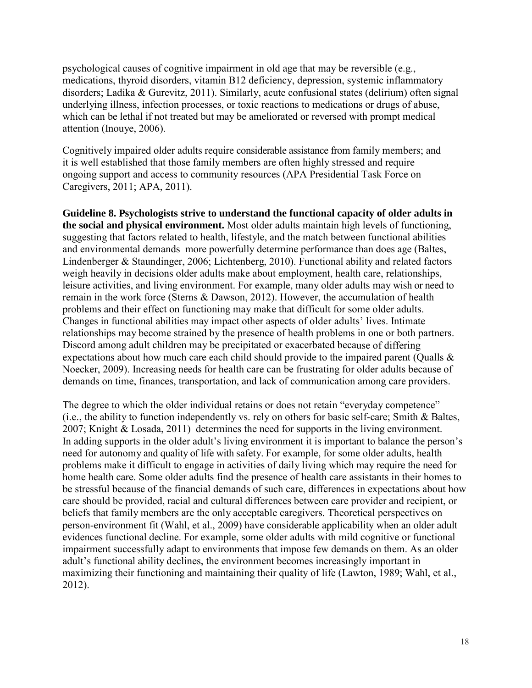psychological causes of cognitive impairment in old age that may be reversible (e.g., medications, thyroid disorders, vitamin B12 deficiency, depression, systemic inflammatory disorders; Ladika & Gurevitz, 2011). Similarly, acute confusional states (delirium) often signal underlying illness, infection processes, or toxic reactions to medications or drugs of abuse, which can be lethal if not treated but may be ameliorated or reversed with prompt medical attention (Inouye, 2006).

Cognitively impaired older adults require considerable assistance from family members; and it is well established that those family members are often highly stressed and require ongoing support and access to community resources (APA Presidential Task Force on Caregivers, 2011; APA, 2011).

**Guideline 8. Psychologists strive to understand the functional capacity of older adults in the social and physical environment.** Most older adults maintain high levels of functioning, suggesting that factors related to health, lifestyle, and the match between functional abilities and environmental demands more powerfully determine performance than does age (Baltes, Lindenberger & Staundinger, 2006; Lichtenberg, 2010). Functional ability and related factors weigh heavily in decisions older adults make about employment, health care, relationships, leisure activities, and living environment. For example, many older adults may wish or need to remain in the work force (Sterns & Dawson, 2012). However, the accumulation of health problems and their effect on functioning may make that difficult for some older adults. Changes in functional abilities may impact other aspects of older adults' lives. Intimate relationships may become strained by the presence of health problems in one or both partners. Discord among adult children may be precipitated or exacerbated because of differing expectations about how much care each child should provide to the impaired parent (Qualls & Noecker, 2009). Increasing needs for health care can be frustrating for older adults because of demands on time, finances, transportation, and lack of communication among care providers.

The degree to which the older individual retains or does not retain "everyday competence" (i.e., the ability to function independently vs. rely on others for basic self-care; Smith & Baltes, 2007; Knight & Losada, 2011) determines the need for supports in the living environment. In adding supports in the older adult's living environment it is important to balance the person's need for autonomy and quality of life with safety. For example, for some older adults, health problems make it difficult to engage in activities of daily living which may require the need for home health care. Some older adults find the presence of health care assistants in their homes to be stressful because of the financial demands of such care, differences in expectations about how care should be provided, racial and cultural differences between care provider and recipient, or beliefs that family members are the only acceptable caregivers. Theoretical perspectives on person-environment fit (Wahl, et al., 2009) have considerable applicability when an older adult evidences functional decline. For example, some older adults with mild cognitive or functional impairment successfully adapt to environments that impose few demands on them. As an older adult's functional ability declines, the environment becomes increasingly important in maximizing their functioning and maintaining their quality of life (Lawton, 1989; Wahl, et al., 2012).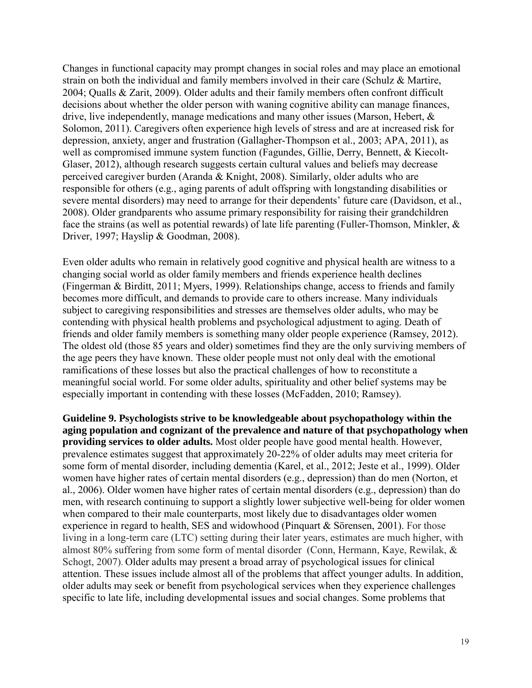Changes in functional capacity may prompt changes in social roles and may place an emotional strain on both the individual and family members involved in their care (Schulz & Martire, 2004; Qualls & Zarit, 2009). Older adults and their family members often confront difficult decisions about whether the older person with waning cognitive ability can manage finances, drive, live independently, manage medications and many other issues (Marson, Hebert, & Solomon, 2011). Caregivers often experience high levels of stress and are at increased risk for depression, anxiety, anger and frustration (Gallagher-Thompson et al., 2003; APA, 2011), as well as compromised immune system function (Fagundes, Gillie, Derry, Bennett, & Kiecolt-Glaser, 2012), although research suggests certain cultural values and beliefs may decrease perceived caregiver burden (Aranda & Knight, 2008). Similarly, older adults who are responsible for others (e.g., aging parents of adult offspring with longstanding disabilities or severe mental disorders) may need to arrange for their dependents' future care (Davidson, et al., 2008). Older grandparents who assume primary responsibility for raising their grandchildren face the strains (as well as potential rewards) of late life parenting (Fuller-Thomson, Minkler, & Driver, 1997; Hayslip & Goodman, 2008).

Even older adults who remain in relatively good cognitive and physical health are witness to a changing social world as older family members and friends experience health declines (Fingerman & Birditt, 2011; Myers, 1999). Relationships change, access to friends and family becomes more difficult, and demands to provide care to others increase. Many individuals subject to caregiving responsibilities and stresses are themselves older adults, who may be contending with physical health problems and psychological adjustment to aging. Death of friends and older family members is something many older people experience (Ramsey, 2012). The oldest old (those 85 years and older) sometimes find they are the only surviving members of the age peers they have known. These older people must not only deal with the emotional ramifications of these losses but also the practical challenges of how to reconstitute a meaningful social world. For some older adults, spirituality and other belief systems may be especially important in contending with these losses (McFadden, 2010; Ramsey).

**Guideline 9. Psychologists strive to be knowledgeable about psychopathology within the aging population and cognizant of the prevalence and nature of that psychopathology when providing services to older adults.** Most older people have good mental health. However, prevalence estimates suggest that approximately 20-22% of older adults may meet criteria for some form of mental disorder, including dementia (Karel, et al., 2012; Jeste et al., 1999). Older women have higher rates of certain mental disorders (e.g., depression) than do men (Norton, et al., 2006). Older women have higher rates of certain mental disorders (e.g., depression) than do men, with research continuing to support a slightly lower subjective well-being for older women when compared to their male counterparts, most likely due to disadvantages older women experience in regard to health, SES and widowhood (Pinquart & Sörensen, 2001). For those living in a long-term care (LTC) setting during their later years, estimates are much higher, with almost 80% suffering from some form of mental disorder (Conn, Hermann, Kaye, Rewilak, & Schogt, 2007). Older adults may present a broad array of psychological issues for clinical attention. These issues include almost all of the problems that affect younger adults. In addition, older adults may seek or benefit from psychological services when they experience challenges specific to late life, including developmental issues and social changes. Some problems that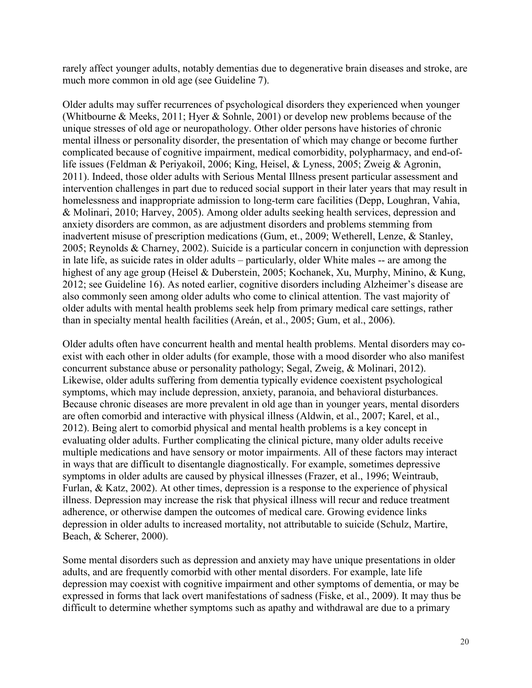rarely affect younger adults, notably dementias due to degenerative brain diseases and stroke, are much more common in old age (see Guideline 7).

Older adults may suffer recurrences of psychological disorders they experienced when younger (Whitbourne & Meeks, 2011; Hyer & Sohnle, 2001) or develop new problems because of the unique stresses of old age or neuropathology. Other older persons have histories of chronic mental illness or personality disorder, the presentation of which may change or become further complicated because of cognitive impairment, medical comorbidity, polypharmacy, and end-oflife issues (Feldman & Periyakoil, 2006; King, Heisel, & Lyness, 2005; Zweig & Agronin, 2011). Indeed, those older adults with Serious Mental Illness present particular assessment and intervention challenges in part due to reduced social support in their later years that may result in homelessness and inappropriate admission to long-term care facilities (Depp, Loughran, Vahia, & Molinari, 2010; Harvey, 2005). Among older adults seeking health services, depression and anxiety disorders are common, as are adjustment disorders and problems stemming from inadvertent misuse of prescription medications (Gum, et., 2009; Wetherell, Lenze, & Stanley, 2005; Reynolds & Charney, 2002). Suicide is a particular concern in conjunction with depression in late life, as suicide rates in older adults – particularly, older White males -- are among the highest of any age group (Heisel & Duberstein, 2005; Kochanek, Xu, Murphy, Minino, & Kung, 2012; see Guideline 16). As noted earlier, cognitive disorders including Alzheimer's disease are also commonly seen among older adults who come to clinical attention. The vast majority of older adults with mental health problems seek help from primary medical care settings, rather than in specialty mental health facilities (Areán, et al., 2005; Gum, et al., 2006).

Older adults often have concurrent health and mental health problems. Mental disorders may coexist with each other in older adults (for example, those with a mood disorder who also manifest concurrent substance abuse or personality pathology; Segal, Zweig, & Molinari, 2012). Likewise, older adults suffering from dementia typically evidence coexistent psychological symptoms, which may include depression, anxiety, paranoia, and behavioral disturbances. Because chronic diseases are more prevalent in old age than in younger years, mental disorders are often comorbid and interactive with physical illness (Aldwin, et al., 2007; Karel, et al., 2012). Being alert to comorbid physical and mental health problems is a key concept in evaluating older adults. Further complicating the clinical picture, many older adults receive multiple medications and have sensory or motor impairments. All of these factors may interact in ways that are difficult to disentangle diagnostically. For example, sometimes depressive symptoms in older adults are caused by physical illnesses (Frazer, et al., 1996; Weintraub, Furlan, & Katz, 2002). At other times, depression is a response to the experience of physical illness. Depression may increase the risk that physical illness will recur and reduce treatment adherence, or otherwise dampen the outcomes of medical care. Growing evidence links depression in older adults to increased mortality, not attributable to suicide (Schulz, Martire, Beach, & Scherer, 2000).

Some mental disorders such as depression and anxiety may have unique presentations in older adults, and are frequently comorbid with other mental disorders. For example, late life depression may coexist with cognitive impairment and other symptoms of dementia, or may be expressed in forms that lack overt manifestations of sadness (Fiske, et al., 2009). It may thus be difficult to determine whether symptoms such as apathy and withdrawal are due to a primary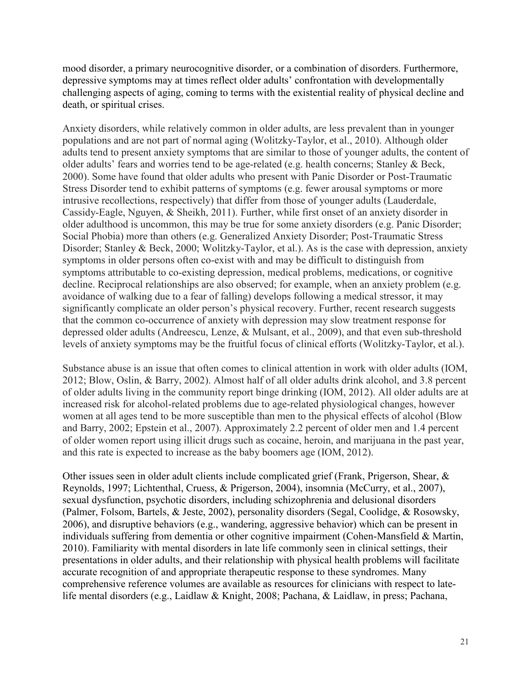mood disorder, a primary neurocognitive disorder, or a combination of disorders. Furthermore, depressive symptoms may at times reflect older adults' confrontation with developmentally challenging aspects of aging, coming to terms with the existential reality of physical decline and death, or spiritual crises.

Anxiety disorders, while relatively common in older adults, are less prevalent than in younger populations and are not part of normal aging (Wolitzky-Taylor, et al., 2010). Although older adults tend to present anxiety symptoms that are similar to those of younger adults, the content of older adults' fears and worries tend to be age-related (e.g. health concerns; Stanley & Beck, 2000). Some have found that older adults who present with Panic Disorder or Post-Traumatic Stress Disorder tend to exhibit patterns of symptoms (e.g. fewer arousal symptoms or more intrusive recollections, respectively) that differ from those of younger adults (Lauderdale, Cassidy-Eagle, Nguyen, & Sheikh, 2011). Further, while first onset of an anxiety disorder in older adulthood is uncommon, this may be true for some anxiety disorders (e.g. Panic Disorder; Social Phobia) more than others (e.g. Generalized Anxiety Disorder; Post-Traumatic Stress Disorder; Stanley & Beck, 2000; Wolitzky-Taylor, et al.). As is the case with depression, anxiety symptoms in older persons often co-exist with and may be difficult to distinguish from symptoms attributable to co-existing depression, medical problems, medications, or cognitive decline. Reciprocal relationships are also observed; for example, when an anxiety problem (e.g. avoidance of walking due to a fear of falling) develops following a medical stressor, it may significantly complicate an older person's physical recovery. Further, recent research suggests that the common co-occurrence of anxiety with depression may slow treatment response for depressed older adults (Andreescu, Lenze, & Mulsant, et al., 2009), and that even sub-threshold levels of anxiety symptoms may be the fruitful focus of clinical efforts (Wolitzky-Taylor, et al.).

Substance abuse is an issue that often comes to clinical attention in work with older adults (IOM, 2012; Blow, Oslin, & Barry, 2002). Almost half of all older adults drink alcohol, and 3.8 percent of older adults living in the community report binge drinking (IOM, 2012). All older adults are at increased risk for alcohol-related problems due to age-related physiological changes, however women at all ages tend to be more susceptible than men to the physical effects of alcohol (Blow and Barry, 2002; Epstein et al., 2007). Approximately 2.2 percent of older men and 1.4 percent of older women report using illicit drugs such as cocaine, heroin, and marijuana in the past year, and this rate is expected to increase as the baby boomers age (IOM, 2012).

Other issues seen in older adult clients include complicated grief (Frank, Prigerson, Shear, & Reynolds, 1997; Lichtenthal, Cruess, & Prigerson, 2004), insomnia (McCurry, et al., 2007), sexual dysfunction, psychotic disorders, including schizophrenia and delusional disorders (Palmer, Folsom, Bartels, & Jeste, 2002), personality disorders (Segal, Coolidge, & Rosowsky, 2006), and disruptive behaviors (e.g., wandering, aggressive behavior) which can be present in individuals suffering from dementia or other cognitive impairment (Cohen-Mansfield & Martin, 2010). Familiarity with mental disorders in late life commonly seen in clinical settings, their presentations in older adults, and their relationship with physical health problems will facilitate accurate recognition of and appropriate therapeutic response to these syndromes. Many comprehensive reference volumes are available as resources for clinicians with respect to latelife mental disorders (e.g., Laidlaw & Knight, 2008; Pachana, & Laidlaw, in press; Pachana,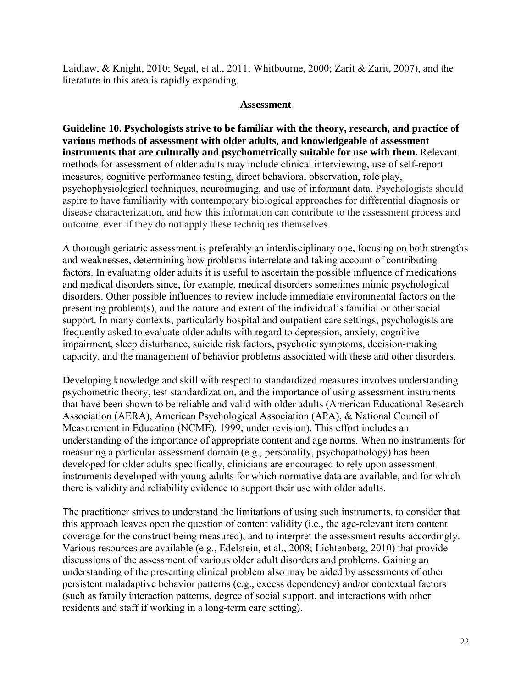Laidlaw, & Knight, 2010; Segal, et al., 2011; Whitbourne, 2000; Zarit & Zarit, 2007), and the literature in this area is rapidly expanding.

#### **Assessment**

**Guideline 10. Psychologists strive to be familiar with the theory, research, and practice of various methods of assessment with older adults, and knowledgeable of assessment instruments that are culturally and psychometrically suitable for use with them.** Relevant methods for assessment of older adults may include clinical interviewing, use of self-report measures, cognitive performance testing, direct behavioral observation, role play, psychophysiological techniques, neuroimaging, and use of informant data. Psychologists should aspire to have familiarity with contemporary biological approaches for differential diagnosis or disease characterization, and how this information can contribute to the assessment process and outcome, even if they do not apply these techniques themselves.

A thorough geriatric assessment is preferably an interdisciplinary one, focusing on both strengths and weaknesses, determining how problems interrelate and taking account of contributing factors. In evaluating older adults it is useful to ascertain the possible influence of medications and medical disorders since, for example, medical disorders sometimes mimic psychological disorders. Other possible influences to review include immediate environmental factors on the presenting problem(s), and the nature and extent of the individual's familial or other social support. In many contexts, particularly hospital and outpatient care settings, psychologists are frequently asked to evaluate older adults with regard to depression, anxiety, cognitive impairment, sleep disturbance, suicide risk factors, psychotic symptoms, decision-making capacity, and the management of behavior problems associated with these and other disorders.

Developing knowledge and skill with respect to standardized measures involves understanding psychometric theory, test standardization, and the importance of using assessment instruments that have been shown to be reliable and valid with older adults (American Educational Research Association (AERA), American Psychological Association (APA), & National Council of Measurement in Education (NCME), 1999; under revision). This effort includes an understanding of the importance of appropriate content and age norms. When no instruments for measuring a particular assessment domain (e.g., personality, psychopathology) has been developed for older adults specifically, clinicians are encouraged to rely upon assessment instruments developed with young adults for which normative data are available, and for which there is validity and reliability evidence to support their use with older adults.

The practitioner strives to understand the limitations of using such instruments, to consider that this approach leaves open the question of content validity (i.e., the age-relevant item content coverage for the construct being measured), and to interpret the assessment results accordingly. Various resources are available (e.g., Edelstein, et al., 2008; Lichtenberg, 2010) that provide discussions of the assessment of various older adult disorders and problems. Gaining an understanding of the presenting clinical problem also may be aided by assessments of other persistent maladaptive behavior patterns (e.g., excess dependency) and/or contextual factors (such as family interaction patterns, degree of social support, and interactions with other residents and staff if working in a long-term care setting).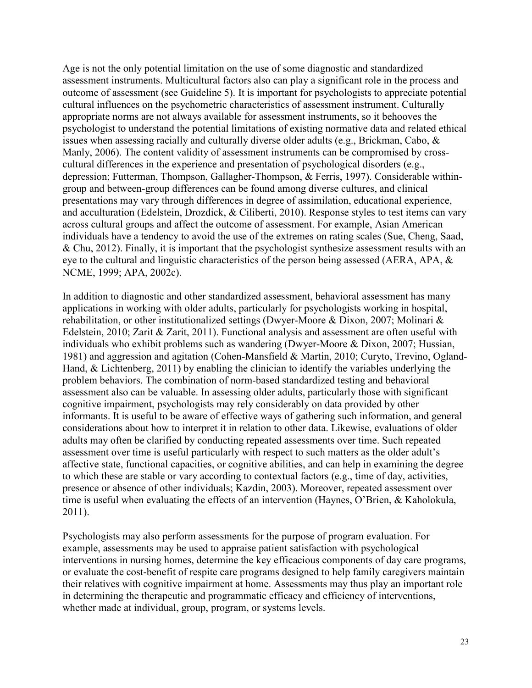Age is not the only potential limitation on the use of some diagnostic and standardized assessment instruments. Multicultural factors also can play a significant role in the process and outcome of assessment (see Guideline 5). It is important for psychologists to appreciate potential cultural influences on the psychometric characteristics of assessment instrument. Culturally appropriate norms are not always available for assessment instruments, so it behooves the psychologist to understand the potential limitations of existing normative data and related ethical issues when assessing racially and culturally diverse older adults (e.g., Brickman, Cabo, & Manly, 2006). The content validity of assessment instruments can be compromised by crosscultural differences in the experience and presentation of psychological disorders (e.g., depression; Futterman, Thompson, Gallagher-Thompson, & Ferris, 1997). Considerable withingroup and between-group differences can be found among diverse cultures, and clinical presentations may vary through differences in degree of assimilation, educational experience, and acculturation (Edelstein, Drozdick, & Ciliberti, 2010). Response styles to test items can vary across cultural groups and affect the outcome of assessment. For example, Asian American individuals have a tendency to avoid the use of the extremes on rating scales (Sue, Cheng, Saad, & Chu, 2012). Finally, it is important that the psychologist synthesize assessment results with an eye to the cultural and linguistic characteristics of the person being assessed (AERA, APA, & NCME, 1999; APA, 2002c).

In addition to diagnostic and other standardized assessment, behavioral assessment has many applications in working with older adults, particularly for psychologists working in hospital, rehabilitation, or other institutionalized settings (Dwyer-Moore & Dixon, 2007; Molinari & Edelstein, 2010; Zarit & Zarit, 2011). Functional analysis and assessment are often useful with individuals who exhibit problems such as wandering (Dwyer-Moore & Dixon, 2007; Hussian, 1981) and aggression and agitation (Cohen-Mansfield & Martin, 2010; Curyto, Trevino, Ogland-Hand, & Lichtenberg, 2011) by enabling the clinician to identify the variables underlying the problem behaviors. The combination of norm-based standardized testing and behavioral assessment also can be valuable. In assessing older adults, particularly those with significant cognitive impairment, psychologists may rely considerably on data provided by other informants. It is useful to be aware of effective ways of gathering such information, and general considerations about how to interpret it in relation to other data. Likewise, evaluations of older adults may often be clarified by conducting repeated assessments over time. Such repeated assessment over time is useful particularly with respect to such matters as the older adult's affective state, functional capacities, or cognitive abilities, and can help in examining the degree to which these are stable or vary according to contextual factors (e.g., time of day, activities, presence or absence of other individuals; Kazdin, 2003). Moreover, repeated assessment over time is useful when evaluating the effects of an intervention (Haynes, O'Brien, & Kaholokula, 2011).

Psychologists may also perform assessments for the purpose of program evaluation. For example, assessments may be used to appraise patient satisfaction with psychological interventions in nursing homes, determine the key efficacious components of day care programs, or evaluate the cost-benefit of respite care programs designed to help family caregivers maintain their relatives with cognitive impairment at home. Assessments may thus play an important role in determining the therapeutic and programmatic efficacy and efficiency of interventions, whether made at individual, group, program, or systems levels.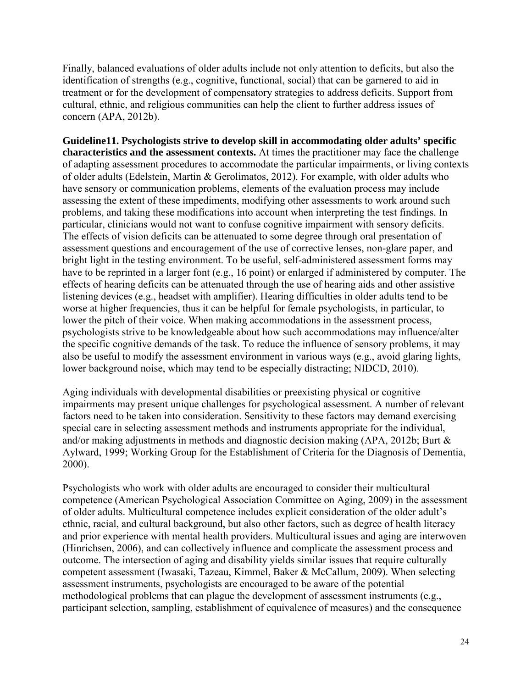Finally, balanced evaluations of older adults include not only attention to deficits, but also the identification of strengths (e.g., cognitive, functional, social) that can be garnered to aid in treatment or for the development of compensatory strategies to address deficits. Support from cultural, ethnic, and religious communities can help the client to further address issues of concern (APA, 2012b).

**Guideline11. Psychologists strive to develop skill in accommodating older adults' specific characteristics and the assessment contexts.** At times the practitioner may face the challenge of adapting assessment procedures to accommodate the particular impairments, or living contexts of older adults (Edelstein, Martin & Gerolimatos, 2012). For example, with older adults who have sensory or communication problems, elements of the evaluation process may include assessing the extent of these impediments, modifying other assessments to work around such problems, and taking these modifications into account when interpreting the test findings. In particular, clinicians would not want to confuse cognitive impairment with sensory deficits. The effects of vision deficits can be attenuated to some degree through oral presentation of assessment questions and encouragement of the use of corrective lenses, non-glare paper, and bright light in the testing environment. To be useful, self-administered assessment forms may have to be reprinted in a larger font (e.g., 16 point) or enlarged if administered by computer. The effects of hearing deficits can be attenuated through the use of hearing aids and other assistive listening devices (e.g., headset with amplifier). Hearing difficulties in older adults tend to be worse at higher frequencies, thus it can be helpful for female psychologists, in particular, to lower the pitch of their voice. When making accommodations in the assessment process, psychologists strive to be knowledgeable about how such accommodations may influence/alter the specific cognitive demands of the task. To reduce the influence of sensory problems, it may also be useful to modify the assessment environment in various ways (e.g., avoid glaring lights, lower background noise, which may tend to be especially distracting; NIDCD, 2010).

Aging individuals with developmental disabilities or preexisting physical or cognitive impairments may present unique challenges for psychological assessment. A number of relevant factors need to be taken into consideration. Sensitivity to these factors may demand exercising special care in selecting assessment methods and instruments appropriate for the individual, and/or making adjustments in methods and diagnostic decision making (APA, 2012b; Burt & Aylward, 1999; Working Group for the Establishment of Criteria for the Diagnosis of Dementia, 2000).

Psychologists who work with older adults are encouraged to consider their multicultural competence (American Psychological Association Committee on Aging, 2009) in the assessment of older adults. Multicultural competence includes explicit consideration of the older adult's ethnic, racial, and cultural background, but also other factors, such as degree of health literacy and prior experience with mental health providers. Multicultural issues and aging are interwoven (Hinrichsen, 2006), and can collectively influence and complicate the assessment process and outcome. The intersection of aging and disability yields similar issues that require culturally competent assessment (Iwasaki, Tazeau, Kimmel, Baker & McCallum, 2009). When selecting assessment instruments, psychologists are encouraged to be aware of the potential methodological problems that can plague the development of assessment instruments (e.g., participant selection, sampling, establishment of equivalence of measures) and the consequence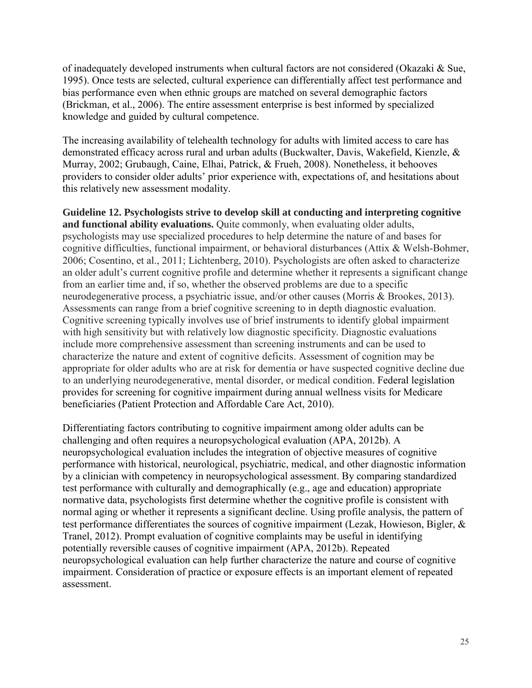of inadequately developed instruments when cultural factors are not considered (Okazaki & Sue, 1995). Once tests are selected, cultural experience can differentially affect test performance and bias performance even when ethnic groups are matched on several demographic factors (Brickman, et al., 2006). The entire assessment enterprise is best informed by specialized knowledge and guided by cultural competence.

The increasing availability of telehealth technology for adults with limited access to care has demonstrated efficacy across rural and urban adults (Buckwalter, Davis, Wakefield, Kienzle, & Murray, 2002; Grubaugh, Caine, Elhai, Patrick, & Frueh, 2008). Nonetheless, it behooves providers to consider older adults' prior experience with, expectations of, and hesitations about this relatively new assessment modality.

**Guideline 12. Psychologists strive to develop skill at conducting and interpreting cognitive and functional ability evaluations.** Quite commonly, when evaluating older adults, psychologists may use specialized procedures to help determine the nature of and bases for cognitive difficulties, functional impairment, or behavioral disturbances (Attix & Welsh-Bohmer, 2006; Cosentino, et al., 2011; Lichtenberg, 2010). Psychologists are often asked to characterize an older adult's current cognitive profile and determine whether it represents a significant change from an earlier time and, if so, whether the observed problems are due to a specific neurodegenerative process, a psychiatric issue, and/or other causes (Morris & Brookes, 2013). Assessments can range from a brief cognitive screening to in depth diagnostic evaluation. Cognitive screening typically involves use of brief instruments to identify global impairment with high sensitivity but with relatively low diagnostic specificity. Diagnostic evaluations include more comprehensive assessment than screening instruments and can be used to characterize the nature and extent of cognitive deficits. Assessment of cognition may be appropriate for older adults who are at risk for dementia or have suspected cognitive decline due to an underlying neurodegenerative, mental disorder, or medical condition. Federal legislation provides for screening for cognitive impairment during annual wellness visits for Medicare beneficiaries (Patient Protection and Affordable Care Act, 2010).

Differentiating factors contributing to cognitive impairment among older adults can be challenging and often requires a neuropsychological evaluation (APA, 2012b). A neuropsychological evaluation includes the integration of objective measures of cognitive performance with historical, neurological, psychiatric, medical, and other diagnostic information by a clinician with competency in neuropsychological assessment. By comparing standardized test performance with culturally and demographically (e.g., age and education) appropriate normative data, psychologists first determine whether the cognitive profile is consistent with normal aging or whether it represents a significant decline. Using profile analysis, the pattern of test performance differentiates the sources of cognitive impairment [\(Lezak, Howieson, Bigler, &](#page-52-0)  [Tranel, 2012\)](#page-52-0). Prompt evaluation of cognitive complaints may be useful in identifying potentially reversible causes of cognitive impairment (APA, 2012b). Repeated neuropsychological evaluation can help further characterize the nature and course of cognitive impairment. Consideration of practice or exposure effects is an important element of repeated assessment.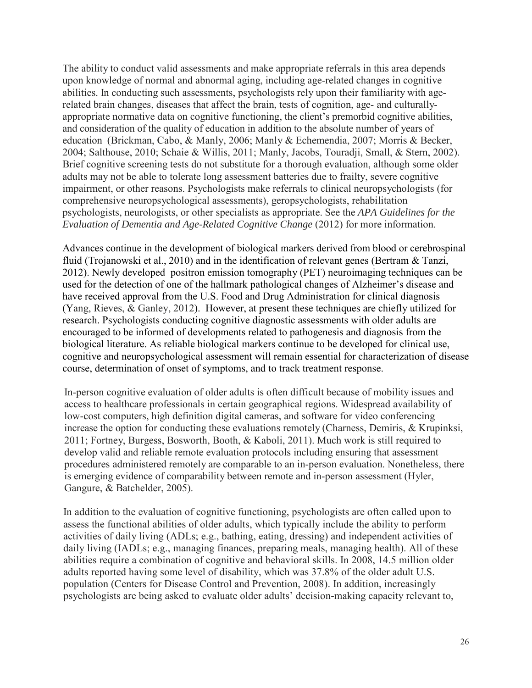The ability to conduct valid assessments and make appropriate referrals in this area depends upon knowledge of normal and abnormal aging, including age-related changes in cognitive abilities. In conducting such assessments, psychologists rely upon their familiarity with agerelated brain changes, diseases that affect the brain, tests of cognition, age- and culturallyappropriate normative data on cognitive functioning, the client's premorbid cognitive abilities, and consideration of the quality of education in addition to the absolute number of years of education (Brickman, Cabo, & Manly, 2006; Manly & Echemendia, 2007; Morris & Becker, 2004; Salthouse, 2010; Schaie & Willis, 2011; Manly, Jacobs, Touradji, Small, & Stern, 2002). Brief cognitive screening tests do not substitute for a thorough evaluation, although some older adults may not be able to tolerate long assessment batteries due to frailty, severe cognitive impairment, or other reasons. Psychologists make referrals to clinical neuropsychologists (for comprehensive neuropsychological assessments), geropsychologists, rehabilitation psychologists, neurologists, or other specialists as appropriate. See the *APA Guidelines for the Evaluation of Dementia and Age-Related Cognitive Change* (2012) for more information.

Advances continue in the development of biological markers derived from blood or cerebrospinal fluid (Trojanowski et al., 2010) and in the identification of relevant genes (Bertram & Tanzi, 2012). Newly developed positron emission tomography (PET) neuroimaging techniques can be used for the detection of one of the hallmark pathological changes of Alzheimer's disease and have received approval from the U.S. Food and Drug Administration for clinical diagnosis (Yang, Rieves, & Ganley, 2012). However, at present these techniques are chiefly utilized for research. Psychologists conducting cognitive diagnostic assessments with older adults are encouraged to be informed of developments related to pathogenesis and diagnosis from the biological literature. As reliable biological markers continue to be developed for clinical use, cognitive and neuropsychological assessment will remain essential for characterization of disease course, determination of onset of symptoms, and to track treatment response.

In-person cognitive evaluation of older adults is often difficult because of mobility issues and access to healthcare professionals in certain geographical regions. Widespread availability of low-cost computers, high definition digital cameras, and software for video conferencing increase the option for conducting these evaluations remotely (Charness, Demiris, & Krupinksi, 2011; Fortney, Burgess, Bosworth, Booth, & Kaboli, 2011). Much work is still required to develop valid and reliable remote evaluation protocols including ensuring that assessment procedures administered remotely are comparable to an in-person evaluation. Nonetheless, there is emerging evidence of comparability between remote and in-person assessment (Hyler, Gangure, & Batchelder, 2005).

In addition to the evaluation of cognitive functioning, psychologists are often called upon to assess the functional abilities of older adults, which typically include the ability to perform activities of daily living (ADLs; e.g., bathing, eating, dressing) and independent activities of daily living (IADLs; e.g., managing finances, preparing meals, managing health). All of these abilities require a combination of cognitive and behavioral skills. In 2008, 14.5 million older adults reported having some level of disability, which was 37.8% of the older adult U.S. population (Centers for Disease Control and Prevention, 2008). In addition, increasingly psychologists are being asked to evaluate older adults' decision-making capacity relevant to,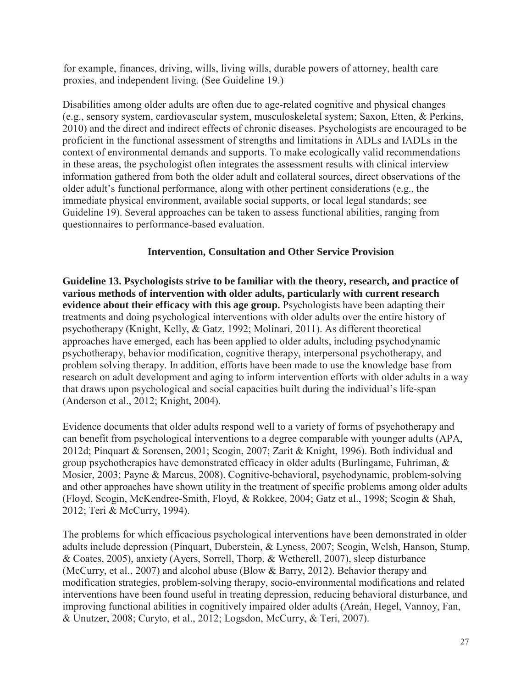for example, finances, driving, wills, living wills, durable powers of attorney, health care proxies, and independent living. (See Guideline 19.)

Disabilities among older adults are often due to age-related cognitive and physical changes (e.g., sensory system, cardiovascular system, musculoskeletal system; Saxon, Etten, & Perkins, 2010) and the direct and indirect effects of chronic diseases. Psychologists are encouraged to be proficient in the functional assessment of strengths and limitations in ADLs and IADLs in the context of environmental demands and supports. To make ecologically valid recommendations in these areas, the psychologist often integrates the assessment results with clinical interview information gathered from both the older adult and collateral sources, direct observations of the older adult's functional performance, along with other pertinent considerations (e.g., the immediate physical environment, available social supports, or local legal standards; see Guideline 19). Several approaches can be taken to assess functional abilities, ranging from questionnaires to performance-based evaluation.

### **Intervention, Consultation and Other Service Provision**

**Guideline 13. Psychologists strive to be familiar with the theory, research, and practice of various methods of intervention with older adults, particularly with current research evidence about their efficacy with this age group.** Psychologists have been adapting their treatments and doing psychological interventions with older adults over the entire history of psychotherapy (Knight, Kelly, & Gatz, 1992; Molinari, 2011). As different theoretical approaches have emerged, each has been applied to older adults, including psychodynamic psychotherapy, behavior modification, cognitive therapy, interpersonal psychotherapy, and problem solving therapy. In addition, efforts have been made to use the knowledge base from research on adult development and aging to inform intervention efforts with older adults in a way that draws upon psychological and social capacities built during the individual's life-span (Anderson et al., 2012; Knight, 2004).

Evidence documents that older adults respond well to a variety of forms of psychotherapy and can benefit from psychological interventions to a degree comparable with younger adults (APA, 2012d; Pinquart & Sorensen, 2001; Scogin, 2007; Zarit & Knight, 1996). Both individual and group psychotherapies have demonstrated efficacy in older adults (Burlingame, Fuhriman, & Mosier, 2003; Payne & Marcus, 2008). Cognitive-behavioral, psychodynamic, problem-solving and other approaches have shown utility in the treatment of specific problems among older adults (Floyd, Scogin, McKendree-Smith, Floyd, & Rokkee, 2004; Gatz et al., 1998; Scogin & Shah, 2012; Teri & McCurry, 1994).

The problems for which efficacious psychological interventions have been demonstrated in older adults include depression (Pinquart, Duberstein, & Lyness, 2007; Scogin, Welsh, Hanson, Stump, & Coates, 2005), anxiety (Ayers, Sorrell, Thorp, & Wetherell, 2007), sleep disturbance (McCurry, et al., 2007) and alcohol abuse (Blow & Barry, 2012). Behavior therapy and modification strategies, problem-solving therapy, socio-environmental modifications and related interventions have been found useful in treating depression, reducing behavioral disturbance, and improving functional abilities in cognitively impaired older adults (Areán, Hegel, Vannoy, Fan, & Unutzer, 2008; Curyto, et al., 2012; Logsdon, McCurry, & Teri, 2007).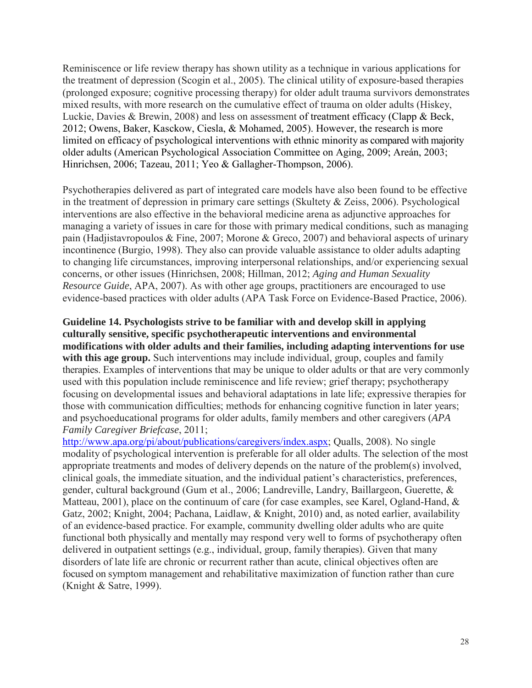Reminiscence or life review therapy has shown utility as a technique in various applications for the treatment of depression (Scogin et al., 2005). The clinical utility of exposure-based therapies (prolonged exposure; cognitive processing therapy) for older adult trauma survivors demonstrates mixed results, with more research on the cumulative effect of trauma on older adults (Hiskey, Luckie, Davies & Brewin, 2008) and less on assessment of treatment efficacy (Clapp & Beck, 2012; Owens, Baker, Kasckow, Ciesla, & Mohamed, 2005). However, the research is more limited on efficacy of psychological interventions with ethnic minority as compared with majority older adults (American Psychological Association Committee on Aging, 2009; Areán, 2003; Hinrichsen, 2006; Tazeau, 2011; Yeo & Gallagher-Thompson, 2006).

Psychotherapies delivered as part of integrated care models have also been found to be effective in the treatment of depression in primary care settings (Skultety & Zeiss, 2006). Psychological interventions are also effective in the behavioral medicine arena as adjunctive approaches for managing a variety of issues in care for those with primary medical conditions, such as managing pain (Hadjistavropoulos & Fine, 2007; Morone & Greco, 2007) and behavioral aspects of urinary incontinence (Burgio, 1998). They also can provide valuable assistance to older adults adapting to changing life circumstances, improving interpersonal relationships, and/or experiencing sexual concerns, or other issues (Hinrichsen, 2008; Hillman, 2012; *Aging and Human Sexuality Resource Guide*, APA, 2007). As with other age groups, practitioners are encouraged to use evidence-based practices with older adults (APA Task Force on Evidence-Based Practice, 2006).

**Guideline 14. Psychologists strive to be familiar with and develop skill in applying culturally sensitive, specific psychotherapeutic interventions and environmental modifications with older adults and their families, including adapting interventions for use** with this age group. Such interventions may include individual, group, couples and family therapies. Examples of interventions that may be unique to older adults or that are very commonly used with this population include reminiscence and life review; grief therapy; psychotherapy focusing on developmental issues and behavioral adaptations in late life; expressive therapies for those with communication difficulties; methods for enhancing cognitive function in later years; and psychoeducational programs for older adults, family members and other caregivers (*APA Family Caregiver Briefcase*, 2011;

[http://www.apa.org/pi/about/publications/caregivers/index.aspx;](http://www.apa.org/pi/about/publications/caregivers/index.aspx) Qualls, 2008). No single modality of psychological intervention is preferable for all older adults. The selection of the most appropriate treatments and modes of delivery depends on the nature of the problem(s) involved, clinical goals, the immediate situation, and the individual patient's characteristics, preferences, gender, cultural background (Gum et al., 2006; Landreville, Landry, Baillargeon, Guerette, & Matteau, 2001), place on the continuum of care (for case examples, see Karel, Ogland-Hand, & Gatz, 2002; Knight, 2004; Pachana, Laidlaw, & Knight, 2010) and, as noted earlier, availability of an evidence-based practice. For example, community dwelling older adults who are quite functional both physically and mentally may respond very well to forms of psychotherapy often delivered in outpatient settings (e.g., individual, group, family therapies). Given that many disorders of late life are chronic or recurrent rather than acute, clinical objectives often are focused on symptom management and rehabilitative maximization of function rather than cure (Knight & Satre, 1999).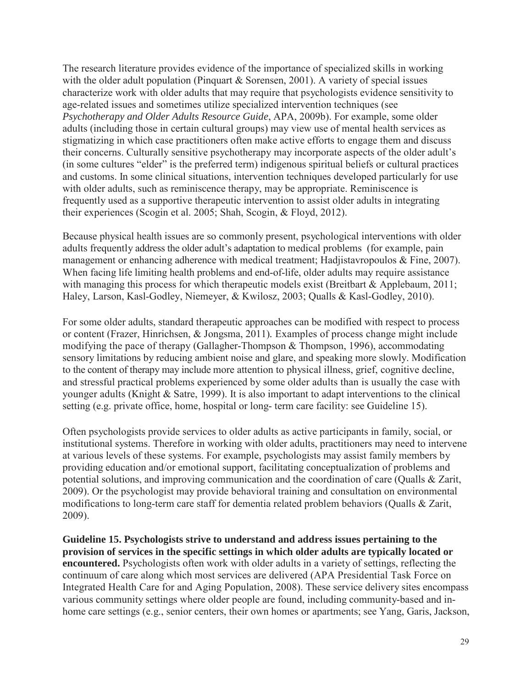The research literature provides evidence of the importance of specialized skills in working with the older adult population (Pinquart  $&$  Sorensen, 2001). A variety of special issues characterize work with older adults that may require that psychologists evidence sensitivity to age-related issues and sometimes utilize specialized intervention techniques (see *Psychotherapy and Older Adults Resource Guide*, APA, 2009b). For example, some older adults (including those in certain cultural groups) may view use of mental health services as stigmatizing in which case practitioners often make active efforts to engage them and discuss their concerns. Culturally sensitive psychotherapy may incorporate aspects of the older adult's (in some cultures "elder" is the preferred term) indigenous spiritual beliefs or cultural practices and customs. In some clinical situations, intervention techniques developed particularly for use with older adults, such as reminiscence therapy, may be appropriate. Reminiscence is frequently used as a supportive therapeutic intervention to assist older adults in integrating their experiences (Scogin et al. 2005; Shah, Scogin, & Floyd, 2012).

Because physical health issues are so commonly present, psychological interventions with older adults frequently address the older adult's adaptation to medical problems (for example, pain management or enhancing adherence with medical treatment; Hadjistavropoulos & Fine, 2007). When facing life limiting health problems and end-of-life, older adults may require assistance with managing this process for which therapeutic models exist (Breitbart & Applebaum, 2011; Haley, Larson, Kasl-Godley, Niemeyer, & Kwilosz, 2003; Qualls & Kasl-Godley, 2010).

For some older adults, standard therapeutic approaches can be modified with respect to process or content (Frazer, Hinrichsen, & Jongsma, 2011)*.* Examples of process change might include modifying the pace of therapy (Gallagher-Thompson & Thompson, 1996), accommodating sensory limitations by reducing ambient noise and glare, and speaking more slowly. Modification to the content of therapy may include more attention to physical illness, grief, cognitive decline, and stressful practical problems experienced by some older adults than is usually the case with younger adults (Knight & Satre, 1999). It is also important to adapt interventions to the clinical setting (e.g. private office, home, hospital or long- term care facility: see Guideline 15).

Often psychologists provide services to older adults as active participants in family, social, or institutional systems. Therefore in working with older adults, practitioners may need to intervene at various levels of these systems. For example, psychologists may assist family members by providing education and/or emotional support, facilitating conceptualization of problems and potential solutions, and improving communication and the coordination of care (Qualls & Zarit, 2009). Or the psychologist may provide behavioral training and consultation on environmental modifications to long-term care staff for dementia related problem behaviors (Qualls & Zarit, 2009).

**Guideline 15. Psychologists strive to understand and address issues pertaining to the provision of services in the specific settings in which older adults are typically located or encountered.** Psychologists often work with older adults in a variety of settings, reflecting the continuum of care along which most services are delivered (APA Presidential Task Force on Integrated Health Care for and Aging Population, 2008). These service delivery sites encompass various community settings where older people are found, including community-based and inhome care settings (e.g., senior centers, their own homes or apartments; see Yang, Garis, Jackson,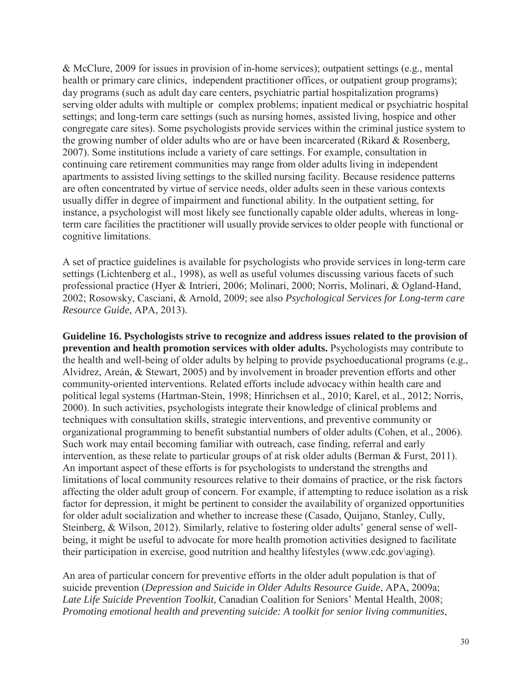& McClure, 2009 for issues in provision of in-home services); outpatient settings (e.g., mental health or primary care clinics, independent practitioner offices, or outpatient group programs); day programs (such as adult day care centers, psychiatric partial hospitalization programs) serving older adults with multiple or complex problems; inpatient medical or psychiatric hospital settings; and long-term care settings (such as nursing homes, assisted living, hospice and other congregate care sites). Some psychologists provide services within the criminal justice system to the growing number of older adults who are or have been incarcerated (Rikard & Rosenberg, 2007). Some institutions include a variety of care settings. For example, consultation in continuing care retirement communities may range from older adults living in independent apartments to assisted living settings to the skilled nursing facility. Because residence patterns are often concentrated by virtue of service needs, older adults seen in these various contexts usually differ in degree of impairment and functional ability. In the outpatient setting, for instance, a psychologist will most likely see functionally capable older adults, whereas in longterm care facilities the practitioner will usually provide services to older people with functional or cognitive limitations.

A set of practice guidelines is available for psychologists who provide services in long-term care settings (Lichtenberg et al., 1998), as well as useful volumes discussing various facets of such professional practice (Hyer & Intrieri, 2006; Molinari, 2000; Norris, Molinari, & Ogland-Hand, 2002; Rosowsky, Casciani, & Arnold, 2009; see also *Psychological Services for Long-term care Resource Guide,* APA, 2013).

**Guideline 16. Psychologists strive to recognize and address issues related to the provision of prevention and health promotion services with older adults.** Psychologists may contribute to the health and well-being of older adults by helping to provide psychoeducational programs (e.g., Alvidrez, Areán, & Stewart, 2005) and by involvement in broader prevention efforts and other community-oriented interventions. Related efforts include advocacy within health care and political legal systems (Hartman-Stein, 1998; Hinrichsen et al., 2010; Karel, et al., 2012; Norris, 2000). In such activities, psychologists integrate their knowledge of clinical problems and techniques with consultation skills, strategic interventions, and preventive community or organizational programming to benefit substantial numbers of older adults (Cohen, et al., 2006). Such work may entail becoming familiar with outreach, case finding, referral and early intervention, as these relate to particular groups of at risk older adults (Berman & Furst, 2011). An important aspect of these efforts is for psychologists to understand the strengths and limitations of local community resources relative to their domains of practice, or the risk factors affecting the older adult group of concern. For example, if attempting to reduce isolation as a risk factor for depression, it might be pertinent to consider the availability of organized opportunities for older adult socialization and whether to increase these (Casado, Quijano, Stanley, Cully, Steinberg, & Wilson, 2012). Similarly, relative to fostering older adults' general sense of wellbeing, it might be useful to advocate for more health promotion activities designed to facilitate their participation in exercise, good nutrition and healthy lifestyles (www.cdc.gov\aging).

An area of particular concern for preventive efforts in the older adult population is that of suicide prevention (*Depression and Suicide in Older Adults Resource Guide*, APA, 2009a; *Late Life Suicide Prevention Toolkit,* Canadian Coalition for Seniors' Mental Health, 2008; *Promoting emotional health and preventing suicide: A toolkit for senior living communities*,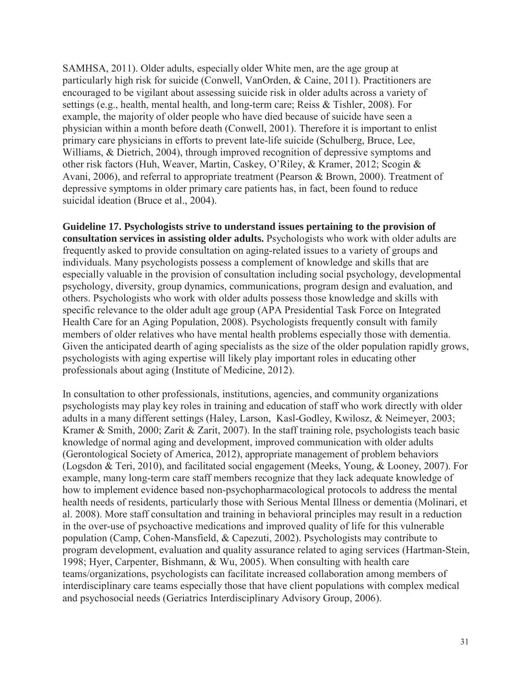SAMHSA, 2011). Older adults, especially older White men, are the age group at particularly high risk for suicide (Conwell, VanOrden, & Caine, 2011). Practitioners are encouraged to be vigilant about assessing suicide risk in older adults across a variety of settings (e.g., health, mental health, and long-term care; Reiss & Tishler, 2008). For example, the majority of older people who have died because of suicide have seen a physician within a month before death (Conwell, 2001). Therefore it is important to enlist primary care physicians in efforts to prevent late-life suicide (Schulberg, Bruce, Lee, Williams, & Dietrich, 2004), through improved recognition of depressive symptoms and other risk factors (Huh, Weaver, Martin, Caskey, O'Riley, & Kramer, 2012; Scogin & Avani, 2006), and referral to appropriate treatment (Pearson & Brown, 2000). Treatment of depressive symptoms in older primary care patients has, in fact, been found to reduce suicidal ideation (Bruce et al., 2004).

**Guideline 17. Psychologists strive to understand issues pertaining to the provision of consultation services in assisting older adults.** Psychologists who work with older adults are frequently asked to provide consultation on aging-related issues to a variety of groups and individuals. Many psychologists possess a complement of knowledge and skills that are especially valuable in the provision of consultation including social psychology, developmental psychology, diversity, group dynamics, communications, program design and evaluation, and others. Psychologists who work with older adults possess those knowledge and skills with specific relevance to the older adult age group (APA Presidential Task Force on Integrated Health Care for an Aging Population, 2008). Psychologists frequently consult with family members of older relatives who have mental health problems especially those with dementia. Given the anticipated dearth of aging specialists as the size of the older population rapidly grows, psychologists with aging expertise will likely play important roles in educating other professionals about aging (Institute of Medicine, 2012).

In consultation to other professionals, institutions, agencies, and community organizations psychologists may play key roles in training and education of staff who work directly with older adults in a many different settings (Haley, Larson, Kasl-Godley, Kwilosz, & Neimeyer, 2003; Kramer & Smith, 2000; Zarit & Zarit, 2007). In the staff training role, psychologists teach basic knowledge of normal aging and development, improved communication with older adults (Gerontological Society of America, 2012), appropriate management of problem behaviors (Logsdon & Teri, 2010), and facilitated social engagement (Meeks, Young, & Looney, 2007). For example, many long-term care staff members recognize that they lack adequate knowledge of how to implement evidence based non-psychopharmacological protocols to address the mental health needs of residents, particularly those with Serious Mental Illness or dementia (Molinari, et al. 2008). More staff consultation and training in behavioral principles may result in a reduction in the over-use of psychoactive medications and improved quality of life for this vulnerable population (Camp, Cohen-Mansfield, & Capezuti, 2002). Psychologists may contribute to program development, evaluation and quality assurance related to aging services (Hartman-Stein, 1998; Hyer, Carpenter, Bishmann, & Wu, 2005). When consulting with health care teams/organizations, psychologists can facilitate increased collaboration among members of interdisciplinary care teams especially those that have client populations with complex medical and psychosocial needs (Geriatrics Interdisciplinary Advisory Group, 2006).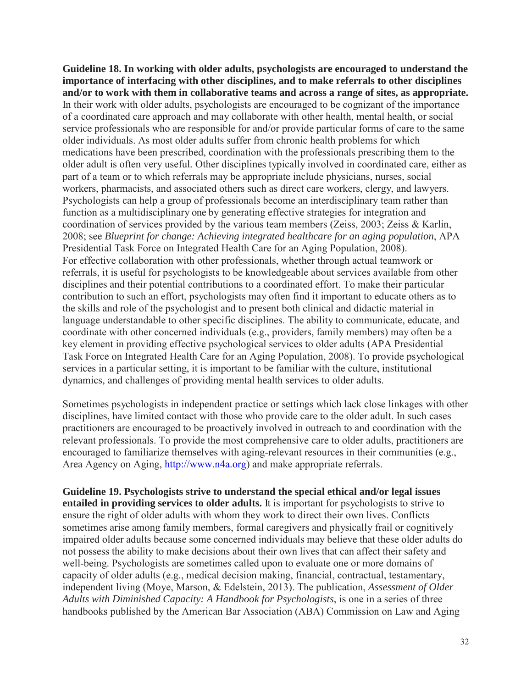**Guideline 18. In working with older adults, psychologists are encouraged to understand the importance of interfacing with other disciplines, and to make referrals to other disciplines and/or to work with them in collaborative teams and across a range of sites, as appropriate.**  In their work with older adults, psychologists are encouraged to be cognizant of the importance of a coordinated care approach and may collaborate with other health, mental health, or social service professionals who are responsible for and/or provide particular forms of care to the same older individuals. As most older adults suffer from chronic health problems for which medications have been prescribed, coordination with the professionals prescribing them to the older adult is often very useful*.* Other disciplines typically involved in coordinated care, either as part of a team or to which referrals may be appropriate include physicians, nurses, social workers, pharmacists, and associated others such as direct care workers, clergy, and lawyers. Psychologists can help a group of professionals become an interdisciplinary team rather than function as a multidisciplinary one by generating effective strategies for integration and coordination of services provided by the various team members (Zeiss, 2003; Zeiss & Karlin, 2008; see *Blueprint for change: Achieving integrated healthcare for an aging population*, APA Presidential Task Force on Integrated Health Care for an Aging Population, 2008). For effective collaboration with other professionals, whether through actual teamwork or referrals, it is useful for psychologists to be knowledgeable about services available from other disciplines and their potential contributions to a coordinated effort. To make their particular contribution to such an effort, psychologists may often find it important to educate others as to the skills and role of the psychologist and to present both clinical and didactic material in language understandable to other specific disciplines. The ability to communicate, educate, and coordinate with other concerned individuals (e.g., providers, family members) may often be a key element in providing effective psychological services to older adults (APA Presidential Task Force on Integrated Health Care for an Aging Population, 2008). To provide psychological services in a particular setting, it is important to be familiar with the culture, institutional dynamics, and challenges of providing mental health services to older adults.

Sometimes psychologists in independent practice or settings which lack close linkages with other disciplines, have limited contact with those who provide care to the older adult. In such cases practitioners are encouraged to be proactively involved in outreach to and coordination with the relevant professionals. To provide the most comprehensive care to older adults, practitioners are encouraged to familiarize themselves with aging-relevant resources in their communities (e.g., Area Agency on Aging, [http://www.n4a.org\)](http://www.n4a.org/) and make appropriate referrals.

**Guideline 19. Psychologists strive to understand the special ethical and/or legal issues entailed in providing services to older adults.** It is important for psychologists to strive to ensure the right of older adults with whom they work to direct their own lives. Conflicts sometimes arise among family members, formal caregivers and physically frail or cognitively impaired older adults because some concerned individuals may believe that these older adults do not possess the ability to make decisions about their own lives that can affect their safety and well-being. Psychologists are sometimes called upon to evaluate one or more domains of capacity of older adults (e.g., medical decision making, financial, contractual, testamentary, independent living (Moye, Marson, & Edelstein, 2013). The publication, *Assessment of Older Adults with Diminished Capacity: A Handbook for Psychologists*, is one in a series of three handbooks published by the American Bar Association (ABA) Commission on Law and Aging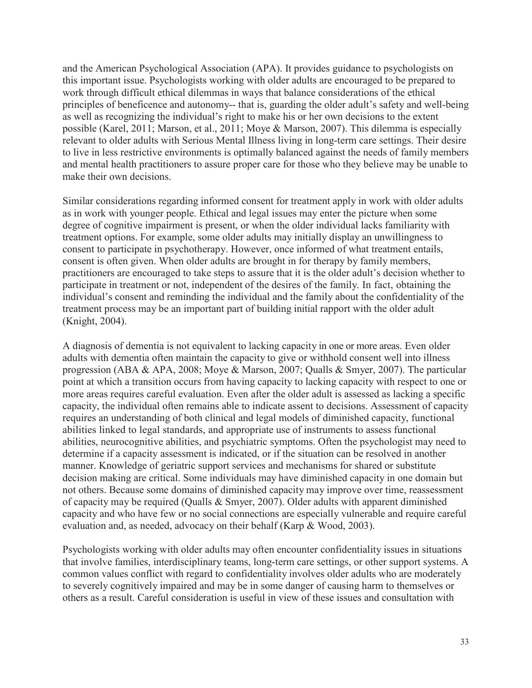and the American Psychological Association (APA). It provides guidance to psychologists on this important issue. Psychologists working with older adults are encouraged to be prepared to work through difficult ethical dilemmas in ways that balance considerations of the ethical principles of beneficence and autonomy-- that is, guarding the older adult's safety and well-being as well as recognizing the individual's right to make his or her own decisions to the extent possible (Karel, 2011; Marson, et al., 2011; Moye & Marson, 2007). This dilemma is especially relevant to older adults with Serious Mental Illness living in long-term care settings. Their desire to live in less restrictive environments is optimally balanced against the needs of family members and mental health practitioners to assure proper care for those who they believe may be unable to make their own decisions.

Similar considerations regarding informed consent for treatment apply in work with older adults as in work with younger people. Ethical and legal issues may enter the picture when some degree of cognitive impairment is present, or when the older individual lacks familiarity with treatment options. For example, some older adults may initially display an unwillingness to consent to participate in psychotherapy. However, once informed of what treatment entails, consent is often given. When older adults are brought in for therapy by family members, practitioners are encouraged to take steps to assure that it is the older adult's decision whether to participate in treatment or not, independent of the desires of the family. In fact, obtaining the individual's consent and reminding the individual and the family about the confidentiality of the treatment process may be an important part of building initial rapport with the older adult (Knight, 2004).

A diagnosis of dementia is not equivalent to lacking capacity in one or more areas. Even older adults with dementia often maintain the capacity to give or withhold consent well into illness progression (ABA & APA, 2008; Moye & Marson, 2007; Qualls & Smyer, 2007). The particular point at which a transition occurs from having capacity to lacking capacity with respect to one or more areas requires careful evaluation. Even after the older adult is assessed as lacking a specific capacity, the individual often remains able to indicate assent to decisions. Assessment of capacity requires an understanding of both clinical and legal models of diminished capacity, functional abilities linked to legal standards, and appropriate use of instruments to assess functional abilities, neurocognitive abilities, and psychiatric symptoms. Often the psychologist may need to determine if a capacity assessment is indicated, or if the situation can be resolved in another manner. Knowledge of geriatric support services and mechanisms for shared or substitute decision making are critical. Some individuals may have diminished capacity in one domain but not others. Because some domains of diminished capacity may improve over time, reassessment of capacity may be required (Qualls & Smyer, 2007). Older adults with apparent diminished capacity and who have few or no social connections are especially vulnerable and require careful evaluation and, as needed, advocacy on their behalf (Karp & Wood, 2003).

Psychologists working with older adults may often encounter confidentiality issues in situations that involve families, interdisciplinary teams, long-term care settings, or other support systems. A common values conflict with regard to confidentiality involves older adults who are moderately to severely cognitively impaired and may be in some danger of causing harm to themselves or others as a result. Careful consideration is useful in view of these issues and consultation with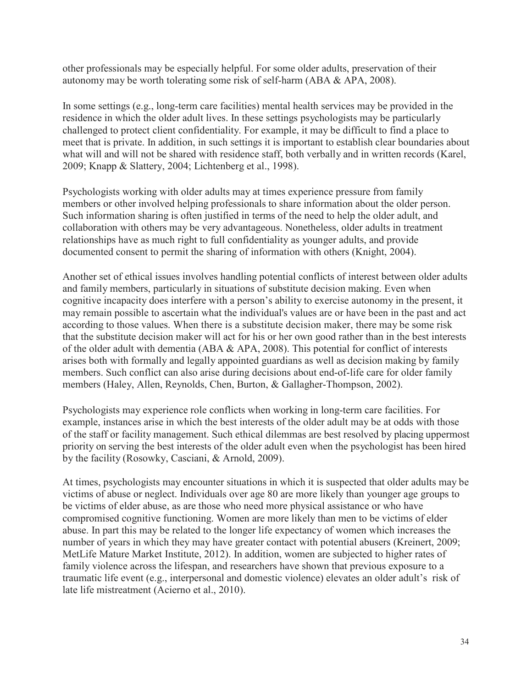other professionals may be especially helpful. For some older adults, preservation of their autonomy may be worth tolerating some risk of self-harm (ABA & APA, 2008).

In some settings (e.g., long-term care facilities) mental health services may be provided in the residence in which the older adult lives. In these settings psychologists may be particularly challenged to protect client confidentiality. For example, it may be difficult to find a place to meet that is private. In addition, in such settings it is important to establish clear boundaries about what will and will not be shared with residence staff, both verbally and in written records (Karel, 2009; Knapp & Slattery, 2004; Lichtenberg et al., 1998).

Psychologists working with older adults may at times experience pressure from family members or other involved helping professionals to share information about the older person. Such information sharing is often justified in terms of the need to help the older adult, and collaboration with others may be very advantageous. Nonetheless, older adults in treatment relationships have as much right to full confidentiality as younger adults, and provide documented consent to permit the sharing of information with others (Knight, 2004).

Another set of ethical issues involves handling potential conflicts of interest between older adults and family members, particularly in situations of substitute decision making. Even when cognitive incapacity does interfere with a person's ability to exercise autonomy in the present, it may remain possible to ascertain what the individual's values are or have been in the past and act according to those values. When there is a substitute decision maker, there may be some risk that the substitute decision maker will act for his or her own good rather than in the best interests of the older adult with dementia (ABA & APA, 2008). This potential for conflict of interests arises both with formally and legally appointed guardians as well as decision making by family members. Such conflict can also arise during decisions about end-of-life care for older family members (Haley, Allen, Reynolds, Chen, Burton, & Gallagher-Thompson, 2002).

Psychologists may experience role conflicts when working in long-term care facilities. For example, instances arise in which the best interests of the older adult may be at odds with those of the staff or facility management. Such ethical dilemmas are best resolved by placing uppermost priority on serving the best interests of the older adult even when the psychologist has been hired by the facility (Rosowky, Casciani, & Arnold, 2009).

At times, psychologists may encounter situations in which it is suspected that older adults may be victims of abuse or neglect. Individuals over age 80 are more likely than younger age groups to be victims of elder abuse, as are those who need more physical assistance or who have compromised cognitive functioning. Women are more likely than men to be victims of elder abuse. In part this may be related to the longer life expectancy of women which increases the number of years in which they may have greater contact with potential abusers (Kreinert, 2009; MetLife Mature Market Institute, 2012). In addition, women are subjected to higher rates of family violence across the lifespan, and researchers have shown that previous exposure to a traumatic life event (e.g., interpersonal and domestic violence) elevates an older adult's risk of late life mistreatment (Acierno et al., 2010).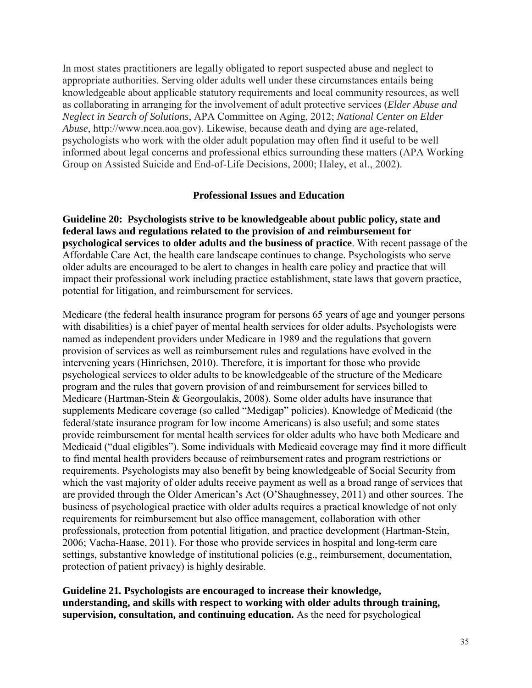In most states practitioners are legally obligated to report suspected abuse and neglect to appropriate authorities. Serving older adults well under these circumstances entails being knowledgeable about applicable statutory requirements and local community resources, as well as collaborating in arranging for the involvement of adult protective services (*Elder Abuse and Neglect in Search of Solutions*, APA Committee on Aging, 2012; *National Center on Elder Abuse*, http://www.ncea.aoa.gov). Likewise, because death and dying are age-related, psychologists who work with the older adult population may often find it useful to be well informed about legal concerns and professional ethics surrounding these matters (APA Working Group on Assisted Suicide and End-of-Life Decisions, 2000; Haley, et al., 2002).

#### **Professional Issues and Education**

**Guideline 20: Psychologists strive to be knowledgeable about public policy, state and federal laws and regulations related to the provision of and reimbursement for psychological services to older adults and the business of practice**. With recent passage of the Affordable Care Act, the health care landscape continues to change. Psychologists who serve older adults are encouraged to be alert to changes in health care policy and practice that will impact their professional work including practice establishment, state laws that govern practice, potential for litigation, and reimbursement for services.

Medicare (the federal health insurance program for persons 65 years of age and younger persons with disabilities) is a chief payer of mental health services for older adults. Psychologists were named as independent providers under Medicare in 1989 and the regulations that govern provision of services as well as reimbursement rules and regulations have evolved in the intervening years (Hinrichsen, 2010). Therefore, it is important for those who provide psychological services to older adults to be knowledgeable of the structure of the Medicare program and the rules that govern provision of and reimbursement for services billed to Medicare (Hartman-Stein & Georgoulakis, 2008). Some older adults have insurance that supplements Medicare coverage (so called "Medigap" policies). Knowledge of Medicaid (the federal/state insurance program for low income Americans) is also useful; and some states provide reimbursement for mental health services for older adults who have both Medicare and Medicaid ("dual eligibles"). Some individuals with Medicaid coverage may find it more difficult to find mental health providers because of reimbursement rates and program restrictions or requirements. Psychologists may also benefit by being knowledgeable of Social Security from which the vast majority of older adults receive payment as well as a broad range of services that are provided through the Older American's Act (O'Shaughnessey, 2011) and other sources. The business of psychological practice with older adults requires a practical knowledge of not only requirements for reimbursement but also office management, collaboration with other professionals, protection from potential litigation, and practice development (Hartman-Stein, 2006; Vacha-Haase, 2011). For those who provide services in hospital and long-term care settings, substantive knowledge of institutional policies (e.g., reimbursement, documentation, protection of patient privacy) is highly desirable.

**Guideline 21***.* **Psychologists are encouraged to increase their knowledge, understanding, and skills with respect to working with older adults through training, supervision, consultation, and continuing education.** As the need for psychological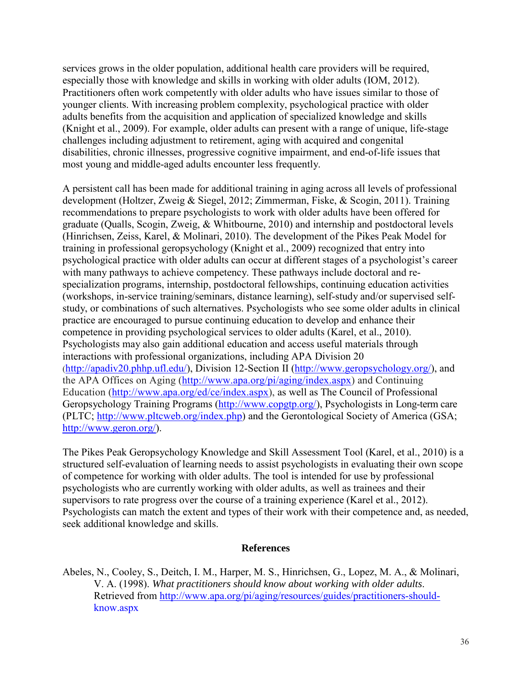services grows in the older population, additional health care providers will be required, especially those with knowledge and skills in working with older adults (IOM, 2012). Practitioners often work competently with older adults who have issues similar to those of younger clients. With increasing problem complexity, psychological practice with older adults benefits from the acquisition and application of specialized knowledge and skills (Knight et al., 2009). For example, older adults can present with a range of unique, life-stage challenges including adjustment to retirement, aging with acquired and congenital disabilities, chronic illnesses, progressive cognitive impairment, and end-of-life issues that most young and middle-aged adults encounter less frequently.

A persistent call has been made for additional training in aging across all levels of professional development (Holtzer, Zweig & Siegel, 2012; Zimmerman, Fiske, & Scogin, 2011). Training recommendations to prepare psychologists to work with older adults have been offered for graduate (Qualls, Scogin, Zweig, & Whitbourne, 2010) and internship and postdoctoral levels (Hinrichsen, Zeiss, Karel, & Molinari, 2010). The development of the Pikes Peak Model for training in professional geropsychology (Knight et al., 2009) recognized that entry into psychological practice with older adults can occur at different stages of a psychologist's career with many pathways to achieve competency. These pathways include doctoral and respecialization programs, internship, postdoctoral fellowships, continuing education activities (workshops, in-service training/seminars, distance learning), self-study and/or supervised selfstudy, or combinations of such alternatives. Psychologists who see some older adults in clinical practice are encouraged to pursue continuing education to develop and enhance their competence in providing psychological services to older adults (Karel, et al., 2010). Psychologists may also gain additional education and access useful materials through interactions with professional organizations, including APA Division 20 [\(http://apadiv20.phhp.ufl.edu/\)](http://apadiv20.phhp.ufl.edu/), Division 12-Section II [\(http://www.geropsychology.org/\)](http://www.geropsychology.org/), and the APA Offices on Aging [\(http://www.apa.org/pi/aging/index.aspx\)](http://www.apa.org/pi/aging/index.aspx) and Continuing Education [\(http://www.apa.org/ed/ce/index.aspx\)](http://www.apa.org/ed/ce/index.aspx), as well as The Council of Professional Geropsychology Training Programs [\(http://www.copgtp.org/\)](http://www.copgtp.org/), Psychologists in Long-term care (PLTC; [http://www.pltcweb.org/index.php\)](http://www.pltcweb.org/index.php) and the Gerontological Society of America (GSA; [http://www.geron.org/\)](http://www.geron.org/).

The Pikes Peak Geropsychology Knowledge and Skill Assessment Tool (Karel, et al., 2010) is a structured self-evaluation of learning needs to assist psychologists in evaluating their own scope of competence for working with older adults. The tool is intended for use by professional psychologists who are currently working with older adults, as well as trainees and their supervisors to rate progress over the course of a training experience (Karel et al., 2012). Psychologists can match the extent and types of their work with their competence and, as needed, seek additional knowledge and skills.

#### **References**

Abeles, N., Cooley, S., Deitch, I. M., Harper, M. S., Hinrichsen, G., Lopez, M. A., & Molinari, V. A. (1998). *What practitioners should know about working with older adults*. Retrieved from [http://www.apa.org/pi/aging/resources/guides/practitioners-should](http://www.apa.org/pi/aging/resources/guides/practitioners-should-) know.aspx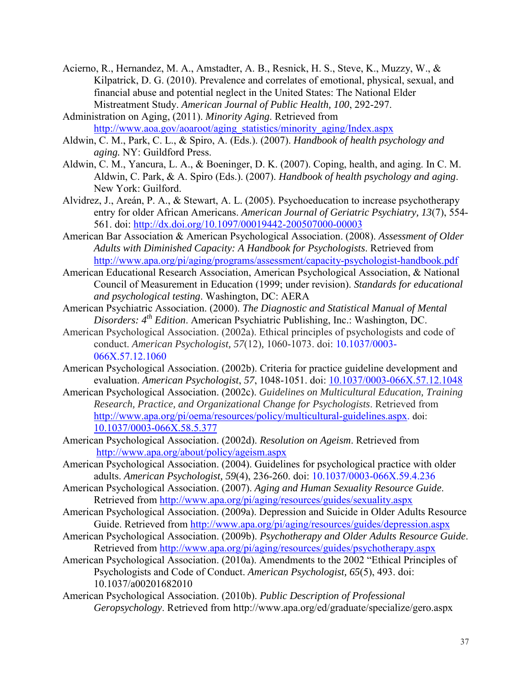- Acierno, R., Hernandez, M. A., Amstadter, A. B., Resnick, H. S., Steve, K., Muzzy, W., & Kilpatrick, D. G. (2010). Prevalence and correlates of emotional, physical, sexual, and financial abuse and potential neglect in the United States: The National Elder Mistreatment Study. *American Journal of Public Health, 100*, 292-297.
- Administration on Aging, (2011). *Minority Aging*. Retrieved from [http://www.aoa.gov/aoaroot/aging\\_statistics/minority\\_aging/Index.aspx](http://www.aoa.gov/aoaroot/aging_statistics/minority_aging/Index.aspx)
- Aldwin, C. M., Park, C. L., & Spiro, A. (Eds.). (2007). *Handbook of health psychology and aging.* NY: Guildford Press.
- Aldwin, C. M., Yancura, L. A., & Boeninger, D. K. (2007). Coping, health, and aging. In C. M. Aldwin, C. Park, & A. Spiro (Eds.). (2007). *Handbook of health psychology and aging*. New York: Guilford.
- Alvidrez, J., Areán, P. A., & Stewart, A. L. (2005). Psychoeducation to increase psychotherapy entry for older African Americans. *American Journal of Geriatric Psychiatry, 13*(7), 554- 561. doi: [http://dx.doi.org/10.1097/00019442-200507000-00003](http://dx.doi.org/10.1097%2F00019442-200507000-00003)
- American Bar Association & American Psychological Association. (2008). *Assessment of Older Adults with Diminished Capacity: A Handbook for Psychologists*. Retrieved from <http://www.apa.org/pi/aging/programs/assessment/capacity-psychologist-handbook.pdf>
- American Educational Research Association, American Psychological Association, & National Council of Measurement in Education (1999; under revision). *Standards for educational and psychological testing*. Washington, DC: AERA
- American Psychiatric Association. (2000). *The Diagnostic and Statistical Manual of Mental Disorders: 4th Edition*. American Psychiatric Publishing, Inc.: Washington, DC.
- American Psychological Association. (2002a). Ethical principles of psychologists and code of conduct. *American Psychologist, 57*(12)*,* 1060-1073. doi: [10.1037/0003-](http://psycnet.apa.org/doi/10.1037/0003-066X.57.12.1060) [066X.57.12.1060](http://psycnet.apa.org/doi/10.1037/0003-066X.57.12.1060)
- American Psychological Association. (2002b). Criteria for practice guideline development and evaluation. *American Psychologist*, *57*, 1048-1051. doi: [10.1037/0003-066X.57.12.1048](http://psycnet.apa.org/doi/10.1037/0003-066X.57.12.1048)
- American Psychological Association. (2002c). *Guidelines on Multicultural Education, Training Research, Practice, and Organizational Change for Psychologists*. Retrieved from [http://www.apa.org/pi/oema/resources/policy/multicultural-guidelines.aspx.](http://www.apa.org/pi/oema/resources/policy/multicultural-guidelines.aspx) doi: [10.1037/0003-066X.58.5.377](http://psycnet.apa.org/doi/10.1037/0003-066X.58.5.377)
- American Psychological Association. (2002d). *Resolution on Ageism*. Retrieved from <http://www.apa.org/about/policy/ageism.aspx>
- American Psychological Association. (2004). Guidelines for psychological practice with older adults. *American Psychologist, 59*(4), 236-260. doi: [10.1037/0003-066X.59.4.236](http://psycnet.apa.org/doi/10.1037/0003-066X.59.4.236)
- American Psychological Association. (2007). *Aging and Human Sexuality Resource Guide*. Retrieved from<http://www.apa.org/pi/aging/resources/guides/sexuality.aspx>
- American Psychological Association. (2009a). Depression and Suicide in Older Adults Resource Guide. Retrieved from<http://www.apa.org/pi/aging/resources/guides/depression.aspx>
- American Psychological Association. (2009b). *Psychotherapy and Older Adults Resource Guide*. Retrieved from<http://www.apa.org/pi/aging/resources/guides/psychotherapy.aspx>
- American Psychological Association. (2010a). Amendments to the 2002 "Ethical Principles of Psychologists and Code of Conduct. *American Psychologist, 65*(5), 493. doi: 10.1037/a00201682010
- American Psychological Association. (2010b). *Public Description of Professional Geropsychology*. Retrieved from http://www.apa.org/ed/graduate/specialize/gero.aspx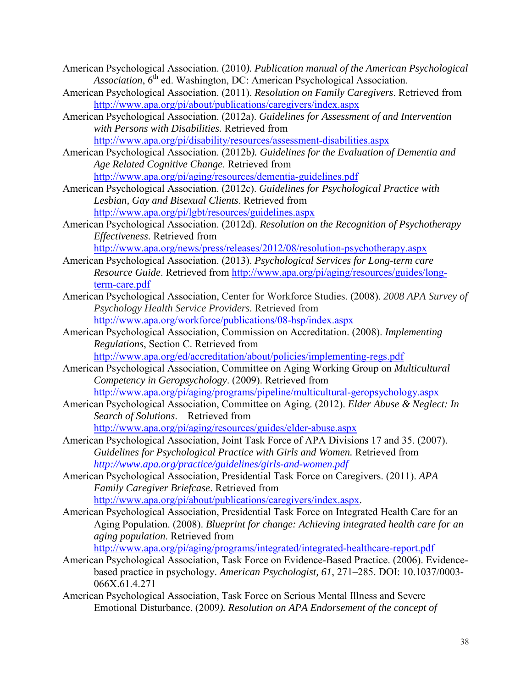American Psychological Association. (2010*). Publication manual of the American Psychological*  Association,  $6^{th}$  ed. Washington, DC: American Psychological Association.

- American Psychological Association. (2011). *Resolution on Family Caregivers*. Retrieved from <http://www.apa.org/pi/about/publications/caregivers/index.aspx>
- American Psychological Association. (2012a). *Guidelines for Assessment of and Intervention with Persons with Disabilities.* Retrieved from <http://www.apa.org/pi/disability/resources/assessment-disabilities.aspx>

American Psychological Association. (2012b*). Guidelines for the Evaluation of Dementia and Age Related Cognitive Change*. Retrieved from <http://www.apa.org/pi/aging/resources/dementia-guidelines.pdf>

American Psychological Association. (2012c). *Guidelines for Psychological Practice with Lesbian, Gay and Bisexual Clients*. Retrieved from <http://www.apa.org/pi/lgbt/resources/guidelines.aspx>

American Psychological Association. (2012d). *Resolution on the Recognition of Psychotherapy Effectiveness*. Retrieved from

<http://www.apa.org/news/press/releases/2012/08/resolution-psychotherapy.aspx>

- American Psychological Association. (2013). *Psychological Services for Long-term care Resource Guide*. Retrieved from [http://www.apa.org/pi/aging/resources/guides/long](http://www.apa.org/pi/aging/resources/guides/long-term-care.pdf)[term-care.pdf](http://www.apa.org/pi/aging/resources/guides/long-term-care.pdf)
- American Psychological Association, Center for Workforce Studies. (2008). *2008 APA Survey of Psychology Health Service Providers.* Retrieved from <http://www.apa.org/workforce/publications/08-hsp/index.aspx>
- American Psychological Association, Commission on Accreditation. (2008). *Implementing Regulations*, Section C. Retrieved from <http://www.apa.org/ed/accreditation/about/policies/implementing-regs.pdf>
- American Psychological Association, Committee on Aging Working Group on *Multicultural Competency in Geropsychology*. (2009). Retrieved from <http://www.apa.org/pi/aging/programs/pipeline/multicultural-geropsychology.aspx>
- American Psychological Association, Committee on Aging. (2012). *Elder Abuse & Neglect: In Search of Solutions*. Retrieved from <http://www.apa.org/pi/aging/resources/guides/elder-abuse.aspx>
- American Psychological Association, Joint Task Force of APA Divisions 17 and 35. (2007). *Guidelines for Psychological Practice with Girls and Women.* Retrieved from *<http://www.apa.org/practice/guidelines/girls-and-women.pdf>*
- American Psychological Association, Presidential Task Force on Caregivers. (2011). *APA Family Caregiver Briefcase*. Retrieved from [http://www.apa.org/pi/about/publications/caregivers/index.aspx.](http://www.apa.org/pi/about/publications/caregivers/index.aspx)

American Psychological Association, Presidential Task Force on Integrated Health Care for an Aging Population. (2008). *Blueprint for change: Achieving integrated health care for an aging population*. Retrieved from

<http://www.apa.org/pi/aging/programs/integrated/integrated-healthcare-report.pdf>

- American Psychological Association, Task Force on Evidence-Based Practice. (2006). Evidencebased practice in psychology. *American Psychologist, 61*, 271–285. DOI: 10.1037/0003- 066X.61.4.271
- American Psychological Association, Task Force on Serious Mental Illness and Severe Emotional Disturbance. (2009*). Resolution on APA Endorsement of the concept of*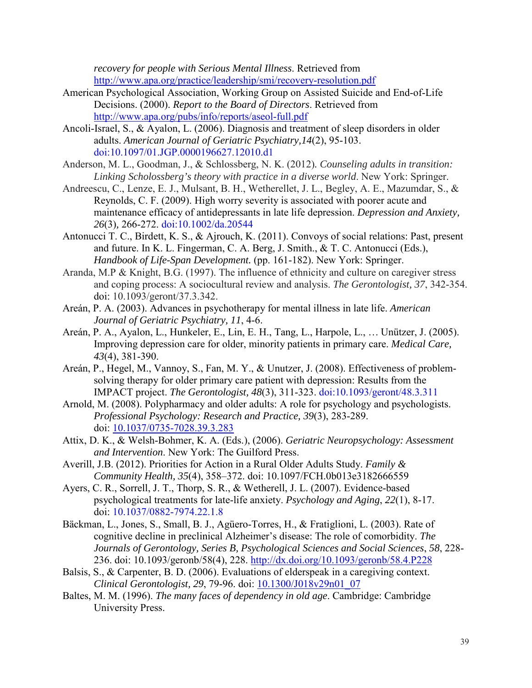*recovery for people with Serious Mental Illness*. Retrieved from <http://www.apa.org/practice/leadership/smi/recovery-resolution.pdf>

- American Psychological Association, Working Group on Assisted Suicide and End-of-Life Decisions. (2000). *Report to the Board of Directors*. Retrieved from <http://www.apa.org/pubs/info/reports/aseol-full.pdf>
- Ancoli-Israel, S., & Ayalon, L. (2006). Diagnosis and treatment of sleep disorders in older adults. *American Journal of Geriatric Psychiatry,14*(2), 95-103. [doi:10.1097/01.JGP.0000196627.12010.d1](http://dx.doi.org/10.1097%2F01.JGP.0000196627.12010.d1)
- Anderson, M. L., Goodman, J., & Schlossberg, N. K. (2012)*. Counseling adults in transition: Linking Scholossberg's theory with practice in a diverse world*. New York: Springer.
- Andreescu, C., Lenze, E. J., Mulsant, B. H., Wetherellet, J. L., Begley, A. E., Mazumdar, S., & Reynolds, C. F. (2009). High worry severity is associated with poorer acute and maintenance efficacy of antidepressants in late life depression. *Depression and Anxiety, 26*(3)*,* 266-272. [doi:10.1002/da.20544](http://dx.doi.org/10.1002%2Fda.20544)
- Antonucci T. C., Birdett, K. S., & Ajrouch, K. (2011). Convoys of social relations: Past, present and future. In K. L. Fingerman, C. A. Berg, J. Smith., & T. C. Antonucci (Eds.), *Handbook of Life-Span Development.* (pp. 161-182). New York: Springer.
- Aranda, M.P & Knight, B.G. (1997). The influence of ethnicity and culture on caregiver stress and coping process: A sociocultural review and analysis. *The Gerontologist, 37*, 342-354. doi: 10.1093/geront/37.3.342.
- Areán, P. A. (2003). Advances in psychotherapy for mental illness in late life. *American Journal of Geriatric Psychiatry, 11*, 4-6.
- Areán, P. A., Ayalon, L., Hunkeler, E., Lin, E. H., Tang, L., Harpole, L., … Unützer, J. (2005). Improving depression care for older, minority patients in primary care. *Medical Care, 43*(4), 381-390.
- Areán, P., Hegel, M., Vannoy, S., Fan, M. Y., & Unutzer, J. (2008). Effectiveness of problem solving therapy for older primary care patient with depression: Results from the IMPACT project. *The Gerontologist, 48*(3), 311-323. [doi:10.1093/geront/48.3.311](http://dx.doi.org/10.1093%2Fgeront%2F48.3.311)
- Arnold, M. (2008). Polypharmacy and older adults: A role for psychology and psychologists. *Professional Psychology: Research and Practice, 39*(3), 283-289. doi: [10.1037/0735-7028.39.3.283](http://psycnet.apa.org/doi/10.1037/0735-7028.39.3.283)
- Attix, D. K., & Welsh-Bohmer, K. A. (Eds.), (2006). *Geriatric Neuropsychology: Assessment and Intervention*. New York: The Guilford Press.
- Averill, J.B. (2012). Priorities for Action in a Rural Older Adults Study. *Family & Community Health, 35*(4), 358–372. doi: 10.1097/FCH.0b013e3182666559
- Ayers, C. R., Sorrell, J. T., Thorp, S. R., & Wetherell, J. L. (2007). Evidence-based psychological treatments for late-life anxiety. *Psychology and Aging*, *22*(1), 8-17. doi: [10.1037/0882-7974.22.1.8](http://psycnet.apa.org/doi/10.1037/0882-7974.22.1.8)
- Bäckman, L., Jones, S., Small, B. J., Agüero-Torres, H., & Fratiglioni, L. (2003). Rate of cognitive decline in preclinical Alzheimer's disease: The role of comorbidity. *The Journals of Gerontology, Series B, Psychological Sciences and Social Sciences*, *58*, 228- 236. doi: 10.1093/geronb/58(4), 228. [http://dx.doi.org/10.1093/geronb/58.4.P228](http://dx.doi.org/10.1093%2Fgeronb%2F58.4.P228)
- Balsis, S., & Carpenter, B. D. (2006). Evaluations of elderspeak in a caregiving context. *Clinical Gerontologist, 29*, 79-96. doi: [10.1300/J018v29n01\\_07](http://dx.doi.org/10.1300%2FJ018v29n01_07)
- Baltes, M. M. (1996). *The many faces of dependency in old age*. Cambridge: Cambridge University Press.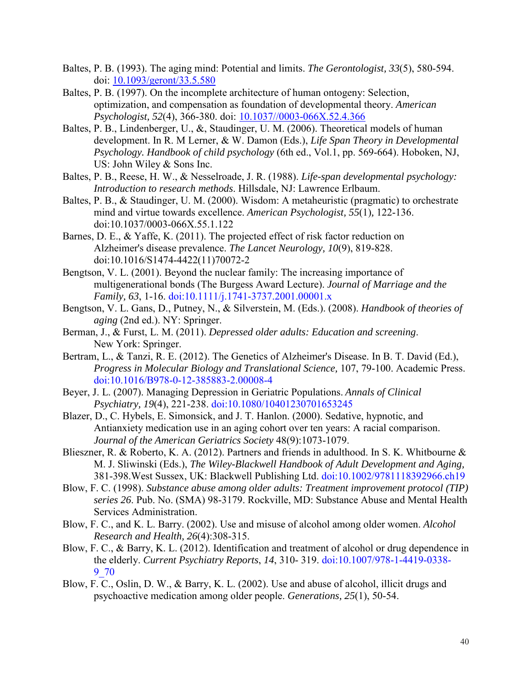- Baltes, P. B. (1993). The aging mind: Potential and limits. *The Gerontologist, 33*(5), 580-594. doi: [10.1093/geront/33.5.580](http://dx.doi.org/10.1093%2Fgeront%2F33.5.580)
- Baltes, P. B. (1997). On the incomplete architecture of human ontogeny: Selection, optimization, and compensation as foundation of developmental theory. *American Psychologist, 52*(4), 366-380. doi: [10.1037//0003-066X.52.4.366](http://dx.doi.org/10.1037%2F0003-066X.52.4.366)
- Baltes, P. B., Lindenberger, U., &, Staudinger, U. M. (2006). Theoretical models of human development. In R. M Lerner, & W. Damon (Eds.), *Life Span Theory in Developmental Psychology. Handbook of child psychology* (6th ed., Vol.1, pp. 569-664). Hoboken, NJ, US: John Wiley & Sons Inc.
- Baltes, P. B., Reese, H. W., & Nesselroade, J. R. (1988). *Life-span developmental psychology: Introduction to research methods*. Hillsdale, NJ: Lawrence Erlbaum.
- Baltes, P. B., & Staudinger, U. M. (2000). Wisdom: A metaheuristic (pragmatic) to orchestrate mind and virtue towards excellence. *American Psychologist, 55*(1)*,* 122-136. [doi:10.1037/0003-066X.55.1.122](http://dx.doi.org/10.1037%2F0003-066X.55.1.122)
- Barnes, D. E., & Yaffe, K. (2011). The projected effect of risk factor reduction on Alzheimer's disease prevalence. *The Lancet Neurology, 10*(9), 819-828. [doi:10.1016/S1474-4422\(11\)70072-2](http://dx.doi.org/10.1016%2FS1474-4422%2811%2970072-2)
- Bengtson, V. L. (2001). Beyond the nuclear family: The increasing importance of multigenerational bonds (The Burgess Award Lecture). *Journal of Marriage and the Family, 63*, 1-16. [doi:10.1111/j.1741-3737.2001.00001.x](http://dx.doi.org/10.1111%2Fj.1741-3737.2001.00001.x)
- Bengtson, V. L. Gans, D., Putney, N., & Silverstein, M. (Eds.). (2008). *Handbook of theories of aging* (2nd ed.). NY: Springer.
- Berman, J., & Furst, L. M. (2011). *Depressed older adults: Education and screening*. New York: Springer.
- Bertram, L., & Tanzi, R. E. (2012). The Genetics of Alzheimer's Disease. In B. T. David (Ed.), *Progress in Molecular Biology and Translational Science,* 107, 79-100. Academic Press. [doi:10.1016/B978-0-12-385883-2.00008-4](http://dx.doi.org/10.1016%2FB978-0-12-385883-2.00008-4)
- Beyer, J. L. (2007). Managing Depression in Geriatric Populations. *Annals of Clinical Psychiatry, 19*(4), 221-238. [doi:10.1080/10401230701653245](http://dx.doi.org/10.1080%2F10401230701653245)
- Blazer, D., C. Hybels, E. Simonsick, and J. T. Hanlon. (2000). Sedative, hypnotic, and Antianxiety medication use in an aging cohort over ten years: A racial comparison. *Journal of the American Geriatrics Society* 48(9):1073-1079.
- Blieszner, R. & Roberto, K. A. (2012). Partners and friends in adulthood. In S. K. Whitbourne & M. J. Sliwinski (Eds.), *The Wiley-Blackwell Handbook of Adult Development and Aging,*  381-398.West Sussex, UK: Blackwell Publishing Ltd. [doi:10.1002/9781118392966.ch19](http://dx.doi.org/10.1002%2F9781118392966.ch19)
- Blow, F. C. (1998). *Substance abuse among older adults: Treatment improvement protocol (TIP) series 26*. Pub. No. (SMA) 98-3179. Rockville, MD: Substance Abuse and Mental Health Services Administration.
- Blow, F. C., and K. L. Barry. (2002). Use and misuse of alcohol among older women. *Alcohol Research and Health, 26*(4):308-315.
- Blow, F. C., & Barry, K. L. (2012). Identification and treatment of alcohol or drug dependence in the elderly. *Current Psychiatry Reports*, *14*, 310- 319. [doi:10.1007/978-1-4419-0338-](http://dx.doi.org/10.1007%2F978-1-4419-0338-9_70) [9\\_70](http://dx.doi.org/10.1007%2F978-1-4419-0338-9_70)
- Blow, F. C., Oslin, D. W., & Barry, K. L. (2002). Use and abuse of alcohol, illicit drugs and psychoactive medication among older people. *Generations, 25*(1), 50-54.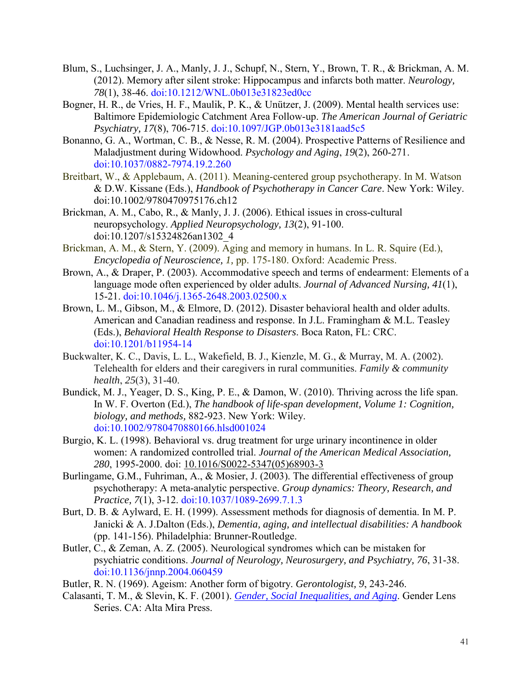- Blum, S., Luchsinger, J. A., Manly, J. J., Schupf, N., Stern, Y., Brown, T. R., & Brickman, A. M. (2012). Memory after silent stroke: Hippocampus and infarcts both matter. *Neurology, 78*(1), 38-46. [doi:10.1212/WNL.0b013e31823ed0cc](http://dx.doi.org/10.1212%2FWNL.0b013e31823ed0cc)
- Bogner, H. R., de Vries, H. F., Maulik, P. K., & Unützer, J. (2009). Mental health services use: Baltimore Epidemiologic Catchment Area Follow-up. *The American Journal of Geriatric Psychiatry, 17*(8), 706-715. [doi:10.1097/JGP.0b013e3181aad5c5](http://dx.doi.org/10.1097%2FJGP.0b013e3181aad5c5)
- Bonanno, G. A., Wortman, C. B., & Nesse, R. M. (2004). Prospective Patterns of Resilience and Maladjustment during Widowhood. *Psychology and Aging*, *19*(2), 260-271. [doi:10.1037/0882-7974.19.2.260](http://dx.doi.org/10.1037%2F0882-7974.19.2.260)
- Breitbart, W., & Applebaum, A. (2011). Meaning-centered group psychotherapy. In M. Watson & D.W. Kissane (Eds.), *Handbook of Psychotherapy in Cancer Care*. New York: Wiley. [doi:10.1002/9780470975176.ch12](http://dx.doi.org/10.1002%2F9780470975176.ch12)
- Brickman, A. M., Cabo, R., & Manly, J. J. (2006). Ethical issues in cross-cultural neuropsychology. *Applied Neuropsychology, 13*(2), 91-100. [doi:10.1207/s15324826an1302\\_4](http://dx.doi.org/10.1207%2Fs15324826an1302_4)
- Brickman, A. M., & Stern, Y. (2009). Aging and memory in humans. In L. R. Squire (Ed.), *Encyclopedia of Neuroscience, 1,* pp. 175-180. Oxford: Academic Press.
- Brown, A., & Draper, P. (2003). Accommodative speech and terms of endearment: Elements of a language mode often experienced by older adults. *Journal of Advanced Nursing, 41*(1), 15-21. [doi:10.1046/j.1365-2648.2003.02500.x](http://dx.doi.org/10.1046%2Fj.1365-2648.2003.02500.x)
- Brown, L. M., Gibson, M., & Elmore, D. (2012). Disaster behavioral health and older adults. American and Canadian readiness and response. In J.L. Framingham & M.L. Teasley (Eds.), *Behavioral Health Response to Disasters*. Boca Raton, FL: CRC. [doi:10.1201/b11954-14](http://dx.doi.org/10.1201%2Fb11954-14)
- Buckwalter, K. C., Davis, L. L., Wakefield, B. J., Kienzle, M. G., & Murray, M. A. (2002). Telehealth for elders and their caregivers in rural communities. *Family & community health*, *25*(3), 31-40.
- Bundick, M. J., Yeager, D. S., King, P. E., & Damon, W. (2010). Thriving across the life span. In W. F. Overton (Ed.), *The handbook of life-span development, Volume 1: Cognition, biology, and methods,* 882-923. New York: Wiley. [doi:10.1002/9780470880166.hlsd001024](http://dx.doi.org/10.1002%2F9780470880166.hlsd001024)
- Burgio, K. L. (1998). Behavioral vs. drug treatment for urge urinary incontinence in older women: A randomized controlled trial. *Journal of the American Medical Association, 280*, 1995-2000. doi: 10.1016/S0022-5347(05)68903-3
- Burlingame, G.M., Fuhriman, A., & Mosier, J. (2003). The differential effectiveness of group psychotherapy: A meta-analytic perspective. *Group dynamics: Theory, Research, and Practice, 7*(1), 3-12. [doi:10.1037/1089-2699.7.1.3](http://dx.doi.org/10.1037%2F1089-2699.7.1.3)
- Burt, D. B. & Aylward, E. H. (1999). Assessment methods for diagnosis of dementia. In M. P. Janicki & A. J.Dalton (Eds.), *Dementia, aging, and intellectual disabilities: A handbook*  (pp. 141-156). Philadelphia: Brunner-Routledge.
- Butler, C., & Zeman, A. Z. (2005). Neurological syndromes which can be mistaken for psychiatric conditions. *Journal of Neurology, Neurosurgery, and Psychiatry, 76*, 31-38. [doi:10.1136/jnnp.2004.060459](http://dx.doi.org/10.1136%2Fjnnp.2004.060459)
- Butler, R. N. (1969). Ageism: Another form of bigotry. *Gerontologist, 9*, 243-246.
- Calasanti, T. M., & Slevin, K. F. (2001). *[Gender, Social Inequalities, and Aging](http://www.altamirapress.com/Catalog/SingleBook.shtml?command=Search&db=%5eDB/CATALOG.db&eqSKUdata=0759101868&thepassedurl=%5bthepassedurl%5d)*. Gender Lens Series. CA: Alta Mira Press.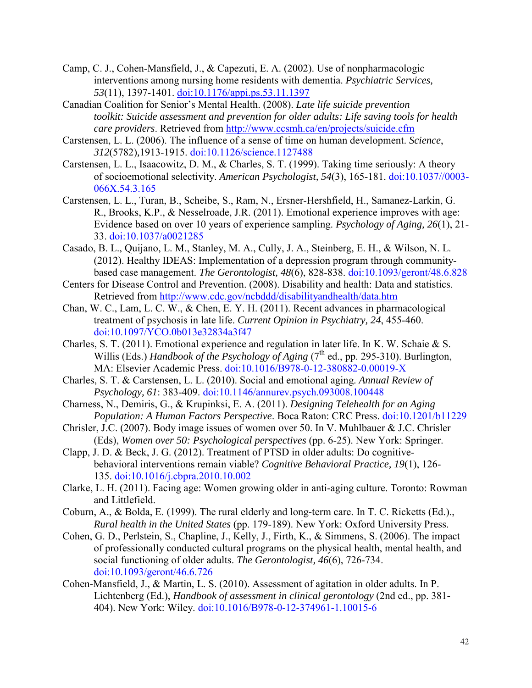- Camp, C. J., Cohen-Mansfield, J., & Capezuti, E. A. (2002). Use of nonpharmacologic interventions among nursing home residents with dementia. *Psychiatric Services, 53*(11), 1397-1401. [doi:10.1176/appi.ps.53.11.1397](http://dx.doi.org/10.1176%2Fappi.ps.53.11.1397)
- Canadian Coalition for Senior's Mental Health. (2008). *Late life suicide prevention toolkit: Suicide assessment and prevention for older adults: Life saving tools for health care providers*. Retrieved from <http://www.ccsmh.ca/en/projects/suicide.cfm>
- Carstensen, L. L. (2006). The influence of a sense of time on human development. *Science*, *312*(5782)*,*1913-1915. [doi:10.1126/science.1127488](http://dx.doi.org/10.1126%2Fscience.1127488)
- Carstensen, L. L., Isaacowitz, D. M., & Charles, S. T. (1999). Taking time seriously: A theory of socioemotional selectivity. *American Psychologist, 54*(3), 165-181. [doi:10.1037//0003-](http://dx.doi.org/10.1037%2F%2F0003-066X.54.3.165) [066X.54.3.165](http://dx.doi.org/10.1037%2F%2F0003-066X.54.3.165)
- Carstensen, L. L., Turan, B., Scheibe, S., Ram, N., Ersner-Hershfield, H., Samanez-Larkin, G. R., Brooks, K.P., & Nesselroade, J.R. (2011). Emotional experience improves with age: Evidence based on over 10 years of experience sampling. *Psychology of Aging, 26*(1), 21- 33. [doi:10.1037/a0021285](http://dx.doi.org/10.1037%2Fa0021285)
- Casado, B. L., Quijano, L. M., Stanley, M. A., Cully, J. A., Steinberg, E. H., & Wilson, N. L. (2012). Healthy IDEAS: Implementation of a depression program through communitybased case management. *The Gerontologist, 48*(6), 828-838. [doi:10.1093/geront/48.6.828](http://dx.doi.org/10.1093%2Fgeront%2F48.6.828)
- Centers for Disease Control and Prevention. (2008). Disability and health: Data and statistics. Retrieved from<http://www.cdc.gov/ncbddd/disabilityandhealth/data.htm>
- Chan, W. C., Lam, L. C. W., & Chen, E. Y. H. (2011). Recent advances in pharmacological treatment of psychosis in late life. *Current Opinion in Psychiatry, 24*, 455-460. [doi:10.1097/YCO.0b013e32834a3f47](http://dx.doi.org/10.1097%2FYCO.0b013e32834a3f47)
- Charles, S. T. (2011). Emotional experience and regulation in later life. In K. W. Schaie & S. Willis (Eds.) *Handbook of the Psychology of Aging* (7<sup>th</sup> ed., pp. 295-310). Burlington, MA: Elsevier Academic Press. [doi:10.1016/B978-0-12-380882-0.00019-X](http://dx.doi.org/10.1016%2FB978-0-12-380882-0.00019-X)
- Charles, S. T. & Carstensen, L. L. (2010). Social and emotional aging. *Annual Review of Psychology, 61*: 383-409. [doi:10.1146/annurev.psych.093008.100448](http://dx.doi.org/10.1146%2Fannurev.psych.093008.100448)
- Charness, N., Demiris, G., & Krupinksi, E. A. (2011). *Designing Telehealth for an Aging Population: A Human Factors Perspective*. Boca Raton: CRC Press. [doi:10.1201/b11229](http://dx.doi.org/10.1201%2Fb11229)
- Chrisler, J.C. (2007). Body image issues of women over 50. In V. Muhlbauer & J.C. Chrisler (Eds), *Women over 50: Psychological perspectives* (pp. 6-25). New York: Springer.
- Clapp, J. D. & Beck, J. G. (2012). Treatment of PTSD in older adults: Do cognitive behavioral interventions remain viable? *Cognitive Behavioral Practice, 19*(1), 126- 135. [doi:10.1016/j.cbpra.2010.10.002](http://dx.doi.org/10.1016%2Fj.cbpra.2010.10.002)
- Clarke, L. H. (2011). Facing age: Women growing older in anti-aging culture. Toronto: Rowman and Littlefield.
- Coburn, A., & Bolda, E. (1999). The rural elderly and long-term care. In T. C. Ricketts (Ed.)., *Rural health in the United States* (pp. 179-189). New York: Oxford University Press.
- Cohen, G. D., Perlstein, S., Chapline, J., Kelly, J., Firth, K., & Simmens, S. (2006). The impact of professionally conducted cultural programs on the physical health, mental health, and social functioning of older adults. *The Gerontologist, 46*(6), 726-734. [doi:10.1093/geront/46.6.726](http://dx.doi.org/10.1093%2Fgeront%2F46.6.726)
- Cohen-Mansfield, J., & Martin, L. S. (2010). Assessment of agitation in older adults. In P. Lichtenberg (Ed.), *Handbook of assessment in clinical gerontology* (2nd ed., pp. 381- 404). New York: Wiley. [doi:10.1016/B978-0-12-374961-1.10015-6](http://dx.doi.org/10.1016%2FB978-0-12-374961-1.10015-6)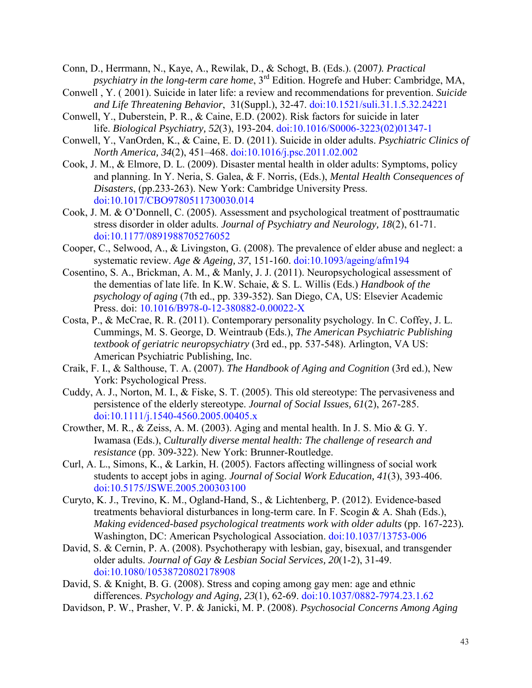Conn, D., Herrmann, N., Kaye, A., Rewilak, D., & Schogt, B. (Eds.). (2007*). Practical psychiatry in the long-term care home*, 3rd Edition. Hogrefe and Huber: Cambridge, MA,

- Conwell , Y. ( 2001). Suicide in later life: a review and recommendations for prevention. *Suicide and Life Threatening Behavior*, 31(Suppl.), 32-47. [doi:10.1521/suli.31.1.5.32.24221](http://dx.doi.org/10.1521%2Fsuli.31.1.5.32.24221)
- Conwell, Y., Duberstein, P. R., & Caine, E.D. (2002). Risk factors for suicide in later life. *Biological Psychiatry, 52*(3), 193-204. [doi:10.1016/S0006-3223\(02\)01347-1](http://dx.doi.org/10.1016%2FS0006-3223%2802%2901347-1)
- Conwell, Y., VanOrden, K., & Caine, E. D. (2011). Suicide in older adults. *Psychiatric Clinics of North America, 34*(2), 451–468. [doi:10.1016/j.psc.2011.02.002](http://dx.doi.org/10.1016%2Fj.psc.2011.02.002)
- Cook, J. M., & Elmore, D. L. (2009). Disaster mental health in older adults: Symptoms, policy and planning. In Y. Neria, S. Galea, & F. Norris, (Eds.), *Mental Health Consequences of Disasters*, (pp.233-263). New York: Cambridge University Press. [doi:10.1017/CBO9780511730030.014](http://dx.doi.org/10.1017%2FCBO9780511730030.014)
- Cook, J. M. & O'Donnell, C. (2005). Assessment and psychological treatment of posttraumatic stress disorder in older adults. *Journal of Psychiatry and Neurology, 18*(2), 61-71. [doi:10.1177/0891988705276052](http://dx.doi.org/10.1177%2F0891988705276052)
- Cooper, C., Selwood, A., & Livingston, G. (2008). The prevalence of elder abuse and neglect: a systematic review. *Age & Ageing, 37*, 151-160. [doi:10.1093/ageing/afm194](http://dx.doi.org/10.1093%2Fageing%2Fafm194)
- Cosentino, S. A., Brickman, A. M., & Manly, J. J. (2011). Neuropsychological assessment of the dementias of late life. In K.W. Schaie, & S. L. Willis (Eds.) *Handbook of the psychology of aging* (7th ed., pp. 339-352). San Diego, CA, US: Elsevier Academic Press. doi: [10.1016/B978-0-12-380882-0.00022-X](http://psycnet.apa.org/doi/10.1016/B978-0-12-380882-0.00022-X)
- Costa, P., & McCrae, R. R. (2011). Contemporary personality psychology. In C. Coffey, J. L. Cummings, M. S. George, D. Weintraub (Eds.), *The American Psychiatric Publishing textbook of geriatric neuropsychiatry* (3rd ed., pp. 537-548). Arlington, VA US: American Psychiatric Publishing, Inc.
- Craik, F. I., & Salthouse, T. A. (2007). *The Handbook of Aging and Cognition* (3rd ed.), New York: Psychological Press.
- Cuddy, A. J., Norton, M. I., & Fiske, S. T. (2005). This old stereotype: The pervasiveness and persistence of the elderly stereotype. *Journal of Social Issues, 61*(2), 267-285. [doi:10.1111/j.1540-4560.2005.00405.x](http://dx.doi.org/10.1111%2Fj.1540-4560.2005.00405.x)
- Crowther, M. R., & Zeiss, A. M. (2003). Aging and mental health. In J. S. Mio & G. Y. Iwamasa (Eds.), *Culturally diverse mental health: The challenge of research and resistance* (pp. 309-322). New York: Brunner-Routledge.
- Curl, A. L., Simons, K., & Larkin, H. (2005). Factors affecting willingness of social work students to accept jobs in aging. *Journal of Social Work Education, 41*(3), 393-406. [doi:10.5175/JSWE.2005.200303100](http://dx.doi.org/10.5175%2FJSWE.2005.200303100)
- Curyto, K. J., Trevino, K. M., Ogland-Hand, S., & Lichtenberg, P. (2012). Evidence-based treatments behavioral disturbances in long-term care. In F. Scogin & A. Shah (Eds.), *Making evidenced-based psychological treatments work with older adults (pp. 167-223).* Washington, DC: American Psychological Association. [doi:10.1037/13753-006](http://dx.doi.org/10.1037%2F13753-006)
- David, S. & Cernin, P. A. (2008). Psychotherapy with lesbian, gay, bisexual, and transgender older adults. *Journal of Gay & Lesbian Social Services, 20*(1-2), 31-49. [doi:10.1080/10538720802178908](http://dx.doi.org/10.1080%2F10538720802178908)
- David, S. & Knight, B. G. (2008). Stress and coping among gay men: age and ethnic differences. *Psychology and Aging, 23*(1), 62-69. [doi:10.1037/0882-7974.23.1.62](http://dx.doi.org/10.1037%2F0882-7974.23.1.62)
- Davidson, P. W., Prasher, V. P. & Janicki, M. P. (2008). *Psychosocial Concerns Among Aging*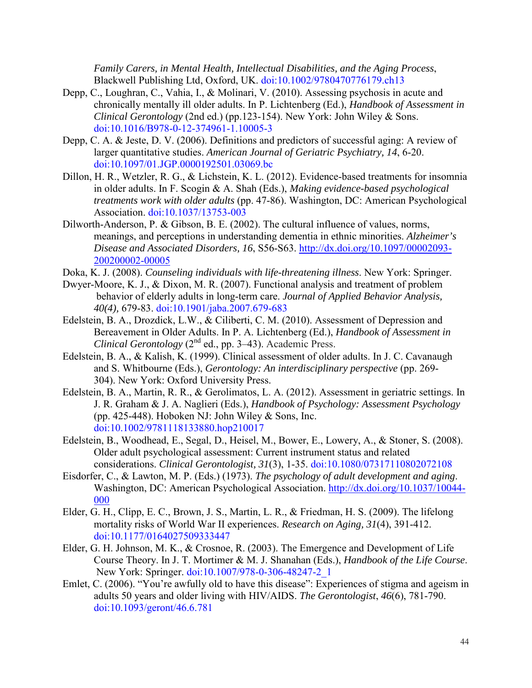*Family Carers, in Mental Health, Intellectual Disabilities, and the Aging Process*, Blackwell Publishing Ltd, Oxford, UK. [doi:10.1002/9780470776179.ch13](http://dx.doi.org/10.1080%2F10538720802178908)

- Depp, C., Loughran, C., Vahia, I., & Molinari, V. (2010). Assessing psychosis in acute and chronically mentally ill older adults. In P. Lichtenberg (Ed.), *Handbook of Assessment in Clinical Gerontology* (2nd ed.) (pp.123-154). New York: John Wiley & Sons. [doi:10.1016/B978-0-12-374961-1.10005-3](http://dx.doi.org/10.1016%2FB978-0-12-374961-1.10005-3)
- Depp, C. A. & Jeste, D. V. (2006). Definitions and predictors of successful aging: A review of larger quantitative studies. *American Journal of Geriatric Psychiatry, 14*, 6-20. [doi:10.1097/01.JGP.0000192501.03069.bc](http://dx.doi.org/10.1097%2F01.JGP.0000192501.03069.bc)
- Dillon, H. R., Wetzler, R. G., & Lichstein, K. L. (2012). Evidence-based treatments for insomnia in older adults. In F. Scogin & A. Shah (Eds.), *Making evidence-based psychological treatments work with older adults* (pp. 47-86). Washington, DC: American Psychological Association. [doi:10.1037/13753-003](http://dx.doi.org/10.1037%2F13753-003)
- Dilworth-Anderson, P. & Gibson, B. E. (2002). The cultural influence of values, norms, meanings, and perceptions in understanding dementia in ethnic minorities. *Alzheimer's Disease and Associated Disorders, 16*, S56-S63. [http://dx.doi.org/10.1097/00002093-](http://dx.doi.org/10.1097%2F00002093-200200002-00005) [200200002-00005](http://dx.doi.org/10.1097%2F00002093-200200002-00005)
- Doka, K. J. (2008). *Counseling individuals with life-threatening illness*. New York: Springer.
- Dwyer-Moore, K. J., & Dixon, M. R. (2007). Functional analysis and treatment of problem behavior of elderly adults in long-term care. *Journal of Applied Behavior Analysis, 40(4),* 679-83. [doi:10.1901/jaba.2007.679-683](http://dx.doi.org/10.1901%2Fjaba.2007.679-683)
- Edelstein, B. A., Drozdick, L.W., & Ciliberti, C. M. (2010). Assessment of Depression and Bereavement in Older Adults. In P. A. Lichtenberg (Ed.), *Handbook of Assessment in Clinical Gerontology* (2<sup>nd</sup> ed., pp. 3–43). Academic Press.
- Edelstein, B. A., & Kalish, K. (1999). Clinical assessment of older adults. In J. C. Cavanaugh and S. Whitbourne (Eds.), *Gerontology: An interdisciplinary perspective* (pp. 269- 304). New York: Oxford University Press.
- Edelstein, B. A., Martin, R. R., & Gerolimatos, L. A. (2012). Assessment in geriatric settings. In J. R. Graham & J. A. Naglieri (Eds.), *Handbook of Psychology: Assessment Psychology* (pp. 425-448). Hoboken NJ: John Wiley  $&$  Sons, Inc. [doi:10.1002/9781118133880.hop210017](http://dx.doi.org/10.1002%2F9781118133880.hop210017)
- Edelstein, B., Woodhead, E., Segal, D., Heisel, M., Bower, E., Lowery, A., & Stoner, S. (2008). Older adult psychological assessment: Current instrument status and related considerations. *Clinical Gerontologist, 31*(3), 1-35. [doi:10.1080/07317110802072108](http://dx.doi.org/10.1080%2F07317110802072108)
- Eisdorfer, C., & Lawton, M. P. (Eds.) (1973). *The psychology of adult development and aging*. Washington, DC: American Psychological Association. [http://dx.doi.org/10.1037/10044-](http://dx.doi.org/10.1037/10044-%09000)  [000](http://dx.doi.org/10.1037/10044-%09000)
- Elder, G. H., Clipp, E. C., Brown, J. S., Martin, L. R., & Friedman, H. S. (2009). The lifelong mortality risks of World War II experiences. *Research on Aging, 31*(4), 391-412. [doi:10.1177/0164027509333447](http://dx.doi.org/10.1177%2F0164027509333447)
- Elder, G. H. Johnson, M. K., & Crosnoe, R. (2003). The Emergence and Development of Life Course Theory. In J. T. Mortimer & M. J. Shanahan (Eds.), *Handbook of the Life Course*. New York: Springer. [doi:10.1007/978-0-306-48247-2\\_1](http://dx.doi.org/10.1007%2F978-0-306-48247-2_1)
- Emlet, C. (2006). "You're awfully old to have this disease": Experiences of stigma and ageism in adults 50 years and older living with HIV/AIDS. *The Gerontologist*, *46*(6), 781-790. [doi:10.1093/geront/46.6.781](http://dx.doi.org/10.1093%2Fgeront%2F46.6.781)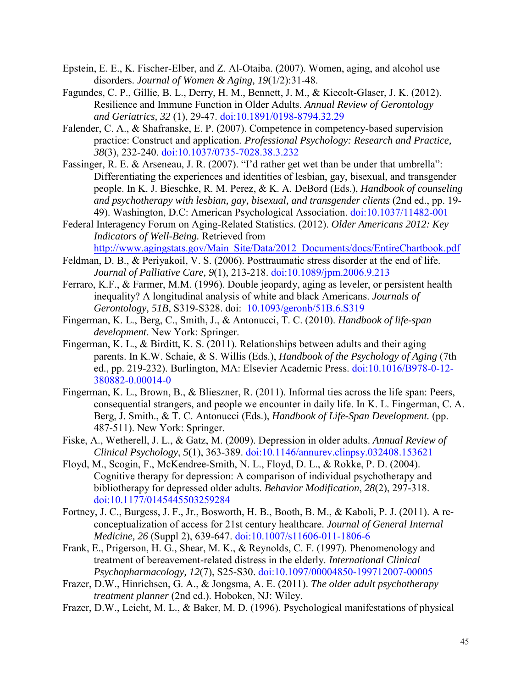- Epstein, E. E., K. Fischer-Elber, and Z. Al-Otaiba. (2007). Women, aging, and alcohol use disorders. *Journal of Women & Aging, 19*(1/2):31-48.
- Fagundes, C. P., Gillie, B. L., Derry, H. M., Bennett, J. M., & Kiecolt-Glaser, J. K. (2012). Resilience and Immune Function in Older Adults. *[Annual Review of Gerontology](http://www.ingentaconnect.com/content/springer/argg)  [and Geriatrics,](http://www.ingentaconnect.com/content/springer/argg) 32* (1), 29-47. [doi:10.1891/0198-8794.32.29](http://dx.doi.org/10.1891%2F0198-8794.32.29)
- Falender, C. A., & Shafranske, E. P. (2007). Competence in competency-based supervision practice: Construct and application. *Professional Psychology: Research and Practice, 38*(3), 232-240. [doi:10.1037/0735-7028.38.3.232](http://dx.doi.org/10.1037%2F0735-7028.38.3.232)
- Fassinger, R. E. & Arseneau, J. R. (2007). "I'd rather get wet than be under that umbrella": Differentiating the experiences and identities of lesbian, gay, bisexual, and transgender people. In K. J. Bieschke, R. M. Perez, & K. A. DeBord (Eds.), *Handbook of counseling and psychotherapy with lesbian, gay, bisexual, and transgender clients* (2nd ed., pp. 19- 49). Washington, D.C: American Psychological Association. [doi:10.1037/11482-001](http://dx.doi.org/10.1037%2F11482-001)
- Federal Interagency Forum on Aging-Related Statistics. (2012). *Older Americans 2012: Key Indicators of Well-Being.* Retrieved from [http://www.agingstats.gov/Main\\_Site/Data/2012\\_Documents/docs/EntireChartbook.pdf](http://www.agingstats.gov/Main_Site/Data/2012_Documents/docs/EntireChartbook.pdf)
- Feldman, D. B., & Periyakoil, V. S. (2006). Posttraumatic stress disorder at the end of life. *Journal of Palliative Care, 9*(1), 213-218. [doi:10.1089/jpm.2006.9.213](http://dx.doi.org/10.1089%2Fjpm.2006.9.213)
- Ferraro, K.F., & Farmer, M.M. (1996). Double jeopardy, aging as leveler, or persistent health inequality? A longitudinal analysis of white and black Americans. *Journals of Gerontology, 51B*, S319-S328. doi: [10.1093/geronb/51B.6.S319](http://dx.doi.org/10.1093%2Fgeronb%2F51B.6.S319)
- Fingerman, K. L., Berg, C., Smith, J., & Antonucci, T. C. (2010). *Handbook of life-span development*. New York: Springer.
- Fingerman, K. L., & Birditt, K. S. (2011). Relationships between adults and their aging parents. In K.W. Schaie, & S. Willis (Eds.), *Handbook of the Psychology of Aging* (7th ed., pp. 219-232). Burlington, MA: Elsevier Academic Press. [doi:10.1016/B978-0-12-](http://dx.doi.org/10.1016%2FB978-0-12-380882-0.00014-0) [380882-0.00014-0](http://dx.doi.org/10.1016%2FB978-0-12-380882-0.00014-0)
- Fingerman, K. L., Brown, B., & Blieszner, R. (2011). Informal ties across the life span: Peers, consequential strangers, and people we encounter in daily life. In K. L. Fingerman, C. A. Berg, J. Smith., & T. C. Antonucci (Eds.), *Handbook of Life-Span Development.* (pp. 487-511). New York: Springer.
- Fiske, A., Wetherell, J. L., & Gatz, M. (2009). Depression in older adults. *Annual Review of Clinical Psychology*, *5*(1), 363-389. [doi:10.1146/annurev.clinpsy.032408.153621](http://dx.doi.org/10.1146%2Fannurev.clinpsy.032408.153621)
- Floyd, M., Scogin, F., McKendree-Smith, N. L., Floyd, D. L., & Rokke, P. D. (2004). Cognitive therapy for depression: A comparison of individual psychotherapy and bibliotherapy for depressed older adults. *Behavior Modification*, *28*(2), 297-318. [doi:10.1177/0145445503259284](http://dx.doi.org/10.1177%2F0145445503259284)
- Fortney, J. C., Burgess, J. F., Jr., Bosworth, H. B., Booth, B. M., & Kaboli, P. J. (2011). A reconceptualization of access for 21st century healthcare. *Journal of General Internal Medicine, 26* (Suppl 2), 639-647. [doi:10.1007/s11606-011-1806-6](http://dx.doi.org/10.1007%2Fs11606-011-1806-6)
- Frank, E., Prigerson, H. G., Shear, M. K., & Reynolds, C. F. (1997). Phenomenology and treatment of bereavement-related distress in the elderly. *International Clinical Psychopharmacology, 12*(7), S25-S30. [doi:10.1097/00004850-199712007-00005](http://dx.doi.org/10.1097%2F00004850-199712007-00005)
- Frazer, D.W., Hinrichsen, G. A., & Jongsma, A. E. (2011). *The older adult psychotherapy treatment planner* (2nd ed.). Hoboken, NJ: Wiley.
- Frazer, D.W., Leicht, M. L., & Baker, M. D. (1996). Psychological manifestations of physical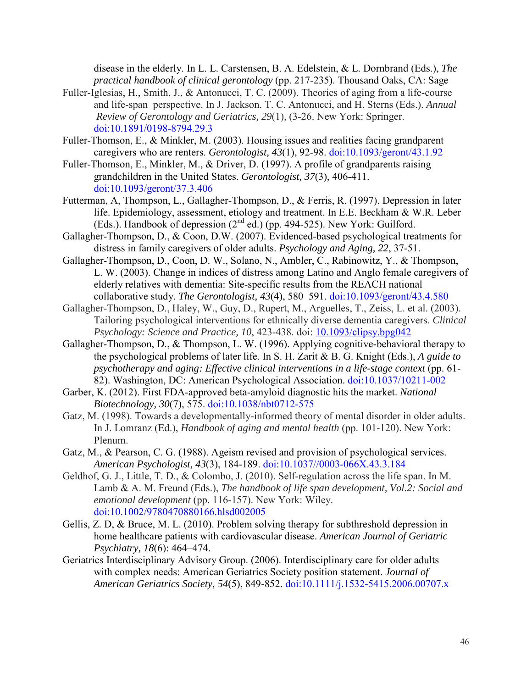disease in the elderly. In L. L. Carstensen, B. A. Edelstein, & L. Dornbrand (Eds.), *The practical handbook of clinical gerontology* (pp. 217-235). Thousand Oaks, CA: Sage

- Fuller-Iglesias, H., Smith, J., & Antonucci, T. C. (2009). Theories of aging from a life-course and life-span perspective. In J. Jackson. T. C. Antonucci, and H. Sterns (Eds.). *Annual Review of Gerontology and Geriatrics, 29*(1)*,* (3-26. New York: Springer. [doi:10.1891/0198-8794.29.3](http://dx.doi.org/10.1891%2F0198-8794.29.3)
- Fuller-Thomson, E., & Minkler, M. (2003). Housing issues and realities facing grandparent caregivers who are renters. *Gerontologist, 43*(1), 92-98. [doi:10.1093/geront/43.1.92](http://dx.doi.org/10.1093%2Fgeront%2F43.1.92)
- Fuller-Thomson, E., Minkler, M., & Driver, D. (1997). A profile of grandparents raising grandchildren in the United States. *Gerontologist, 37*(3), 406-411. [doi:10.1093/geront/37.3.406](http://dx.doi.org/10.1093%2Fgeront%2F37.3.406)
- Futterman, A, Thompson, L., Gallagher-Thompson, D., & Ferris, R. (1997). Depression in later life. Epidemiology, assessment, etiology and treatment. In E.E. Beckham & W.R. Leber (Eds.). Handbook of depression (2nd ed.) (pp. 494-525). New York: Guilford.
- Gallagher-Thompson, D., & Coon, D.W. (2007). Evidenced-based psychological treatments for distress in family caregivers of older adults. *Psychology and Aging, 22*, 37-51.
- Gallagher-Thompson, D., Coon, D. W., Solano, N., Ambler, C., Rabinowitz, Y., & Thompson, L. W. (2003). Change in indices of distress among Latino and Anglo female caregivers of elderly relatives with dementia: Site-specific results from the REACH national collaborative study. *The Gerontologist, 43*(4), 580–591. [doi:10.1093/geront/43.4.580](http://dx.doi.org/10.1093%2Fgeront%2F43.4.580)
- Gallagher-Thompson, D., Haley, W., Guy, D., Rupert, M., Arguelles, T., Zeiss, L. et al. (2003). Tailoring psychological interventions for ethnically diverse dementia caregivers. *Clinical Psychology: Science and Practice, 10*, 423-438. doi: [10.1093/clipsy.bpg042](http://dx.doi.org/10.1093%2Fclipsy.bpg042)
- Gallagher-Thompson, D., & Thompson, L. W. (1996). Applying cognitive-behavioral therapy to the psychological problems of later life. In S. H. Zarit & B. G. Knight (Eds.), *A guide to psychotherapy and aging: Effective clinical interventions in a life-stage context (pp. 61-*82). Washington, DC: American Psychological Association. [doi:10.1037/10211-002](http://dx.doi.org/10.1037%2F10211-002)
- Garber, K. (2012). First FDA-approved beta-amyloid diagnostic hits the market. *National Biotechnology, 30*(7), 575. [doi:10.1038/nbt0712-575](http://dx.doi.org/10.1038%2Fnbt0712-575)
- Gatz, M. (1998). Towards a developmentally-informed theory of mental disorder in older adults. In J. Lomranz (Ed.), *Handbook of aging and mental health* (pp. 101-120). New York: Plenum.
- Gatz, M., & Pearson, C. G. (1988). Ageism revised and provision of psychological services. *American Psychologist, 43*(3), 184-189. [doi:10.1037//0003-066X.43.3.184](http://dx.doi.org/10.1037%2F%2F0003-066X.43.3.184)
- Geldhof, G. J., Little, T. D., & Colombo, J. (2010). Self-regulation across the life span. In M. Lamb & A. M. Freund (Eds.), *The handbook of life span development, Vol.2: Social and emotional development* (pp. 116-157). New York: Wiley. [doi:10.1002/9780470880166.hlsd002005](http://dx.doi.org/10.1002%2F9780470880166.hlsd002005)
- [Gellis, Z. D,](https://library.villanova.edu/Find/Summon/Search?type=Author&lookfor=Gellis%2C%20Zvi%20D) & [Bruce, M. L.](https://library.villanova.edu/Find/Summon/Search?type=Author&lookfor=Bruce%2C%20Martha%20L) (2010). Problem solving therapy for subthreshold depression in home healthcare patients with cardiovascular disease. *American Journal of Geriatric Psychiatry, 18*[\(6\): 464–474.](http://www.ncbi.nlm.nih.gov/entrez/eutils/elink.fcgi?dbfrom=pubmed&retmode=ref&cmd=prlinks&id=20871804)
- Geriatrics Interdisciplinary Advisory Group. (2006). Interdisciplinary care for older adults with complex needs: American Geriatrics Society position statement. *Journal of American Geriatrics Society, 54*(5), 849-852. [doi:10.1111/j.1532-5415.2006.00707.x](http://dx.doi.org/10.1111%2Fj.1532-5415.2006.00707.x)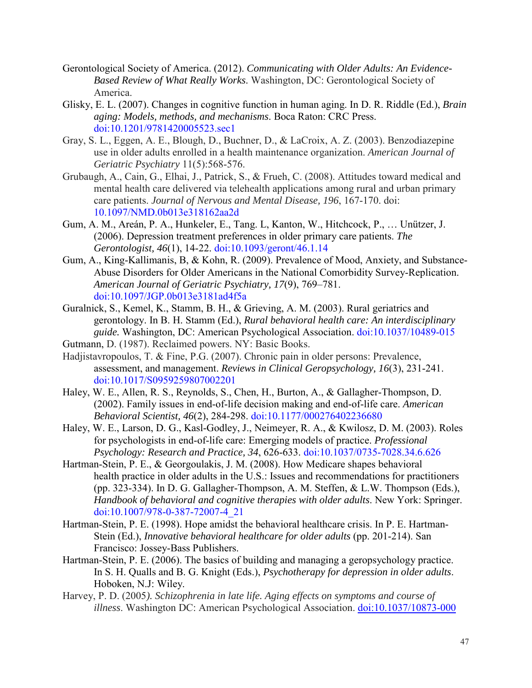- Gerontological Society of America. (2012). *Communicating with Older Adults: An Evidence-Based Review of What Really Works*. Washington, DC: Gerontological Society of America.
- Glisky, E. L. (2007). Changes in cognitive function in human aging. In D. R. Riddle (Ed.), *Brain aging: Models, methods, and mechanisms*. Boca Raton: CRC Press. [doi:10.1201/9781420005523.sec1](http://dx.doi.org/10.1201%2F9781420005523.sec1)
- Gray, S. L., Eggen, A. E., Blough, D., Buchner, D., & LaCroix, A. Z. (2003). Benzodiazepine use in older adults enrolled in a health maintenance organization. *American Journal of Geriatric Psychiatry* 11(5):568-576.
- Grubaugh, A., Cain, G., Elhai, J., Patrick, S., & Frueh, C. (2008). Attitudes toward medical and mental health care delivered via telehealth applications among rural and urban primary care patients. *Journal of Nervous and Mental Disease, 196*, 167-170. doi: 10.1097/NMD.0b013e318162aa2d
- Gum, A. M., Areán, P. A., Hunkeler, E., Tang. L, Kanton, W., Hitchcock, P., … Unützer, J. (2006). Depression treatment preferences in older primary care patients. *The Gerontologist, 46*(1), 14-22. [doi:10.1093/geront/46.1.14](http://dx.doi.org/10.1093%2Fgeront%2F46.1.14)
- Gum, A., King-Kallimanis, B, & Kohn, R. (2009). Prevalence of Mood, Anxiety, and Substance-Abuse Disorders for Older Americans in the National Comorbidity Survey-Replication. *American Journal of Geriatric Psychiatry, 17*(9), 769–781. [doi:10.1097/JGP.0b013e3181ad4f5a](http://dx.doi.org/10.1097%2FJGP.0b013e3181ad4f5a)
- Guralnick, S., Kemel, K., Stamm, B. H., & Grieving, A. M. (2003). Rural geriatrics and gerontology. In B. H. Stamm (Ed.), *Rural behavioral health care: An interdisciplinary guide.* Washington, DC: American Psychological Association. [doi:10.1037/10489-015](http://dx.doi.org/10.1037%2F10489-015)
- Gutmann, D. (1987). Reclaimed powers. NY: Basic Books.
- Hadjistavropoulos, T. & Fine, P.G. (2007). Chronic pain in older persons: Prevalence, assessment, and management. *Reviews in Clinical Geropsychology, 16*(3), 231-241. [doi:10.1017/S0959259807002201](http://dx.doi.org/10.1017%2FS0959259807002201)
- Haley, W. E., Allen, R. S., Reynolds, S., Chen, H., Burton, A., & Gallagher-Thompson, D. (2002). Family issues in end-of-life decision making and end-of-life care. *American Behavioral Scientist, 46*(2), 284-298. [doi:10.1177/000276402236680](http://dx.doi.org/10.1177%2F000276402236680)
- Haley, W. E., Larson, D. G., Kasl-Godley, J., Neimeyer, R. A., & Kwilosz, D. M. (2003). Roles for psychologists in end-of-life care: Emerging models of practice. *Professional Psychology: Research and Practice, 34*, 626-633. [doi:10.1037/0735-7028.34.6.626](http://dx.doi.org/10.1037%2F0735-7028.34.6.626)
- Hartman-Stein, P. E., & Georgoulakis, J. M. (2008). How Medicare shapes behavioral health practice in older adults in the U.S.: Issues and recommendations for practitioners (pp. 323-334). In D. G. Gallagher-Thompson, A. M. Steffen, & L.W. Thompson (Eds.), *Handbook of behavioral and cognitive therapies with older adults*. New York: Springer. [doi:10.1007/978-0-387-72007-4\\_21](http://dx.doi.org/10.1007%2F978-0-387-72007-4_21)
- Hartman-Stein, P. E. (1998). Hope amidst the behavioral healthcare crisis. In P. E. Hartman- Stein (Ed.), *Innovative behavioral healthcare for older adults* (pp. 201-214). San Francisco: Jossey-Bass Publishers.
- Hartman-Stein, P. E. (2006). The basics of building and managing a geropsychology practice. In S. H. Qualls and B. G. Knight (Eds.), *Psychotherapy for depression in older adults*. Hoboken, N.J: Wiley.
- Harvey, P. D. (2005*). Schizophrenia in late life. Aging effects on symptoms and course of illness*. Washington DC: American Psychological Association. [doi:10.1037/10873-000](http://dx.doi.org/10.1037%2F10873-000)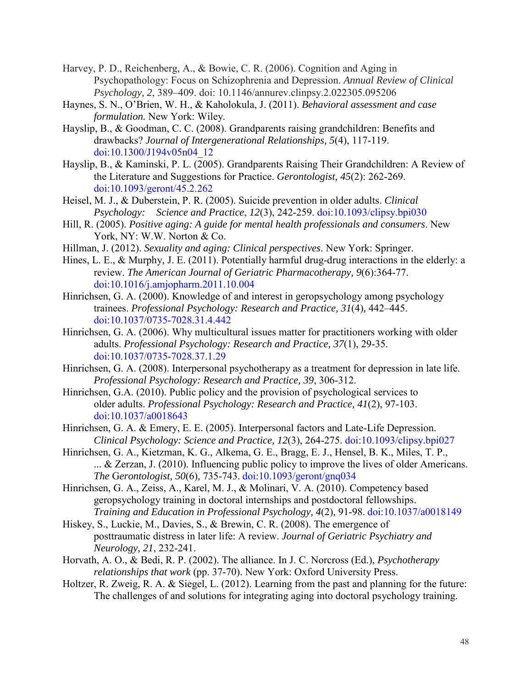- Harvey, P. D., Reichenberg, A., & Bowie, C. R. (2006). Cognition and Aging in Psychopathology: Focus on Schizophrenia and Depression. *Annual Review of Clinical Psychology, 2*, 389–409. doi: 10.1146/annurev.clinpsy.2.022305.095206
- Haynes, S. N., O'Brien, W. H., & Kaholokula, J. (2011). *Behavioral assessment and case formulation.* New York: Wiley.
- Hayslip, B., & Goodman, C. C. (2008). Grandparents raising grandchildren: Benefits and drawbacks? *Journal of Intergenerational Relationships, 5*(4), 117-119. [doi:10.1300/J194v05n04\\_12](http://dx.doi.org/10.1300%2FJ194v05n04_12)
- Hayslip, B., & Kaminski, P. L. (2005). Grandparents Raising Their Grandchildren: A Review of the Literature and Suggestions for Practice. *Gerontologist, 45*(2): 262-269. [doi:10.1093/geront/45.2.262](http://dx.doi.org/10.1093%2Fgeront%2F45.2.262)
- Heisel, M. J., & Duberstein, P. R. (2005). Suicide prevention in older adults. *Clinical Psychology: Science and Practice*, *12*(3), 242-259. [doi:10.1093/clipsy.bpi030](http://dx.doi.org/10.1093%2Fclipsy.bpi030)
- Hill, R. (2005). *Positive aging: A guide for mental health professionals and consumers*. New York, NY: W.W. Norton & Co.
- Hillman, J. (2012). *Sexuality and aging: Clinical perspectives*. New York: Springer.
- Hines, L. E., & Murphy, J. E. (2011). Potentially harmful drug-drug interactions in the elderly: a review. *The American Journal of Geriatric Pharmacotherapy, 9*(6):364-77. [doi:10.1016/j.amjopharm.2011.10.004](http://dx.doi.org/10.1016%2Fj.amjopharm.2011.10.004)
- Hinrichsen, G. A. (2000). Knowledge of and interest in geropsychology among psychology trainees. *Professional Psychology: Research and Practice, 31*(4)*,* 442–445. [doi:10.1037/0735-7028.31.4.442](http://dx.doi.org/10.1037%2F0735-7028.31.4.442)
- Hinrichsen, G. A. (2006). Why multicultural issues matter for practitioners working with older adults. *Professional Psychology: Research and Practice, 37*(1), 29-35. [doi:10.1037/0735-7028.37.1.29](http://dx.doi.org/10.1037%2F0735-7028.37.1.29)
- Hinrichsen, G. A. (2008). Interpersonal psychotherapy as a treatment for depression in late life. *Professional Psychology: Research and Practice, 39*, 306-312.
- Hinrichsen, G.A. (2010). Public policy and the provision of psychological services to older adults. *Professional Psychology: Research and Practice, 41*(2), 97-103. [doi:10.1037/a0018643](http://dx.doi.org/10.1037%2Fa0018643)
- Hinrichsen, G. A. & Emery, E. E. (2005). Interpersonal factors and Late-Life Depression. *Clinical Psychology: Science and Practice, 12*(3), 264-275. [doi:10.1093/clipsy.bpi027](http://dx.doi.org/10.1093%2Fclipsy.bpi027)
- Hinrichsen, G. A., Kietzman, K. G., Alkema, G. E., Bragg, E. J., Hensel, B. K., Miles, T. P., ... & Zerzan, J. (2010). Influencing public policy to improve the lives of older Americans. *The* G*erontologist, 50*(6)*,* 735-743. [doi:10.1093/geront/gnq034](http://dx.doi.org/10.1093%2Fgeront%2Fgnq034)
- Hinrichsen, G. A., Zeiss, A., Karel, M. J., & Molinari, V. A. (2010). Competency based geropsychology training in doctoral internships and postdoctoral fellowships. *Training and Education in Professional Psychology, 4*(2)*,* 91-98. [doi:10.1037/a0018149](http://dx.doi.org/10.1037%2Fa0018149)
- Hiskey, S., Luckie, M., Davies, S., & Brewin, C. R. (2008). The emergence of posttraumatic distress in later life: A review. *Journal of Geriatric Psychiatry and Neurology, 21*, 232-241.
- Horvath, A. O., & Bedi, R. P. (2002). The alliance. In J. C. Norcross (Ed.), *Psychotherapy relationships that work* (pp. 37-70). New York: Oxford University Press.
- Holtzer, R. Zweig, R. A. & Siegel, L. (2012). Learning from the past and planning for the future: The challenges of and solutions for integrating aging into doctoral psychology training.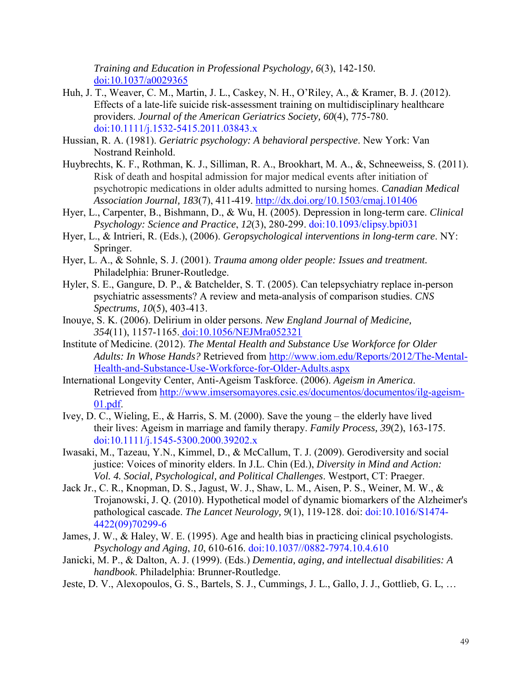*Training and Education in Professional Psychology, 6*(3), 142-150. [doi:10.1037/a0029365](http://dx.doi.org/10.1037%2Fa0029365)

- Huh, J. T., Weaver, C. M., Martin, J. L., Caskey, N. H., O'Riley, A., & Kramer, B. J. (2012). Effects of a late-life suicide risk-assessment training on multidisciplinary healthcare providers. *Journal of the American Geriatrics Society, 60*(4), 775-780. [doi:10.1111/j.1532-5415.2011.03843.x](http://dx.doi.org/10.1111%2Fj.1532-5415.2011.03843.x)
- Hussian, R. A. (1981). *Geriatric psychology: A behavioral perspective*. New York: Van Nostrand Reinhold.
- Huybrechts, K. F., Rothman, K. J., Silliman, R. A., Brookhart, M. A., &, Schneeweiss, S. (2011). Risk of death and hospital admission for major medical events after initiation of psychotropic medications in older adults admitted to nursing homes. *Canadian Medical Association Journal, 183*(7), 411-419. [http://dx.doi.org/10.1503/cmaj.101406](http://dx.doi.org/10.1503%2Fcmaj.101406)
- Hyer, L., Carpenter, B., Bishmann, D., & Wu, H. (2005). Depression in long-term care. *Clinical Psychology: Science and Practice*, *12*(3), 280-299. [doi:10.1093/clipsy.bpi031](http://dx.doi.org/10.1093%2Fclipsy.bpi031)
- Hyer, L., & Intrieri, R. (Eds.), (2006). *Geropsychological interventions in long-term care*. NY: Springer.
- Hyer, L. A., & Sohnle, S. J. (2001). *Trauma among older people: Issues and treatment.*  Philadelphia: Bruner-Routledge.
- Hyler, S. E., Gangure, D. P., & Batchelder, S. T. (2005). Can telepsychiatry replace in-person psychiatric assessments? A review and meta-analysis of comparison studies. *CNS Spectrums, 10*(5), 403-413.
- Inouye, S. K. (2006). Delirium in older persons. *New England Journal of Medicine, 354*(11), 1157-1165. [doi:10.1056/NEJMra052321](http://dx.doi.org/10.1056%2FNEJMra052321)
- Institute of Medicine. (2012). *The Mental Health and Substance Use Workforce for Older Adults: In Whose Hands?* Retrieved from [http://www.iom.edu/Reports/2012/The-Mental-](http://www.iom.edu/Reports/2012/The-Mental-Health-and-Substance-Use-Workforce-for-Older-Adults.aspx)[Health-and-Substance-Use-Workforce-for-Older-Adults.aspx](http://www.iom.edu/Reports/2012/The-Mental-Health-and-Substance-Use-Workforce-for-Older-Adults.aspx)
- International Longevity Center, Anti-Ageism Taskforce. (2006). *Ageism in America*. Retrieved from [http://www.imsersomayores.csic.es/documentos/documentos/ilg-ageism-](http://www.imsersomayores.csic.es/documentos/documentos/ilg-ageism-01.pdf)[01.pdf.](http://www.imsersomayores.csic.es/documentos/documentos/ilg-ageism-01.pdf)
- Ivey, D. C., Wieling, E., & Harris, S. M. (2000). Save the young the elderly have lived their lives: Ageism in marriage and family therapy. *Family Process, 39*(2), 163-175. [doi:10.1111/j.1545-5300.2000.39202.x](http://dx.doi.org/10.1111%2Fj.1545-5300.2000.39202.x)
- Iwasaki, M., Tazeau, Y.N., Kimmel, D., & McCallum, T. J. (2009). Gerodiversity and social justice: Voices of minority elders. In J.L. Chin (Ed.), *Diversity in Mind and Action: Vol. 4. Social, Psychological, and Political Challenges*. Westport, CT: Praeger.
- Jack Jr., C. R., Knopman, D. S., Jagust, W. J., Shaw, L. M., Aisen, P. S., Weiner, M. W., & Trojanowski, J. Q. (2010). Hypothetical model of dynamic biomarkers of the Alzheimer's pathological cascade. *The Lancet Neurology, 9*(1), 119-128. doi: [doi:10.1016/S1474-](http://dx.doi.org/10.1016%2FS1474-4422%2809%2970299-6) [4422\(09\)70299-6](http://dx.doi.org/10.1016%2FS1474-4422%2809%2970299-6)
- James, J. W., & Haley, W. E. (1995). Age and health bias in practicing clinical psychologists. *Psychology and Aging*, *10*, 610-616. [doi:10.1037//0882-7974.10.4.610](http://dx.doi.org/10.1037%2F%2F0882-7974.10.4.610)
- Janicki, M. P., & Dalton, A. J. (1999). (Eds.) *Dementia, aging, and intellectual disabilities: A handbook*. Philadelphia: Brunner-Routledge.
- Jeste, D. V., Alexopoulos, G. S., Bartels, S. J., Cummings, J. L., Gallo, J. J., Gottlieb, G. L, …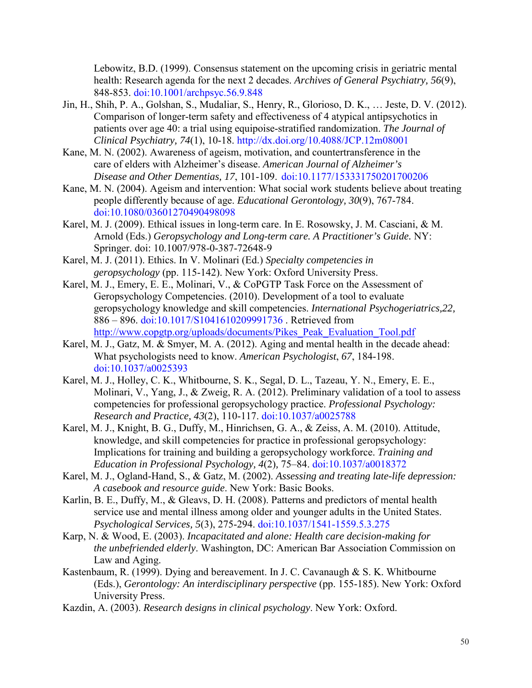Lebowitz, B.D. (1999). Consensus statement on the upcoming crisis in geriatric mental health: Research agenda for the next 2 decades. *Archives of General Psychiatry, 56*(9), 848-853. [doi:10.1001/archpsyc.56.9.848](http://dx.doi.org/10.1001%2Farchpsyc.56.9.848)

- Jin, H., Shih, P. A., Golshan, S., Mudaliar, S., Henry, R., Glorioso, D. K., … Jeste, D. V. (2012). Comparison of longer-term safety and effectiveness of 4 atypical antipsychotics in patients over age 40: a trial using equipoise-stratified randomization. *The Journal of Clinical Psychiatry, 74*(1), 10-18. [http://dx.doi.org/10.4088/JCP.12m08001](http://dx.doi.org/10.4088%2FJCP.12m08001)
- Kane, M. N. (2002). Awareness of ageism, motivation, and countertransference in the care of elders with Alzheimer's disease. *American Journal of Alzheimer's Disease and Other Dementias, 17*, 101-109. [doi:10.1177/153331750201700206](http://dx.doi.org/10.1177%2F153331750201700206)
- Kane, M. N. (2004). Ageism and intervention: What social work students believe about treating people differently because of age. *Educational Gerontology, 30*(9), 767-784. [doi:10.1080/03601270490498098](http://dx.doi.org/10.1080%2F03601270490498098)
- Karel, M. J. (2009). Ethical issues in long-term care. In E. Rosowsky, J. M. Casciani, & M. Arnold (Eds.) *Geropsychology and Long-term care. A Practitioner's Guide.* NY: Springer. doi: 10.1007/978-0-387-72648-9
- Karel, M. J. (2011). Ethics. In V. Molinari (Ed.) *Specialty competencies in geropsychology* (pp. 115-142). New York: Oxford University Press.
- Karel, M. J., Emery, E. E., Molinari, V., & CoPGTP Task Force on the Assessment of Geropsychology Competencies. (2010). Development of a tool to evaluate geropsychology knowledge and skill competencies. *International Psychogeriatrics,22,*  886 – 896. [doi:10.1017/S1041610209991736](http://dx.doi.org/10.1017%2FS1041610209991736) . Retrieved from http://www.copgtp.org/uploads/documents/Pikes\_Peak\_Evaluation\_Tool.pdf
- Karel, M. J., Gatz, M. & Smyer, M. A. (2012). Aging and mental health in the decade ahead: What psychologists need to know. *American Psychologist*, *67*, 184-198. [doi:10.1037/a0025393](http://dx.doi.org/10.1037%2Fa0025393)
- Karel, M. J., Holley, C. K., Whitbourne, S. K., Segal, D. L., Tazeau, Y. N., Emery, E. E., Molinari, V., Yang, J., & Zweig, R. A. (2012). Preliminary validation of a tool to assess competencies for professional geropsychology practice. *Professional Psychology: Research and Practice, 43*(2), 110-117. [doi:10.1037/a0025788](http://dx.doi.org/10.1037%2Fa0025788)
- Karel, M. J., Knight, B. G., Duffy, M., Hinrichsen, G. A., & Zeiss, A. M. (2010). Attitude, knowledge, and skill competencies for practice in professional geropsychology: Implications for training and building a geropsychology workforce. *Training and Education in Professional Psychology, 4*(2)*,* 75–84. [doi:10.1037/a0018372](http://dx.doi.org/10.1037%2Fa0018372)
- Karel, M. J., Ogland-Hand, S., & Gatz, M. (2002). *Assessing and treating late-life depression: A casebook and resource guide*. New York: Basic Books.
- Karlin, B. E., Duffy, M., & Gleavs, D. H. (2008). Patterns and predictors of mental health service use and mental illness among older and younger adults in the United States. *Psychological Services, 5*(3), 275-294. [doi:10.1037/1541-1559.5.3.275](http://dx.doi.org/10.1037%2F1541-1559.5.3.275)
- Karp, N. & Wood, E. (2003). *Incapacitated and alone: Health care decision-making for the unbefriended elderly*. Washington, DC: American Bar Association Commission on Law and Aging.
- Kastenbaum, R. (1999). Dying and bereavement. In J. C. Cavanaugh & S. K. Whitbourne (Eds.), *Gerontology: An interdisciplinary perspective* (pp. 155-185). New York: Oxford University Press.
- Kazdin, A. (2003). *Research designs in clinical psychology*. New York: Oxford.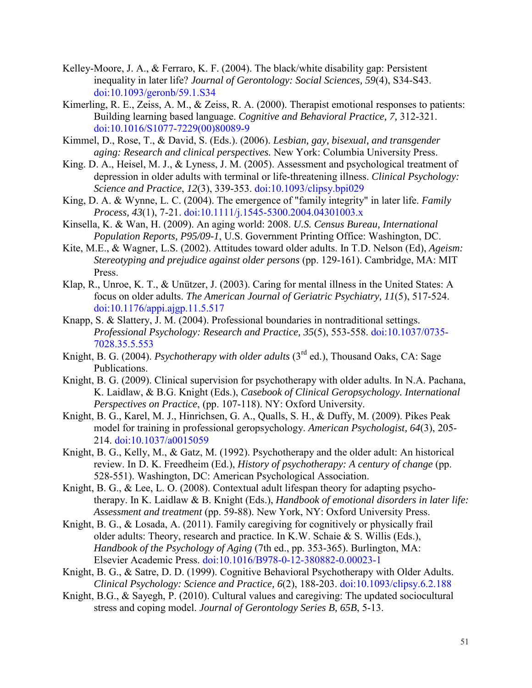- Kelley-Moore, J. A., & Ferraro, K. F. (2004). The black/white disability gap: Persistent inequality in later life? *Journal of Gerontology: Social Sciences, 59*(4), S34-S43. [doi:10.1093/geronb/59.1.S34](http://dx.doi.org/10.1093%2Fgeronb%2F59.1.S34)
- Kimerling, R. E., Zeiss, A. M., & Zeiss, R. A. (2000). Therapist emotional responses to patients: Building learning based language. *Cognitive and Behavioral Practice, 7,* 312-321. [doi:10.1016/S1077-7229\(00\)80089-9](http://dx.doi.org/10.1016%2FS1077-7229%2800%2980089-9)
- Kimmel, D., Rose, T., & David, S. (Eds.). (2006). *Lesbian, gay, bisexual, and transgender aging: Research and clinical perspectives.* New York: Columbia University Press.
- King. D. A., Heisel, M. J., & Lyness, J. M. (2005). Assessment and psychological treatment of depression in older adults with terminal or life-threatening illness. *Clinical Psychology: Science and Practice*, *12*(3), 339-353. [doi:10.1093/clipsy.bpi029](http://dx.doi.org/10.1093%2Fclipsy.bpi029)
- King, D. A. & Wynne, L. C. (2004). The emergence of "family integrity" in later life. *Family Process, 43*(1), 7-21. [doi:10.1111/j.1545-5300.2004.04301003.x](http://dx.doi.org/10.1111%2Fj.1545-5300.2004.04301003.x)
- Kinsella, K. & Wan, H. (2009). An aging world: 2008. *U.S. Census Bureau, International Population Reports, P95/09-1*, U.S. Government Printing Office: Washington, DC.
- Kite, M.E., & Wagner, L.S. (2002). Attitudes toward older adults. In T.D. Nelson (Ed), *Ageism: Stereotyping and prejudice against older persons* (pp. 129-161). Cambridge, MA: MIT Press.
- Klap, R., Unroe, K. T., & Unützer, J. (2003). Caring for mental illness in the United States: A focus on older adults. *The American Journal of Geriatric Psychiatry, 11*(5), 517-524. [doi:10.1176/appi.ajgp.11.5.517](http://dx.doi.org/10.1176%2Fappi.ajgp.11.5.517)
- Knapp, S. & Slattery, J. M. (2004). Professional boundaries in nontraditional settings. *Professional Psychology: Research and Practice, 35*(5), 553-558. [doi:10.1037/0735-](http://dx.doi.org/10.1037%2F0735-7028.35.5.553) [7028.35.5.553](http://dx.doi.org/10.1037%2F0735-7028.35.5.553)
- Knight, B. G. (2004). *Psychotherapy with older adults* (3<sup>rd</sup> ed.), Thousand Oaks, CA: Sage Publications.
- Knight, B. G. (2009). Clinical supervision for psychotherapy with older adults. In N.A. Pachana, K. Laidlaw, & B.G. Knight (Eds.), *Casebook of Clinical Geropsychology. International Perspectives on Practice*, (pp. 107-118). NY: Oxford University.
- Knight, B. G., Karel, M. J., Hinrichsen, G. A., Qualls, S. H., & Duffy, M. (2009). Pikes Peak model for training in professional geropsychology. *American Psychologist, 64*(3), 205- 214. [doi:10.1037/a0015059](http://dx.doi.org/10.1037%2Fa0015059)
- Knight, B. G., Kelly, M., & Gatz, M. (1992). Psychotherapy and the older adult: An historical review. In D. K. Freedheim (Ed.), *History of psychotherapy: A century of change* (pp. 528-551). Washington, DC: American Psychological Association.
- Knight, B. G., & Lee, L. O. (2008). [Contextual adult lifespan theory for adapting psycho](http://psycnet.apa.org.elibrary.einstein.yu.edu/index.cfm?fa=search.displayRecord&id=D24DDE09-C6AB-A67D-44DD-7DFAF7DFC0F9&resultID=25&page=1&dbTab=all)[therapy. I](http://psycnet.apa.org.elibrary.einstein.yu.edu/index.cfm?fa=search.displayRecord&id=D24DDE09-C6AB-A67D-44DD-7DFAF7DFC0F9&resultID=25&page=1&dbTab=all)n K. Laidlaw & B. Knight (Eds.), *Handbook of emotional disorders in later life: Assessment and treatment* (pp. 59-88). New York, NY: Oxford University Press.
- Knight, B. G., & Losada, A. (2011). Family caregiving for cognitively or physically frail older adults: Theory, research and practice. In K.W. Schaie & S. Willis (Eds.), *Handbook of the Psychology of Aging* (7th ed., pp. 353-365). Burlington, MA: Elsevier Academic Press. [doi:10.1016/B978-0-12-380882-0.00023-1](http://dx.doi.org/10.1016%2FB978-0-12-380882-0.00023-1)
- Knight, B. G., & Satre, D. D. (1999). Cognitive Behavioral Psychotherapy with Older Adults. *Clinical Psychology: Science and Practice, 6*(2), 188-203. [doi:10.1093/clipsy.6.2.188](http://dx.doi.org/10.1093%2Fclipsy.6.2.188)
- Knight, B.G., & Sayegh, P. (2010). Cultural values and caregiving: The updated sociocultural stress and coping model. *Journal of Gerontology Series B, 65B*, 5-13.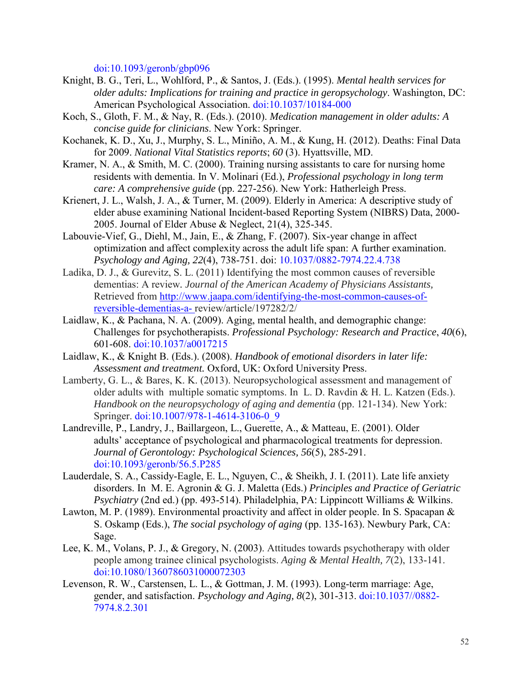[doi:10.1093/geronb/gbp096](http://dx.doi.org/10.1093%2Fgeronb%2Fgbp096)

- Knight, B. G., Teri, L., Wohlford, P., & Santos, J. (Eds.). (1995). *Mental health services for older adults: Implications for training and practice in geropsychology*. Washington, DC: American Psychological Association. [doi:10.1037/10184-000](http://dx.doi.org/10.1037%2F10184-000)
- Koch, S., Gloth, F. M., & Nay, R. (Eds.). (2010). *Medication management in older adults: A concise guide for clinicians*. New York: Springer.
- Kochanek, K. D., Xu, J., Murphy, S. L., Miniño, A. M., & Kung, H. (2012). Deaths: Final Data for 2009. *National Vital Statistics reports*; *60* (3). Hyattsville, MD.
- Kramer, N. A., & Smith, M. C. (2000). Training nursing assistants to care for nursing home residents with dementia. In V. Molinari (Ed.), *Professional psychology in long term care: A comprehensive guide* (pp. 227-256). New York: Hatherleigh Press.
- Krienert, J. L., Walsh, J. A., & Turner, M. (2009). Elderly in America: A descriptive study of elder abuse examining National Incident-based Reporting System (NIBRS) Data, 2000- 2005. Journal of Elder Abuse & Neglect, 21(4), 325-345.
- Labouvie-Vief, G., Diehl, M., Jain, E., & Zhang, F. (2007). [Six-year change in affect](http://psycnet.apa.org.elibrary.einstein.yu.edu/index.cfm?fa=search.displayRecord&id=458C4C44-03DA-CF3C-DBA9-5A0CDACA1029&resultID=9&page=1&dbTab=all) [optimization and affect complexity across the adult life span: A further examination.](http://psycnet.apa.org.elibrary.einstein.yu.edu/index.cfm?fa=search.displayRecord&id=458C4C44-03DA-CF3C-DBA9-5A0CDACA1029&resultID=9&page=1&dbTab=all)  *Psychology and Aging, 22*(4), 738-751. doi: [10.1037/0882-7974.22.4.738](http://psycnet.apa.org.elibrary.einstein.yu.edu/doi/10.1037/0882-7974.22.4.738)
- Ladika, D. J., & Gurevitz, S. L. (2011) Identifying the most common causes of reversible dementias: A review*. Journal of the American Academy of Physicians Assistants,* Retrieved from [http://www.jaapa.com/identifying-the-most-common-causes-of](http://www.jaapa.com/identifying-the-most-common-causes-of-reversible-dementias-a-)[reversible-dementias-a-](http://www.jaapa.com/identifying-the-most-common-causes-of-reversible-dementias-a-) review/article/197282/2/
- Laidlaw, K., & Pachana, N. A. (2009). Aging, mental health, and demographic change: Challenges for psychotherapists. *Professional Psychology: Research and Practice*, *40*(6), 601-608. [doi:10.1037/a0017215](http://dx.doi.org/10.1037%2Fa0017215)
- Laidlaw, K., & Knight B. (Eds.). (2008). *Handbook of emotional disorders in later life: Assessment and treatment.* Oxford, UK: Oxford University Press.
- Lamberty, G. L., & Bares, K. K. (2013). Neuropsychological assessment and management of older adults with multiple somatic symptoms. In L. D. Ravdin & H. L. Katzen (Eds.). *Handbook on the neuropsychology of aging and dementia* (pp. 121-134). New York: Springer. [doi:10.1007/978-1-4614-3106-0\\_9](http://dx.doi.org/10.1007%2F978-1-4614-3106-0_9)
- Landreville, P., Landry, J., Baillargeon, L., Guerette, A., & Matteau, E. (2001). Older adults' acceptance of psychological and pharmacological treatments for depression. *Journal of Gerontology: Psychological Sciences, 56*(5), 285-291. [doi:10.1093/geronb/56.5.P285](http://dx.doi.org/10.1093%2Fgeronb%2F56.5.P285)
- Lauderdale, S. A., Cassidy-Eagle, E. L., Nguyen, C., & Sheikh, J. I. (2011). Late life anxiety disorders. In M. E. Agronin & G. J. Maletta (Eds.) *Principles and Practice of Geriatric Psychiatry* (2nd ed.) (pp. 493-514). Philadelphia, PA: Lippincott Williams & Wilkins.
- Lawton, M. P. (1989). Environmental proactivity and affect in older people. In S. Spacapan & S. Oskamp (Eds.), *The social psychology of aging* (pp. 135-163). Newbury Park, CA: Sage.
- Lee, K. M., Volans, P. J., & Gregory, N. (2003). Attitudes towards psychotherapy with older people among trainee clinical psychologists. *Aging & Mental Health, 7*(2), 133-141. [doi:10.1080/1360786031000072303](http://dx.doi.org/10.1080%2F1360786031000072303)
- Levenson, R. W., Carstensen, L. L., & Gottman, J. M. (1993). Long-term marriage: Age, gender, and satisfaction. *Psychology and Aging, 8*(2), 301-313. [doi:10.1037//0882-](http://dx.doi.org/10.1037%2F%2F0882-7974.8.2.301) [7974.8.2.301](http://dx.doi.org/10.1037%2F%2F0882-7974.8.2.301)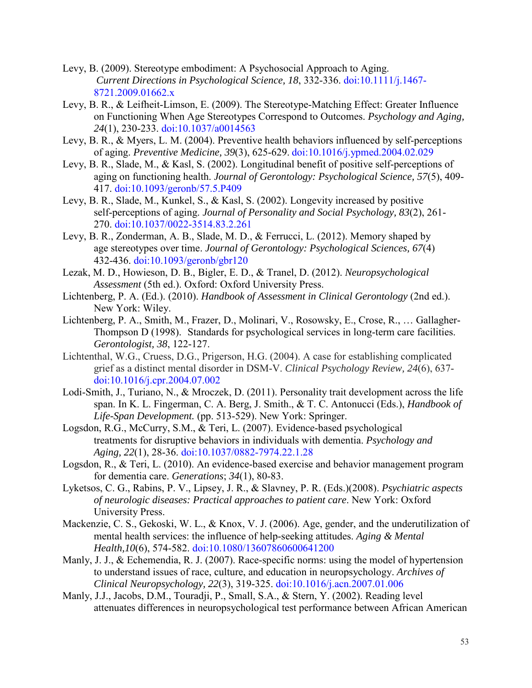- Levy, B. (2009). Stereotype embodiment: A Psychosocial Approach to Aging. *Current Directions in Psychological Science, 18*, 332-336. [doi:10.1111/j.1467-](http://dx.doi.org/10.1111%2Fj.1467-8721.2009.01662.x) [8721.2009.01662.x](http://dx.doi.org/10.1111%2Fj.1467-8721.2009.01662.x)
- Levy, B. R., & Leifheit-Limson, E. (2009). The Stereotype-Matching Effect: Greater Influence on Functioning When Age Stereotypes Correspond to Outcomes. *Psychology and Aging, 24*(1), 230-233. [doi:10.1037/a0014563](http://dx.doi.org/10.1037%2Fa0014563)
- Levy, B. R., & Myers, L. M. (2004). Preventive health behaviors influenced by self-perceptions of aging. *Preventive Medicine, 39*(3), 625-629. [doi:10.1016/j.ypmed.2004.02.029](http://dx.doi.org/10.1016%2Fj.ypmed.2004.02.029)
- Levy, B. R., Slade, M., & Kasl, S. (2002). Longitudinal benefit of positive self-perceptions of aging on functioning health. *Journal of Gerontology: Psychological Science, 57*(5), 409- 417. [doi:10.1093/geronb/57.5.P409](http://dx.doi.org/10.1093%2Fgeronb%2F57.5.P409)
- Levy, B. R., Slade, M., Kunkel, S., & Kasl, S. (2002). Longevity increased by positive self-perceptions of aging. *Journal of Personality and Social Psychology, 83*(2), 261- 270. [doi:10.1037/0022-3514.83.2.261](http://dx.doi.org/10.1037%2F0022-3514.83.2.261)
- Levy, B. R., Zonderman, A. B., Slade, M. D., & Ferrucci, L. (2012). Memory shaped by age stereotypes over time. *Journal of Gerontology: Psychological Sciences, 67*(4) 432-436. [doi:10.1093/geronb/gbr120](http://dx.doi.org/10.1093%2Fgeronb%2Fgbr120)
- Lezak, M. D., Howieson, D. B., Bigler, E. D., & Tranel, D. (2012). *Neuropsychological Assessment* (5th ed.). Oxford: Oxford University Press.
- Lichtenberg, P. A. (Ed.). (2010). *Handbook of Assessment in Clinical Gerontology* (2nd ed.). New York: Wiley.
- Lichtenberg, P. A., Smith, M., Frazer, D., Molinari, V., Rosowsky, E., Crose, R., … Gallagher-Thompson D (1998). Standards for psychological services in long-term care facilities. *Gerontologist, 38*, 122-127.
- Lichtenthal, W.G., Cruess, D.G., Prigerson, H.G. (2004). A case for establishing complicated grief as a distinct mental disorder in DSM-V. *Clinical Psychology Review, 24*(6), 637 [doi:10.1016/j.cpr.2004.07.002](http://dx.doi.org/10.1016%2Fj.cpr.2004.07.002)
- Lodi-Smith, J., Turiano, N., & Mroczek, D. (2011). Personality trait development across the life span. In K. L. Fingerman, C. A. Berg, J. Smith., & T. C. Antonucci (Eds.), *Handbook of Life-Span Development.* (pp. 513-529). New York: Springer.
- Logsdon, R.G., McCurry, S.M., & Teri, L. (2007). Evidence-based psychological treatments for disruptive behaviors in individuals with dementia. *Psychology and Aging, 22*(1), 28-36. [doi:10.1037/0882-7974.22.1.28](http://dx.doi.org/10.1037%2F0882-7974.22.1.28)
- <span id="page-52-0"></span>Logsdon, R., & Teri, L. (2010). An evidence-based exercise and behavior management program for dementia care. *Generations*; *34*(1), 80-83.
- Lyketsos, C. G., Rabins, P. V., Lipsey, J. R., & Slavney, P. R. (Eds.)(2008). *Psychiatric aspects of neurologic diseases: Practical approaches to patient care*. New York: Oxford University Press.
- Mackenzie, C. S., Gekoski, W. L., & Knox, V. J. (2006). Age, gender, and the underutilization of mental health services: the influence of help-seeking attitudes. *Aging & Mental Health,10*(6), 574-582. [doi:10.1080/13607860600641200](http://dx.doi.org/10.1080%2F13607860600641200)
- Manly, J. J., & Echemendia, R. J. (2007). Race-specific norms: using the model of hypertension to understand issues of race, culture, and education in neuropsychology. *Archives of Clinical Neuropsychology, 22*(3), 319-325. [doi:10.1016/j.acn.2007.01.006](http://dx.doi.org/10.1016%2Fj.acn.2007.01.006)
- Manly, J.J., Jacobs, D.M., Touradji, P., Small, S.A., & Stern, Y. (2002). Reading level attenuates differences in neuropsychological test performance between African American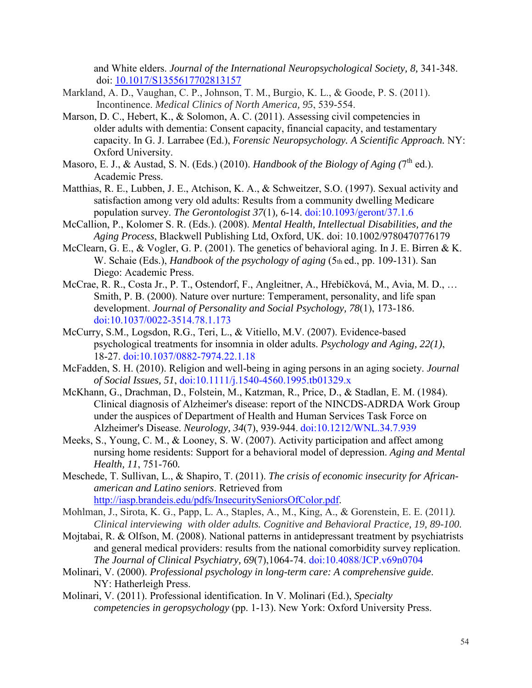and White elders. *Journal of the International Neuropsychological Society, 8,* 341-348. doi: [10.1017/S1355617702813157](http://dx.doi.org/10.1017%2FS1355617702813157)

- Markland, A. D., Vaughan, C. P., Johnson, T. M., Burgio, K. L., & Goode, P. S. (2011). Incontinence. *Medical Clinics of North America, 95*, 539-554.
- Marson, D. C., Hebert, K., & Solomon, A. C. (2011). Assessing civil competencies in older adults with dementia: Consent capacity, financial capacity, and testamentary capacity. In G. J. Larrabee (Ed.), *Forensic Neuropsychology. A Scientific Approach.* NY: Oxford University.
- Masoro, E. J., & Austad, S. N. (Eds.) (2010). *Handbook of the Biology of Aging (7<sup>th</sup> ed.*). Academic Press.
- Matthias, R. E., Lubben, J. E., Atchison, K. A., & Schweitzer, S.O. (1997). Sexual activity and satisfaction among very old adults: Results from a community dwelling Medicare population survey. *The Gerontologist 37*(1)*,* 6-14. [doi:10.1093/geront/37.1.6](http://dx.doi.org/10.1093%2Fgeront%2F37.1.6)
- McCallion, P., Kolomer S. R. (Eds.). (2008). *Mental Health, Intellectual Disabilities, and the Aging Process*, Blackwell Publishing Ltd, Oxford, UK. doi: 10.1002/9780470776179
- McClearn, G. E., & Vogler, G. P. (2001). The genetics of behavioral aging. In J. E. Birren & K. W. Schaie (Eds.), *Handbook of the psychology of aging* (5th ed., pp. 109-131). San Diego: Academic Press.
- McCrae, R. R., Costa Jr., P. T., Ostendorf, F., Angleitner, A., Hřebíčková, M., Avia, M. D., … Smith, P. B. (2000). Nature over nurture: Temperament, personality, and life span development. *Journal of Personality and Social Psychology, 78*(1), 173-186. [doi:10.1037/0022-3514.78.1.173](http://dx.doi.org/10.1037%2F0022-3514.78.1.173)
- McCurry, S.M., Logsdon, R.G., Teri, L., & Vitiello, M.V. (2007). Evidence-based psychological treatments for insomnia in older adults. *Psychology and Aging, 22(1)*, 18-27. [doi:10.1037/0882-7974.22.1.18](http://dx.doi.org/10.1037%2F0882-7974.22.1.18)
- McFadden, S. H. (2010). Religion and well-being in aging persons in an aging society. *Journal of Social Issues, 51*, [doi:10.1111/j.1540-4560.1995.tb01329.x](http://dx.doi.org/10.1111%2Fj.1540-4560.1995.tb01329.x)
- McKhann, G., Drachman, D., Folstein, M., Katzman, R., Price, D., & Stadlan, E. M. (1984). Clinical diagnosis of Alzheimer's disease: report of the NINCDS-ADRDA Work Group under the auspices of Department of Health and Human Services Task Force on Alzheimer's Disease. *Neurology, 34*(7), 939-944. [doi:10.1212/WNL.34.7.939](http://dx.doi.org/10.1212%2FWNL.34.7.939)
- Meeks, S., Young, C. M., & Looney, S. W. (2007). Activity participation and affect among nursing home residents: Support for a behavioral model of depression. *Aging and Mental Health, 11*, 751-760*.*
- Meschede, T. Sullivan, L., & Shapiro, T. (2011). *The crisis of economic insecurity for African american and Latino seniors*. Retrieved from [http://iasp.brandeis.edu/pdfs/InsecuritySeniorsOfColor.pdf.](http://iasp.brandeis.edu/pdfs/InsecuritySeniorsOfColor.pdf)
- Mohlman, J., Sirota, K. G., Papp, L. A., Staples, A., M., King, A., & Gorenstein, E. E. (2011*). Clinical interviewing with older adults. Cognitive and Behavioral Practice, 19, 89-100.*
- Mojtabai, R. & Olfson, M. (2008). National patterns in antidepressant treatment by psychiatrists and general medical providers: results from the national comorbidity survey replication. *The Journal of Clinical Psychiatry, 69*(7),1064-74. [doi:10.4088/JCP.v69n0704](http://dx.doi.org/10.4088%2FJCP.v69n0704)
- Molinari, V. (2000). *Professional psychology in long-term care: A comprehensive guide*. NY: Hatherleigh Press.
- Molinari, V. (2011). Professional identification. In V. Molinari (Ed.), *Specialty competencies in geropsychology* (pp. 1-13). New York: Oxford University Press.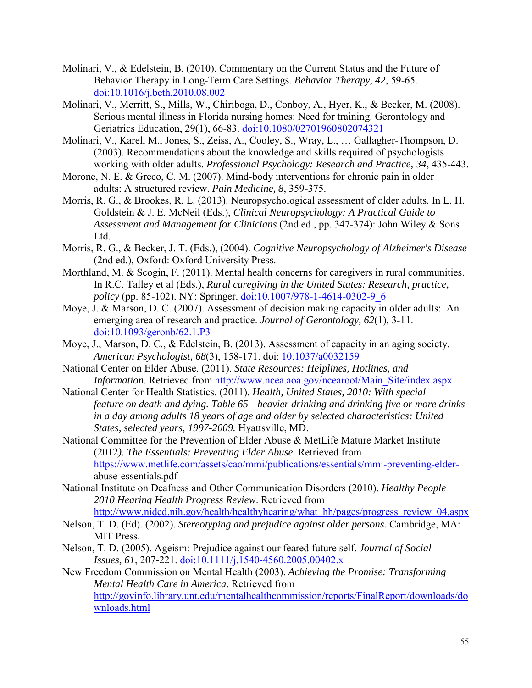- Molinari, V., & Edelstein, B. (2010). Commentary on the Current Status and the Future of Behavior Therapy in Long-Term Care Settings. *Behavior Therapy, 42*, 59-65. [doi:10.1016/j.beth.2010.08.002](http://dx.doi.org/10.1016%2Fj.beth.2010.08.002)
- Molinari, V., Merritt, S., Mills, W., Chiriboga, D., Conboy, A., Hyer, K., & Becker, M. (2008). Serious mental illness in Florida nursing homes: Need for training. Gerontology and Geriatrics Education, 29(1), 66-83. [doi:10.1080/02701960802074321](http://dx.doi.org/10.1080%2F02701960802074321)
- Molinari, V., Karel, M., Jones, S., Zeiss, A., Cooley, S., Wray, L., … Gallagher-Thompson, D. (2003). Recommendations about the knowledge and skills required of psychologists working with older adults. *Professional Psychology: Research and Practice, 34*, 435-443.
- Morone, N. E. & Greco, C. M. (2007). Mind-body interventions for chronic pain in older adults: A structured review. *Pain Medicine, 8*, 359-375.
- Morris, R. G., & Brookes, R. L. (2013). Neuropsychological assessment of older adults. In L. H. Goldstein & J. E. McNeil (Eds.), *Clinical Neuropsychology: A Practical Guide to Assessment and Management for Clinicians* (2nd ed., pp. 347-374): John Wiley & Sons Ltd.
- Morris, R. G., & Becker, J. T. (Eds.), (2004). *Cognitive Neuropsychology of Alzheimer's Disease* (2nd ed.), Oxford: Oxford University Press.
- Morthland, M. & Scogin, F. (2011). Mental health concerns for caregivers in rural communities. In R.C. Talley et al (Eds.), *Rural caregiving in the United States: Research, practice, policy* (pp. 85-102). NY: Springer. [doi:10.1007/978-1-4614-0302-9\\_6](http://dx.doi.org/10.1007%2F978-1-4614-0302-9_6)
- Moye, J. & Marson, D. C. (2007). Assessment of decision making capacity in older adults: An emerging area of research and practice. *Journal of Gerontology, 62*(1), 3-11. [doi:10.1093/geronb/62.1.P3](http://dx.doi.org/10.1093%2Fgeronb%2F62.1.P3)
- Moye, J., Marson, D. C., & Edelstein, B. (2013). Assessment of capacity in an aging society. *American Psychologist, 68*(3), 158-171. doi: [10.1037/a0032159](http://dx.doi.org/10.1037%2Fa0032159)
- National Center on Elder Abuse. (2011). *State Resources: Helplines, Hotlines, and Information*. Retrieved from [http://www.ncea.aoa.gov/ncearoot/Main\\_Site/index.aspx](http://www.ncea.aoa.gov/ncearoot/Main_Site/index.aspx)
- National Center for Health Statistics. (2011). *Health, United States, 2010: With special feature on death and dying. Table 65—heavier drinking and drinking five or more drinks in a day among adults 18 years of age and older by selected characteristics: United States, selected years, 1997-2009.* Hyattsville, MD.
- National Committee for the Prevention of Elder Abuse & MetLife Mature Market Institute (2012*). The Essentials: Preventing Elder Abuse*. Retrieved from [https://www.metlife.com/assets/cao/mmi/publications/essentials/mmi-preventing-elder](https://www.metlife.com/assets/cao/mmi/publications/essentials/mmi-preventing-elder-)abuse-essentials.pdf
- National Institute on Deafness and Other Communication Disorders (2010). *Healthy People 2010 Hearing Health Progress Review*. Retrieved from [http://www.nidcd.nih.gov/health/healthyhearing/what\\_hh/pages/progress\\_review\\_04.aspx](http://www.nidcd.nih.gov/health/healthyhearing/what_hh/pages/progress_review_04.aspx)
- Nelson, T. D. (Ed). (2002). *Stereotyping and prejudice against older persons.* Cambridge, MA: MIT Press.
- Nelson, T. D. (2005). Ageism: Prejudice against our feared future self. *Journal of Social Issues, 61*, 207-221. [doi:10.1111/j.1540-4560.2005.00402.x](http://dx.doi.org/10.1111%2Fj.1540-4560.2005.00402.x)
- New Freedom Commission on Mental Health (2003). *Achieving the Promise: Transforming Mental Health Care in America*. Retrieved from [http://govinfo.library.unt.edu/mentalhealthcommission/reports/FinalReport/downloads/do](http://govinfo.library.unt.edu/mentalhealthcommission/reports/FinalReport/downloads/downloads.html) [wnloads.html](http://govinfo.library.unt.edu/mentalhealthcommission/reports/FinalReport/downloads/downloads.html)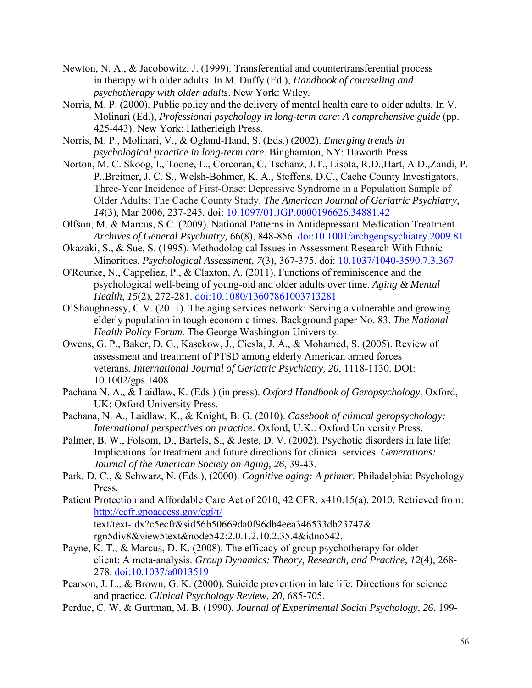- Newton, N. A., & Jacobowitz, J. (1999). Transferential and countertransferential process in therapy with older adults. In M. Duffy (Ed.), *Handbook of counseling and psychotherapy with older adults*. New York: Wiley.
- Norris, M. P. (2000). Public policy and the delivery of mental health care to older adults. In V. Molinari (Ed.), *Professional psychology in long-term care: A comprehensive guide* (pp. 425-443). New York: Hatherleigh Press.
- Norris, M. P., Molinari, V., & Ogland-Hand, S. (Eds.) (2002). *Emerging trends in psychological practice in long-term care*. Binghamton, NY: Haworth Press.
- Norton, M. C. Skoog, I., Toone, L., Corcoran, C. Tschanz, J.T., Lisota, R.D.,Hart, A.D.,Zandi, P. P.,Breitner, J. C. S., Welsh-Bohmer, K. A., Steffens, D.C., Cache County Investigators. Three-Year Incidence of First-Onset Depressive Syndrome in a Population Sample of Older Adults: The Cache County Study. *The American Journal of Geriatric Psychiatry*, *14*(3), Mar 2006, 237-245. doi: [10.1097/01.JGP.0000196626.34881.42](http://psycnet.apa.org.elibrary.einstein.yu.edu/doi/10.1097/01.JGP.0000196626.34881.42)
- Olfson, M. & Marcus, S.C. (2009). National Patterns in Antidepressant Medication Treatment. *Archives of General Psychiatry, 66*(8), 848-856. [doi:10.1001/archgenpsychiatry.2009.81](http://dx.doi.org/10.1001%2Farchgenpsychiatry.2009.81)
- Okazaki, S., & Sue, S. (1995). Methodological Issues in Assessment Research With Ethnic Minorities. *Psychological Assessment, 7*(3), 367-375. doi: [10.1037/1040-3590.7.3.367](http://psycnet.apa.org/doi/10.1037/1040-3590.7.3.367)
- O'Rourke, N., Cappeliez, P., & Claxton, A. (2011). Functions of reminiscence and the psychological well-being of young-old and older adults over time. *Aging & Mental Health*, *15*(2), 272-281. [doi:10.1080/13607861003713281](http://dx.doi.org/10.1080%2F13607861003713281)
- O'Shaughnessy, C.V. (2011). The aging services network: Serving a vulnerable and growing elderly population in tough economic times. Background paper No. 83. *The National Health Policy Forum.* The George Washington University.
- Owens, G. P., Baker, D. G., Kasckow, J., Ciesla, J. A., & Mohamed, S. (2005). Review of assessment and treatment of PTSD among elderly American armed forces veterans. *International Journal of Geriatric Psychiatry, 20*, 1118-1130. DOI: 10.1002/gps.1408.
- Pachana N. A., & Laidlaw, K. (Eds.) (in press). *Oxford Handbook of Geropsychology*. Oxford, UK: Oxford University Press.
- Pachana, N. A., Laidlaw, K., & Knight, B. G. (2010). *Casebook of clinical geropsychology: International perspectives on practice*. Oxford, U.K.: Oxford University Press.
- Palmer, B. W., Folsom, D., Bartels, S., & Jeste, D. V. (2002). Psychotic disorders in late life: Implications for treatment and future directions for clinical services. *Generations: Journal of the American Society on Aging, 26*, 39-43.
- Park, D. C., & Schwarz, N. (Eds.), (2000). *Cognitive aging: A primer*. Philadelphia: Psychology Press.
- Patient Protection and Affordable Care Act of 2010, 42 CFR. x410.15(a). 2010. Retrieved from: <http://ecfr.gpoaccess.gov/cgi/t/> text/text-idx?c5ecfr&sid56b50669da0f96db4eea346533db23747& rgn5div8&view5text&node542:2.0.1.2.10.2.35.4&idno542.
- Payne, K. T., & Marcus, D. K. (2008). The efficacy of group psychotherapy for older client: A meta-analysis. *Group Dynamics: Theory, Research, and Practice, 12*(4), 268- 278. [doi:10.1037/a0013519](http://dx.doi.org/10.1037%2Fa0013519)
- Pearson, J. L., & Brown, G. K. (2000). Suicide prevention in late life: Directions for science and practice. *Clinical Psychology Review, 20,* 685-705.
- Perdue, C. W. & Gurtman, M. B. (1990). *Journal of Experimental Social Psychology, 26*, 199-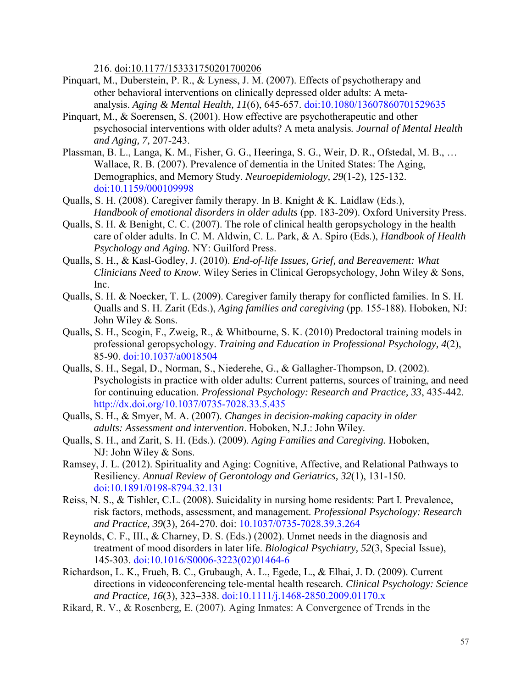216. doi:10.1177/153331750201700206

- Pinquart, M., Duberstein, P. R., & Lyness, J. M. (2007). Effects of psychotherapy and other behavioral interventions on clinically depressed older adults: A metaanalysis. *Aging & Mental Health, 11*(6), 645-657. [doi:10.1080/13607860701529635](http://dx.doi.org/10.1080%2F13607860701529635)
- Pinquart, M., & Soerensen, S. (2001). How effective are psychotherapeutic and other psychosocial interventions with older adults? A meta analysis*. Journal of Mental Health and Aging, 7,* 207-243.
- Plassman, B. L., Langa, K. M., Fisher, G. G., Heeringa, S. G., Weir, D. R., Ofstedal, M. B., … Wallace, R. B. (2007). Prevalence of dementia in the United States: The Aging, Demographics, and Memory Study. *Neuroepidemiology, 29*(1-2), 125-132. [doi:10.1159/000109998](http://dx.doi.org/10.1159%2F000109998)
- Qualls, S. H. (2008). Caregiver family therapy. In B. Knight & K. Laidlaw (Eds.), *Handbook of emotional disorders in older adults* (pp. 183-209). Oxford University Press.
- Qualls, S. H. & Benight, C. C. (2007). The role of clinical health geropsychology in the health care of older adults. In C. M. Aldwin, C. L. Park, & A. Spiro (Eds.), *Handbook of Health Psychology and Aging.* NY: Guilford Press.
- Qualls, S. H., & Kasl-Godley, J. (2010). *End-of-life Issues, Grief, and Bereavement: What Clinicians Need to Know*. Wiley Series in Clinical Geropsychology, John Wiley & Sons, Inc.
- Qualls, S. H. & Noecker, T. L. (2009). Caregiver family therapy for conflicted families. In S. H. Qualls and S. H. Zarit (Eds.), *Aging families and caregiving* (pp. 155-188). Hoboken, NJ: John Wiley & Sons.
- Qualls, S. H., Scogin, F., Zweig, R., & Whitbourne, S. K. (2010) Predoctoral training models in professional geropsychology. *Training and Education in Professional Psychology, 4*(2), 85-90. [doi:10.1037/a0018504](http://dx.doi.org/10.1037%2Fa0018504)
- Qualls, S. H., Segal, D., Norman, S., Niederehe, G., & Gallagher-Thompson, D. (2002). Psychologists in practice with older adults: Current patterns, sources of training, and need for continuing education. *Professional Psychology: Research and Practice, 33*, 435-442. [http://dx.doi.org/10.1037/0735-7028.33.5.435](http://dx.doi.org/10.1037%2F0735-7028.33.5.435)
- Qualls, S. H., & Smyer, M. A. (2007). *Changes in decision-making capacity in older adults: Assessment and intervention*. Hoboken, N.J.: John Wiley.
- Qualls, S. H., and Zarit, S. H. (Eds.). (2009). *Aging Families and Caregiving.* Hoboken, NJ: John Wiley & Sons.
- Ramsey, J. L. (2012). Spirituality and Aging: Cognitive, Affective, and Relational Pathways to Resiliency. *[Annual Review of Gerontology and Geriatrics,](http://www.ingentaconnect.com/content/springer/argg) 32*(1), 131-150. [doi:10.1891/0198-8794.32.131](http://dx.doi.org/10.1891%2F0198-8794.32.131)
- Reiss, N. S., & Tishler, C.L. (2008). Suicidality in nursing home residents: Part I. Prevalence, risk factors, methods, assessment, and management. *Professional Psychology: Research and Practice, 39*(3), 264-270. doi: [10.1037/0735-7028.39.3.264](http://psycnet.apa.org/doi/10.1037/0735-7028.39.3.264)
- Reynolds, C. F., III., & Charney, D. S. (Eds.) (2002). Unmet needs in the diagnosis and treatment of mood disorders in later life. *Biological Psychiatry, 52*(3, Special Issue), 145-303. [doi:10.1016/S0006-3223\(02\)01464-6](http://dx.doi.org/10.1016%2FS0006-3223%2802%2901464-6)
- Richardson, L. K., Frueh, B. C., Grubaugh, A. L., Egede, L., & Elhai, J. D. (2009). Current directions in videoconferencing tele-mental health research. *Clinical Psychology: Science and Practice, 16*(3), 323–338. [doi:10.1111/j.1468-2850.2009.01170.x](http://dx.doi.org/10.1111%2Fj.1468-2850.2009.01170.x)
- Rikard, R. V., & Rosenberg, E. (2007). Aging Inmates: A Convergence of Trends in the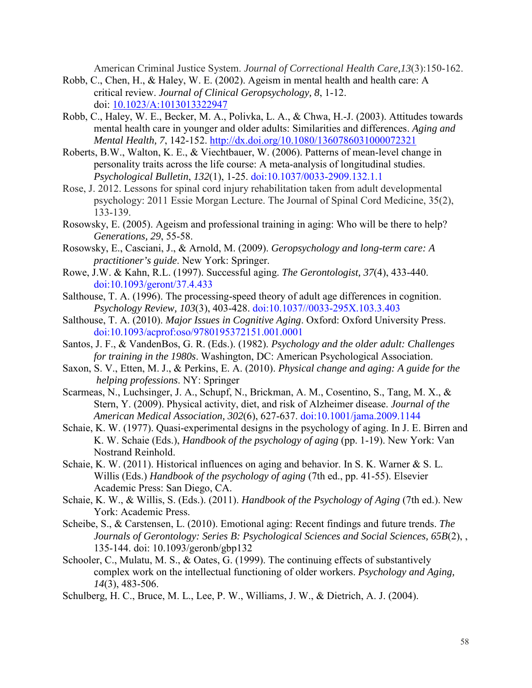American Criminal Justice System. *Journal of Correctional Health Care,13*(3):150-162.

- Robb, C., Chen, H., & Haley, W. E. (2002). Ageism in mental health and health care: A critical review. *Journal of Clinical Geropsychology, 8*, 1-12. doi: [10.1023/A:1013013322947](http://psycnet.apa.org/doi/10.1023/A:1013013322947)
- Robb, C., Haley, W. E., Becker, M. A., Polivka, L. A., & Chwa, H.-J. (2003). Attitudes towards mental health care in younger and older adults: Similarities and differences. *Aging and Mental Health, 7*, 142-152. [http://dx.doi.org/10.1080/1360786031000072321](http://dx.doi.org/10.1080%2F1360786031000072321)
- Roberts, B.W., Walton, K. E., & Viechtbauer, W. (2006). Patterns of mean-level change in personality traits across the life course: A meta-analysis of longitudinal studies. *Psychological Bulletin*, *132*(1), 1-25. [doi:10.1037/0033-2909.132.1.1](http://dx.doi.org/10.1037%2F0033-2909.132.1.1)
- Rose, J. 2012. Lessons for spinal cord injury rehabilitation taken from adult developmental psychology: 2011 Essie Morgan Lecture. The Journal of Spinal Cord Medicine, 35(2), 133-139.
- Rosowsky, E. (2005). Ageism and professional training in aging: Who will be there to help? *Generations, 29*, 55-58.
- Rosowsky, E., Casciani, J., & Arnold, M. (2009). *Geropsychology and long-term care: A practitioner's guide*. New York: Springer.
- Rowe, J.W. & Kahn, R.L. (1997). Successful aging. *The Gerontologist, 37*(4), 433-440. [doi:10.1093/geront/37.4.433](http://dx.doi.org/10.1093%2Fgeront%2F37.4.433)
- Salthouse, T. A. (1996). The processing-speed theory of adult age differences in cognition. *Psychology Review, 103*(3), 403-428. [doi:10.1037//0033-295X.103.3.403](http://dx.doi.org/10.1037%2F%2F0033-295X.103.3.403)
- Salthouse, T. A. (2010). *Major Issues in Cognitive Aging*. Oxford: Oxford University Press. [doi:10.1093/acprof:oso/9780195372151.001.0001](http://dx.doi.org/10.1093%2Facprof%3Aoso%2F9780195372151.001.0001)
- Santos, J. F., & VandenBos, G. R. (Eds.). (1982). *Psychology and the older adult: Challenges for training in the 1980s*. Washington, DC: American Psychological Association.
- Saxon, S. V., Etten, M. J., & Perkins, E. A. (2010). *Physical change and aging: A guide for the helping professions*. NY: Springer
- Scarmeas, N., Luchsinger, J. A., Schupf, N., Brickman, A. M., Cosentino, S., Tang, M. X., & Stern, Y. (2009). Physical activity, diet, and risk of Alzheimer disease. *Journal of the American Medical Association, 302*(6), 627-637. [doi:10.1001/jama.2009.1144](http://dx.doi.org/10.1001%2Fjama.2009.1144)
- Schaie, K. W. (1977). Quasi-experimental designs in the psychology of aging. In J. E. Birren and K. W. Schaie (Eds.), *Handbook of the psychology of aging* (pp. 1-19). New York: Van Nostrand Reinhold.
- Schaie, K. W. (2011). Historical influences on aging and behavior. In S. K. Warner & S. L. Willis (Eds.) *Handbook of the psychology of aging* (7th ed., pp. 41-55). Elsevier Academic Press: San Diego, CA.
- Schaie, K. W., & Willis, S. (Eds.). (2011). *Handbook of the Psychology of Aging* (7th ed.). New York: Academic Press.
- Scheibe, S., & Carstensen, L. (2010). Emotional aging: Recent findings and future trends. *The Journals of Gerontology: Series B: Psychological Sciences and Social Sciences, 65B*(2), , 135-144. doi: 10.1093/geronb/gbp132
- Schooler, C., Mulatu, M. S., & Oates, G. (1999). The continuing effects of substantively complex work on the intellectual functioning of older workers. *Psychology and Aging, 14*(3), 483-506.
- Schulberg, H. C., Bruce, M. L., Lee, P. W., Williams, J. W., & Dietrich, A. J. (2004).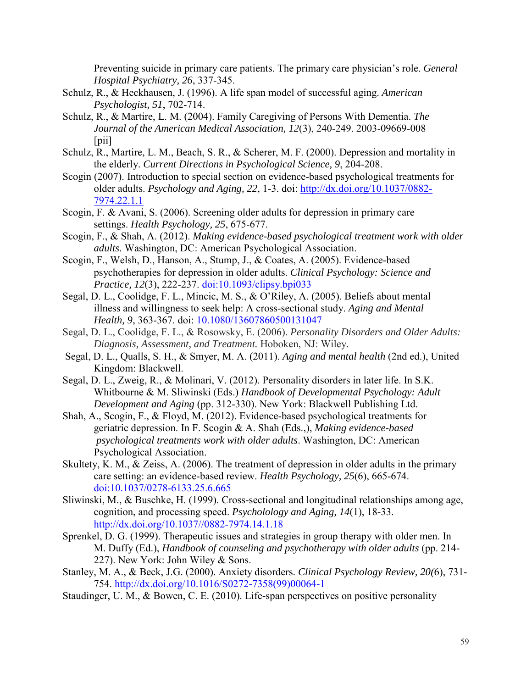Preventing suicide in primary care patients. The primary care physician's role. *General Hospital Psychiatry, 26*, 337-345.

- Schulz, R., & Heckhausen, J. (1996). A life span model of successful aging. *American Psychologist, 51*, 702-714.
- Schulz, R., & Martire, L. M. (2004). Family Caregiving of Persons With Dementia. *The Journal of the American Medical Association, 12*(3), 240-249. 2003-09669-008  $\lceil$ pii $\rceil$
- Schulz, R., Martire, L. M., Beach, S. R., & Scherer, M. F. (2000). Depression and mortality in the elderly. *Current Directions in Psychological Science, 9*, 204-208.
- Scogin (2007). Introduction to special section on evidence-based psychological treatments for older adults. *Psychology and Aging, 22*, 1-3. doi: [http://dx.doi.org/10.1037/0882-](http://dx.doi.org/10.1037/0882-%097974.22.1.1)  [7974.22.1.1](http://dx.doi.org/10.1037/0882-%097974.22.1.1)
- Scogin, F. & Avani, S. (2006). Screening older adults for depression in primary care settings. *Health Psychology, 25*, 675-677.
- Scogin, F., & Shah, A. (2012). *Making evidence-based psychological treatment work with older adults*. Washington, DC: American Psychological Association.
- Scogin, F., Welsh, D., Hanson, A., Stump, J., & Coates, A. (2005). Evidence-based psychotherapies for depression in older adults. *Clinical Psychology: Science and Practice, 12*(3), 222-237. [doi:10.1093/clipsy.bpi033](http://dx.doi.org/10.1093%2Fclipsy.bpi033)
- Segal, D. L., Coolidge, F. L., Mincic, M. S., & O'Riley, A. (2005). Beliefs about mental illness and willingness to seek help: A cross-sectional study. *Aging and Mental Health, 9*, 363-367. doi: [10.1080/13607860500131047](http://psycnet.apa.org/doi/10.1080/13607860500131047)
- Segal, D. L., Coolidge, F. L., & Rosowsky, E. (2006). *Personality Disorders and Older Adults: Diagnosis, Assessment, and Treatment.* Hoboken, NJ: Wiley.
- Segal, D. L., Qualls, S. H., & Smyer, M. A. (2011). *Aging and mental health* (2nd ed.), United Kingdom: Blackwell.
- Segal, D. L., Zweig, R., & Molinari, V. (2012). Personality disorders in later life. In S.K. Whitbourne & M. Sliwinski (Eds.) *Handbook of Developmental Psychology: Adult Development and Aging* (pp. 312-330). New York: Blackwell Publishing Ltd.
- Shah, A., Scogin, F., & Floyd, M. (2012). Evidence-based psychological treatments for geriatric depression. In F. Scogin & A. Shah (Eds.,), *Making evidence-based psychological treatments work with older adults*. Washington, DC: American Psychological Association.
- Skultety, K. M., & Zeiss, A. (2006). The treatment of depression in older adults in the primary care setting: an evidence-based review. *Health Psychology, 25*(6), 665-674. [doi:10.1037/0278-6133.25.6.665](http://dx.doi.org/10.1037%2F0278-6133.25.6.665)
- Sliwinski, M., & Buschke, H. (1999). Cross-sectional and longitudinal relationships among age, cognition, and processing speed. *Psycholology and Aging, 14*(1), 18-33. [http://dx.doi.org/10.1037//0882-7974.14.1.18](http://dx.doi.org/10.1037%2F%2F0882-7974.14.1.18)
- Sprenkel, D. G. (1999). Therapeutic issues and strategies in group therapy with older men. In M. Duffy (Ed.), *Handbook of counseling and psychotherapy with older adults* (pp. 214- 227). New York: John Wiley & Sons.
- Stanley, M. A., & Beck, J.G. (2000). Anxiety disorders. *Clinical Psychology Review, 20(*6), 731- 754. [http://dx.doi.org/10.1016/S0272-7358\(99\)00064-1](http://dx.doi.org/10.1016%2FS0272-7358%2899%2900064-1)
- Staudinger, U. M., & Bowen, C. E. (2010). Life-span perspectives on positive personality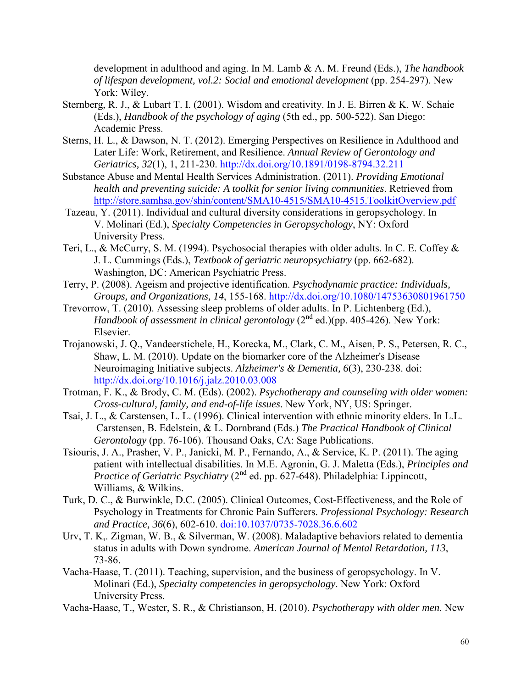development in adulthood and aging. In M. Lamb & A. M. Freund (Eds.), *The handbook of lifespan development, vol.2: Social and emotional development* (pp. 254-297). New York: Wiley.

- Sternberg, R. J., & Lubart T. I. (2001). Wisdom and creativity. In J. E. Birren & K. W. Schaie (Eds.), *Handbook of the psychology of aging* (5th ed., pp. 500-522). San Diego: Academic Press.
- Sterns, H. L., & Dawson, N. T. (2012). Emerging Perspectives on Resilience in Adulthood and Later Life: Work, Retirement, and Resilience. *Annual Review of Gerontology and Geriatrics, 32*(1), 1, 211-230. [http://dx.doi.org/10.1891/0198-8794.32.211](http://dx.doi.org/10.1891%2F0198-8794.32.211)
- Substance Abuse and Mental Health Services Administration. (2011). *Providing Emotional health and preventing suicide: A toolkit for senior living communities*. Retrieved from <http://store.samhsa.gov/shin/content/SMA10-4515/SMA10-4515.ToolkitOverview.pdf>
- Tazeau, Y. (2011). Individual and cultural diversity considerations in geropsychology. In V. Molinari (Ed.), *Specialty Competencies in Geropsychology*, NY: Oxford University Press.
- Teri, L., & McCurry, S. M. (1994). Psychosocial therapies with older adults. In C. E. Coffey & J. L. Cummings (Eds.), *Textbook of geriatric neuropsychiatry* (pp. 662-682). Washington, DC: American Psychiatric Press.
- Terry, P. (2008). Ageism and projective identification. *Psychodynamic practice: Individuals, Groups, and Organizations, 14*, 155-168. [http://dx.doi.org/10.1080/14753630801961750](http://dx.doi.org/10.1080%2F14753630801961750)
- Trevorrow, T. (2010). Assessing sleep problems of older adults. In P. Lichtenberg (Ed.), *Handbook of assessment in clinical gerontology*  $(2<sup>nd</sup>$  ed.)(pp. 405-426). New York: Elsevier.
- Trojanowski, J. Q., Vandeerstichele, H., Korecka, M., Clark, C. M., Aisen, P. S., Petersen, R. C., Shaw, L. M. (2010). Update on the biomarker core of the Alzheimer's Disease Neuroimaging Initiative subjects. *Alzheimer's & Dementia, 6*(3), 230-238. doi: [http://dx.doi.org/10.1016/j.jalz.2010.03.008](http://dx.doi.org/10.1016%2Fj.jalz.2010.03.008)
- Trotman, F. K., & Brody, C. M. (Eds). (2002). *Psychotherapy and counseling with older women: Cross-cultural, family, and end-of-life issues*. New York, NY, US: Springer.
- Tsai, J. L., & Carstensen, L. L. (1996). Clinical intervention with ethnic minority elders. In L.L. Carstensen, B. Edelstein, & L. Dornbrand (Eds.) *The Practical Handbook of Clinical Gerontology* (pp. 76-106). Thousand Oaks, CA: Sage Publications.
- Tsiouris, J. A., Prasher, V. P., Janicki, M. P., Fernando, A., & Service, K. P. (2011). The aging patient with intellectual disabilities. In M.E. Agronin, G. J. Maletta (Eds.), *Principles and Practice of Geriatric Psychiatry* (2<sup>nd</sup> ed. pp. 627-648). Philadelphia: Lippincott, Williams, & Wilkins.
- Turk, D. C., & Burwinkle, D.C. (2005). Clinical Outcomes, Cost-Effectiveness, and the Role of Psychology in Treatments for Chronic Pain Sufferers. *Professional Psychology: Research and Practice, 36*(6), 602-610. [doi:10.1037/0735-7028.36.6.602](http://dx.doi.org/10.1037%2F0735-7028.36.6.602)
- Urv, T. K,. Zigman, W. B., & Silverman, W. (2008). Maladaptive behaviors related to dementia status in adults with Down syndrome. *American Journal of Mental Retardation, 113*, 73-86.
- Vacha-Haase, T. (2011). Teaching, supervision, and the business of geropsychology. In V. Molinari (Ed.), *Specialty competencies in geropsychology*. New York: Oxford University Press.
- Vacha-Haase, T., Wester, S. R., & Christianson, H. (2010). *Psychotherapy with older men*. New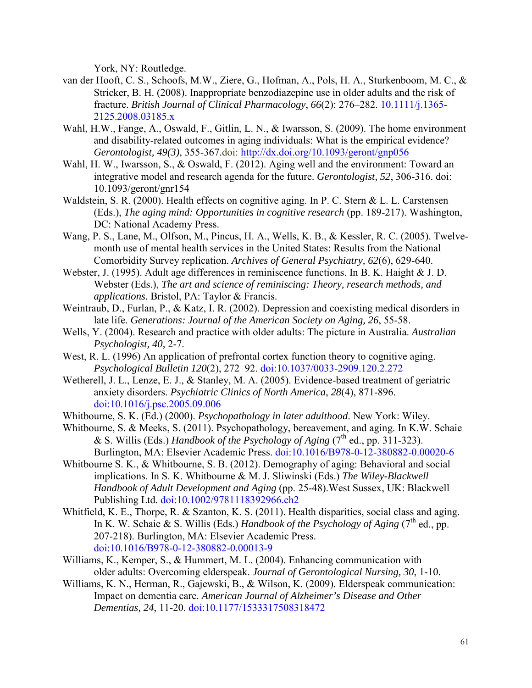York, NY: Routledge.

- van der Hooft, C. S., Schoofs, M.W., Ziere, G., Hofman, A., Pols, H. A., Sturkenboom, M. C., & Stricker, B. H. (2008). Inappropriate benzodiazepine use in older adults and the risk of fracture. *British Journal of Clinical Pharmacology*, *66*(2): 276–282. [10.1111/j.1365-](http://dx.doi.org/10.1111%2Fj.1365-2125.2008.03185.x) [2125.2008.03185.x](http://dx.doi.org/10.1111%2Fj.1365-2125.2008.03185.x)
- Wahl, H.W., Fange, A., Oswald, F., Gitlin, L. N., & Iwarsson, S. (2009). The home environment and disability-related outcomes in aging individuals: What is the empirical evidence? *Gerontologist, 49(3)*, 355-367.doi: [http://dx.doi.org/10.1093/geront/gnp056](http://dx.doi.org/10.1093%2Fgeront%2Fgnp056)
- Wahl, H. W., Iwarsson, S., & Oswald, F. (2012). Aging well and the environment: Toward an integrative model and research agenda for the future. *Gerontologist, 52*, 306-316. doi: 10.1093/geront/gnr154
- Waldstein, S. R. (2000). Health effects on cognitive aging. In P. C. Stern & L. L. Carstensen (Eds.), *The aging mind: Opportunities in cognitive research* (pp. 189-217). Washington, DC: National Academy Press.
- Wang, P. S., Lane, M., Olfson, M., Pincus, H. A., Wells, K. B., & Kessler, R. C. (2005). Twelvemonth use of mental health services in the United States: Results from the National Comorbidity Survey replication. *Archives of General Psychiatry, 62*(6), 629-640.
- Webster, J. (1995). Adult age differences in reminiscence functions. In B. K. Haight & J. D. Webster (Eds.), *The art and science of reminiscing: Theory, research methods, and applications.* Bristol, PA: Taylor & Francis.
- Weintraub, D., Furlan, P., & Katz, I. R. (2002). Depression and coexisting medical disorders in late life. *Generations: Journal of the American Society on Aging, 26*, 55-58.
- Wells, Y. (2004). Research and practice with older adults: The picture in Australia. *Australian Psychologist, 40,* 2-7.
- West, R. L. (1996) An application of prefrontal cortex function theory to cognitive aging. *Psychological Bulletin 120*(2), 272–92. [doi:10.1037/0033-2909.120.2.272](http://dx.doi.org/10.1037%2F0033-2909.120.2.272)
- Wetherell, J. L., Lenze, E. J., & Stanley, M. A. (2005). Evidence-based treatment of geriatric anxiety disorders. *Psychiatric Clinics of North America*, *28*(4), 871-896. [doi:10.1016/j.psc.2005.09.006](http://dx.doi.org/10.1016%2Fj.psc.2005.09.006)
- Whitbourne, S. K. (Ed.) (2000). *Psychopathology in later adulthood*. New York: Wiley.
- Whitbourne, S. & Meeks, S. (2011). Psychopathology, bereavement, and aging. In K.W. Schaie & S. Willis (Eds.) *Handbook of the Psychology of Aging* (7th ed., pp. 311-323). Burlington, MA: Elsevier Academic Press. [doi:10.1016/B978-0-12-380882-0.00020-6](http://dx.doi.org/10.1016%2FB978-0-12-380882-0.00020-6)
- Whitbourne S. K., & Whitbourne, S. B. (2012). Demography of aging: Behavioral and social implications. In S. K. Whitbourne & M. J. Sliwinski (Eds.) *The Wiley-Blackwell Handbook of Adult Development and Aging* (pp. 25-48).West Sussex, UK: Blackwell Publishing Ltd. [doi:10.1002/9781118392966.ch2](http://dx.doi.org/10.1002%2F9781118392966.ch2)
- Whitfield, K. E., Thorpe, R. & Szanton, K. S. (2011). Health disparities, social class and aging. In K. W. Schaie & S. Willis (Eds.) *Handbook of the Psychology of Aging* (7<sup>th</sup> ed., pp. 207-218). Burlington, MA: Elsevier Academic Press. [doi:10.1016/B978-0-12-380882-0.00013-9](http://dx.doi.org/10.1016%2FB978-0-12-380882-0.00013-9)
- Williams, K., Kemper, S., & Hummert, M. L. (2004). Enhancing communication with older adults: Overcoming elderspeak. *Journal of Gerontological Nursing, 30*, 1-10.
- Williams, K. N., Herman, R., Gajewski, B., & Wilson, K. (2009). Elderspeak communication: Impact on dementia care. *American Journal of Alzheimer's Disease and Other Dementias, 24*, 11-20. [doi:10.1177/1533317508318472](http://dx.doi.org/10.1177%2F1533317508318472)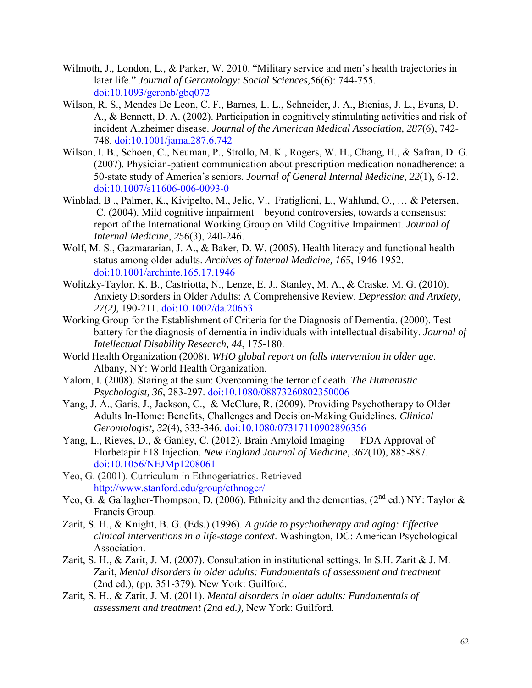- Wilmoth, J., London, L., & Parker, W. 2010. "Military service and men's health trajectories in later life." *Journal of Gerontology: Social Sciences,*56(6): 744-755. [doi:10.1093/geronb/gbq072](http://dx.doi.org/10.1093%2Fgeronb%2Fgbq072)
- Wilson, R. S., Mendes De Leon, C. F., Barnes, L. L., Schneider, J. A., Bienias, J. L., Evans, D. A., & Bennett, D. A. (2002). Participation in cognitively stimulating activities and risk of incident Alzheimer disease. *Journal of the American Medical Association, 287*(6), 742- 748. [doi:10.1001/jama.287.6.742](http://dx.doi.org/10.1001%2Fjama.287.6.742)
- Wilson, I. B., Schoen, C., Neuman, P., Strollo, M. K., Rogers, W. H., Chang, H., & Safran, D. G. (2007). Physician-patient communication about prescription medication nonadherence: a 50-state study of America's seniors. *Journal of General Internal Medicine*, *22*(1), 6-12. [doi:10.1007/s11606-006-0093-0](http://dx.doi.org/10.1007%2Fs11606-006-0093-0)
- Winblad, B ., Palmer, K., Kivipelto, M., Jelic, V., Fratiglioni, L., Wahlund, O., … & Petersen, C. (2004). Mild cognitive impairment – beyond controversies, towards a consensus: report of the International Working Group on Mild Cognitive Impairment. *Journal of Internal Medicine*, *256*(3), 240-246.
- Wolf, M. S., Gazmararian, J. A., & Baker, D. W. (2005). Health literacy and functional health status among older adults. *Archives of Internal Medicine, 165*, 1946-1952. [doi:10.1001/archinte.165.17.1946](http://dx.doi.org/10.1001%2Farchinte.165.17.1946)
- Wolitzky-Taylor, K. B., Castriotta, N., Lenze, E. J., Stanley, M. A., & Craske, M. G. (2010). Anxiety Disorders in Older Adults: A Comprehensive Review. *Depression and Anxiety, 27(2),* 190-211. [doi:10.1002/da.20653](http://dx.doi.org/10.1002%2Fda.20653)
- Working Group for the Establishment of Criteria for the Diagnosis of Dementia. (2000). Test battery for the diagnosis of dementia in individuals with intellectual disability. *Journal of Intellectual Disability Research, 44*, 175-180.
- World Health Organization (2008). *WHO global report on falls intervention in older age*. Albany, NY: World Health Organization.
- Yalom, I. (2008). Staring at the sun: Overcoming the terror of death. *The Humanistic Psychologist, 36*, 283-297. [doi:10.1080/08873260802350006](http://dx.doi.org/10.1080%2F08873260802350006)
- Yang, J. A., Garis, J., Jackson, C., & McClure, R. (2009). Providing Psychotherapy to Older Adults In-Home: Benefits, Challenges and Decision-Making Guidelines. *Clinical Gerontologist, 32*(4), 333-346. [doi:10.1080/07317110902896356](http://dx.doi.org/10.1080%2F07317110902896356)
- Yang, L., Rieves, D., & Ganley, C. (2012). Brain Amyloid Imaging FDA Approval of Florbetapir F18 Injection. *New England Journal of Medicine, 367*(10), 885-887. [doi:10.1056/NEJMp1208061](http://dx.doi.org/10.1056%2FNEJMp1208061)
- Yeo, G. (2001). Curriculum in Ethnogeriatrics. Retrieved <http://www.stanford.edu/group/ethnoger/>
- Yeo, G. & Gallagher-Thompson, D. (2006). Ethnicity and the dementias, (2<sup>nd</sup> ed.) NY: Taylor & Francis Group.
- Zarit, S. H., & Knight, B. G. (Eds.) (1996). *A guide to psychotherapy and aging: Effective clinical interventions in a life-stage context*. Washington, DC: American Psychological Association.
- Zarit, S. H., & Zarit, J. M. (2007). Consultation in institutional settings. In S.H. Zarit & J. M. Zarit, *Mental disorders in older adults: Fundamentals of assessment and treatment* (2nd ed.), (pp. 351-379). New York: Guilford.
- Zarit, S. H., & Zarit, J. M. (2011). *Mental disorders in older adults: Fundamentals of assessment and treatment (2nd ed.),* New York: Guilford.